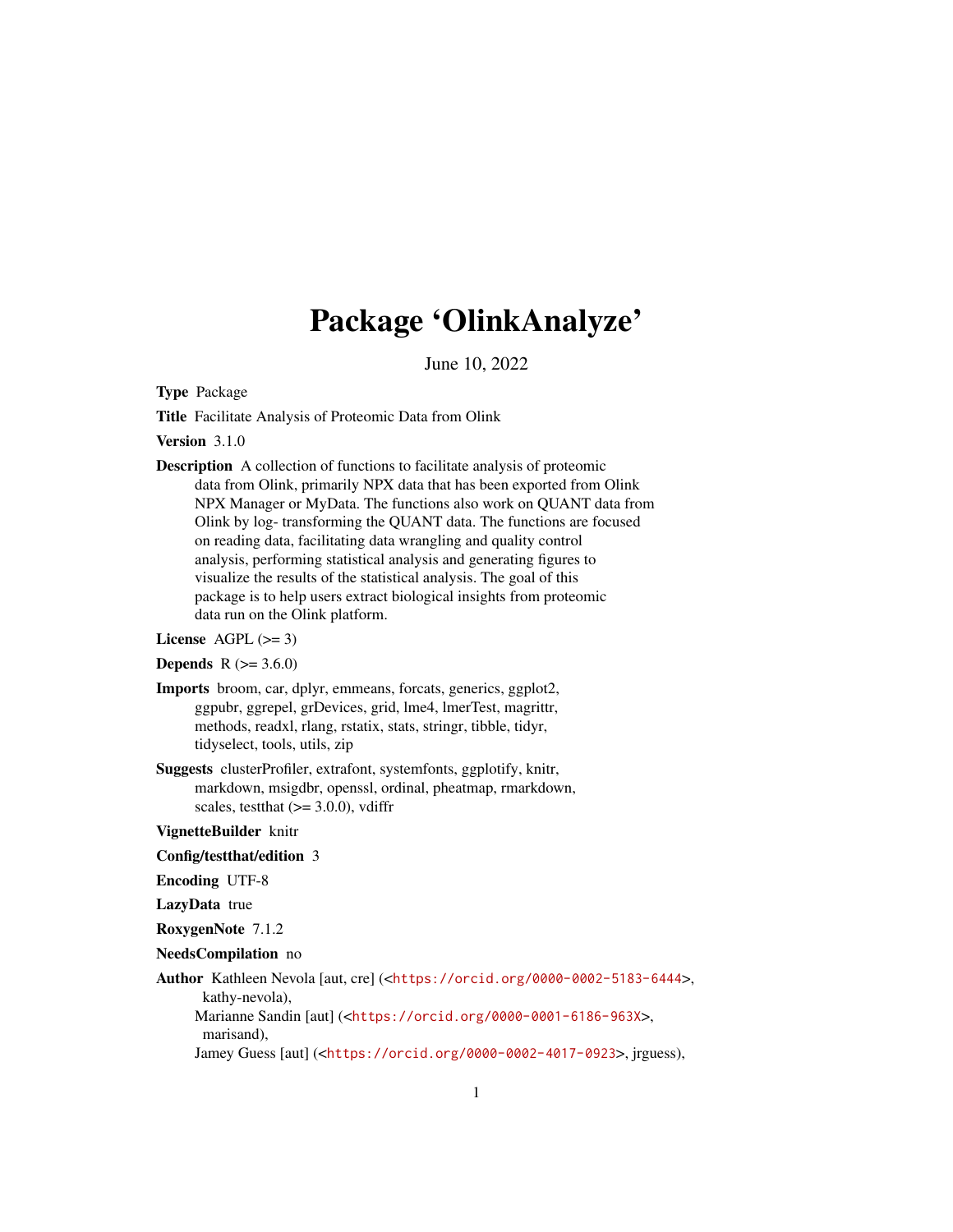## Package 'OlinkAnalyze'

June 10, 2022

<span id="page-0-0"></span>Type Package

Title Facilitate Analysis of Proteomic Data from Olink

Version 3.1.0

Description A collection of functions to facilitate analysis of proteomic data from Olink, primarily NPX data that has been exported from Olink NPX Manager or MyData. The functions also work on QUANT data from Olink by log- transforming the QUANT data. The functions are focused on reading data, facilitating data wrangling and quality control analysis, performing statistical analysis and generating figures to visualize the results of the statistical analysis. The goal of this package is to help users extract biological insights from proteomic data run on the Olink platform.

License  $AGPL$  ( $>= 3$ )

```
Depends R (>= 3.6.0)
```
- Imports broom, car, dplyr, emmeans, forcats, generics, ggplot2, ggpubr, ggrepel, grDevices, grid, lme4, lmerTest, magrittr, methods, readxl, rlang, rstatix, stats, stringr, tibble, tidyr, tidyselect, tools, utils, zip
- Suggests clusterProfiler, extrafont, systemfonts, ggplotify, knitr, markdown, msigdbr, openssl, ordinal, pheatmap, rmarkdown, scales, test that  $(>= 3.0.0)$ , vdiffr

VignetteBuilder knitr

Config/testthat/edition 3

Encoding UTF-8

LazyData true

RoxygenNote 7.1.2

NeedsCompilation no

Author Kathleen Nevola [aut, cre] (<<https://orcid.org/0000-0002-5183-6444>>, kathy-nevola), Marianne Sandin [aut] (<<https://orcid.org/0000-0001-6186-963X>>, marisand), Jamey Guess [aut] (<<https://orcid.org/0000-0002-4017-0923>>, jrguess),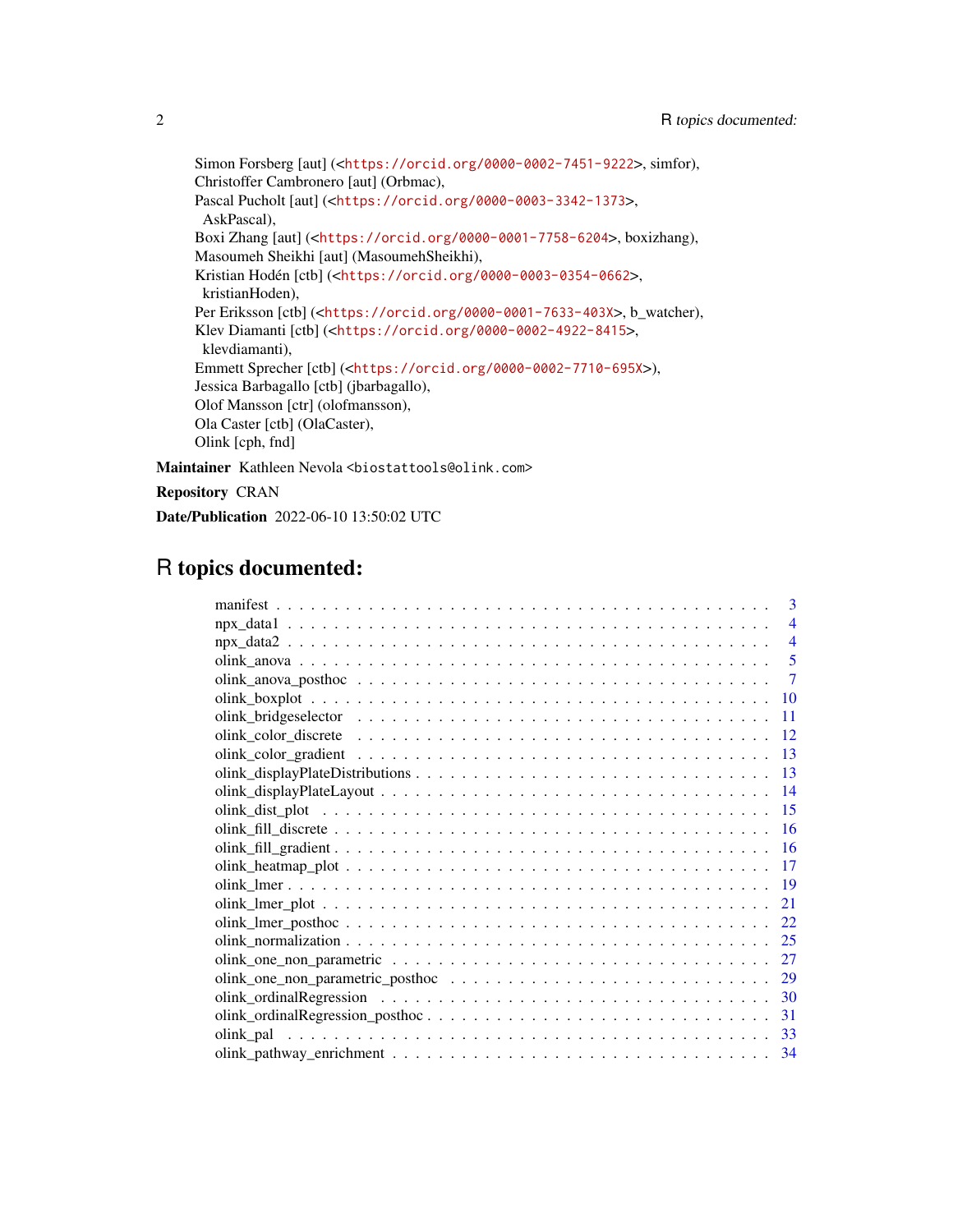Simon Forsberg [aut] (<<https://orcid.org/0000-0002-7451-9222>>, simfor), Christoffer Cambronero [aut] (Orbmac), Pascal Pucholt [aut] (<<https://orcid.org/0000-0003-3342-1373>>, AskPascal), Boxi Zhang [aut] (<<https://orcid.org/0000-0001-7758-6204>>, boxizhang), Masoumeh Sheikhi [aut] (MasoumehSheikhi), Kristian Hodén [ctb] (<<https://orcid.org/0000-0003-0354-0662>>, kristianHoden), Per Eriksson [ctb] (<<https://orcid.org/0000-0001-7633-403X>>, b\_watcher), Klev Diamanti [ctb] (<<https://orcid.org/0000-0002-4922-8415>>, klevdiamanti), Emmett Sprecher [ctb] (<<https://orcid.org/0000-0002-7710-695X>>), Jessica Barbagallo [ctb] (jbarbagallo), Olof Mansson [ctr] (olofmansson), Ola Caster [ctb] (OlaCaster), Olink [cph, fnd] Maintainer Kathleen Nevola <br/>biostattools@olink.com>

Repository CRAN

Date/Publication 2022-06-10 13:50:02 UTC

## R topics documented:

| 3              |  |
|----------------|--|
| $\overline{4}$ |  |
| $\overline{4}$ |  |
| 5              |  |
| $\tau$         |  |
| 10             |  |
| 11             |  |
| 12             |  |
| 13             |  |
| 13             |  |
| 14             |  |
| 15             |  |
| <b>16</b>      |  |
|                |  |
| -17            |  |
| - 19           |  |
| 21             |  |
| 22             |  |
| 25             |  |
| 27             |  |
| 29             |  |
| 30             |  |
| 31             |  |
| 33             |  |
| 34             |  |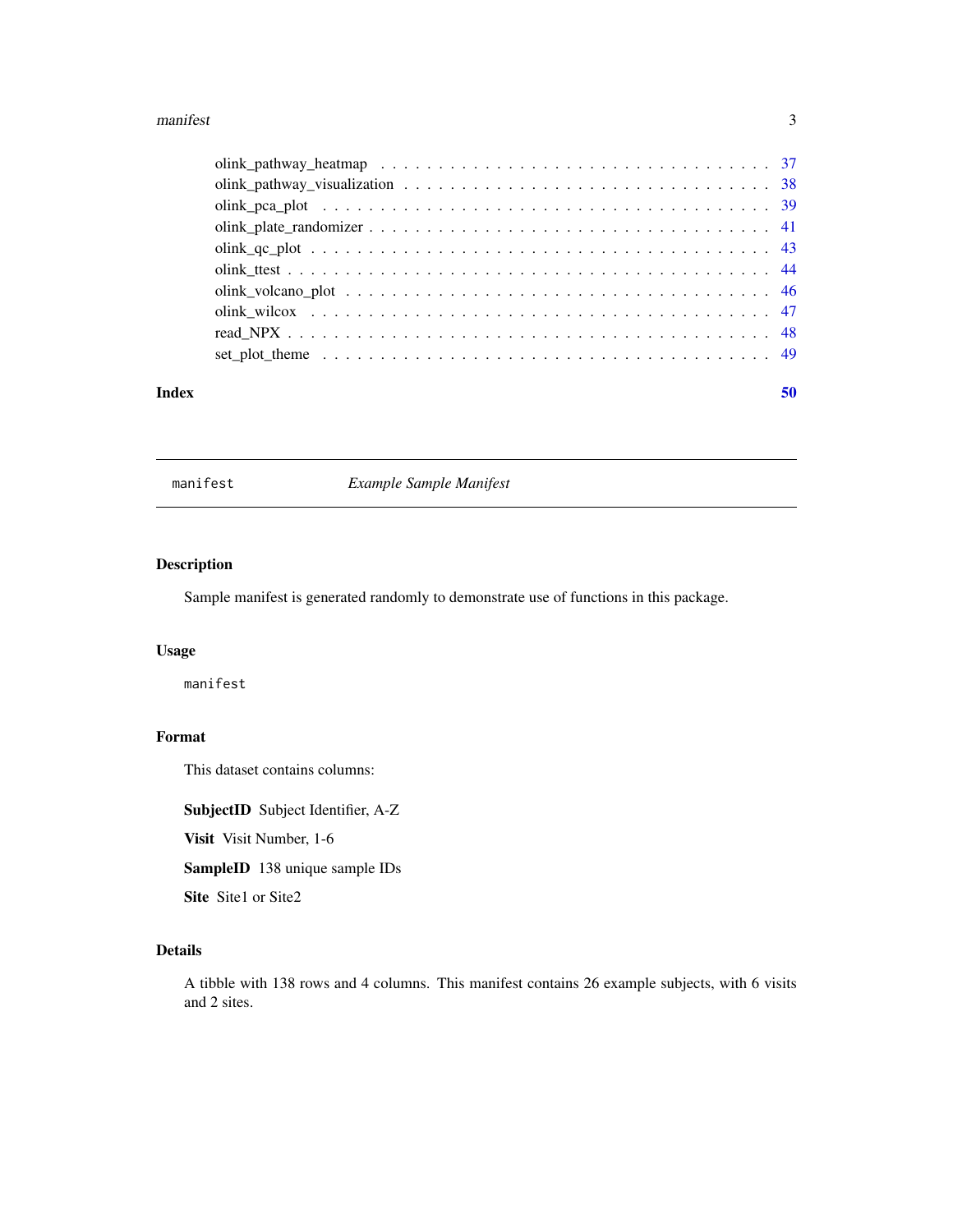#### <span id="page-2-0"></span>manifest 3

#### $\blacksquare$  Index  $\blacksquare$

manifest *Example Sample Manifest*

## Description

Sample manifest is generated randomly to demonstrate use of functions in this package.

## Usage

manifest

## Format

This dataset contains columns:

SubjectID Subject Identifier, A-Z

Visit Visit Number, 1-6

SampleID 138 unique sample IDs

Site Site1 or Site2

## Details

A tibble with 138 rows and 4 columns. This manifest contains 26 example subjects, with 6 visits and 2 sites.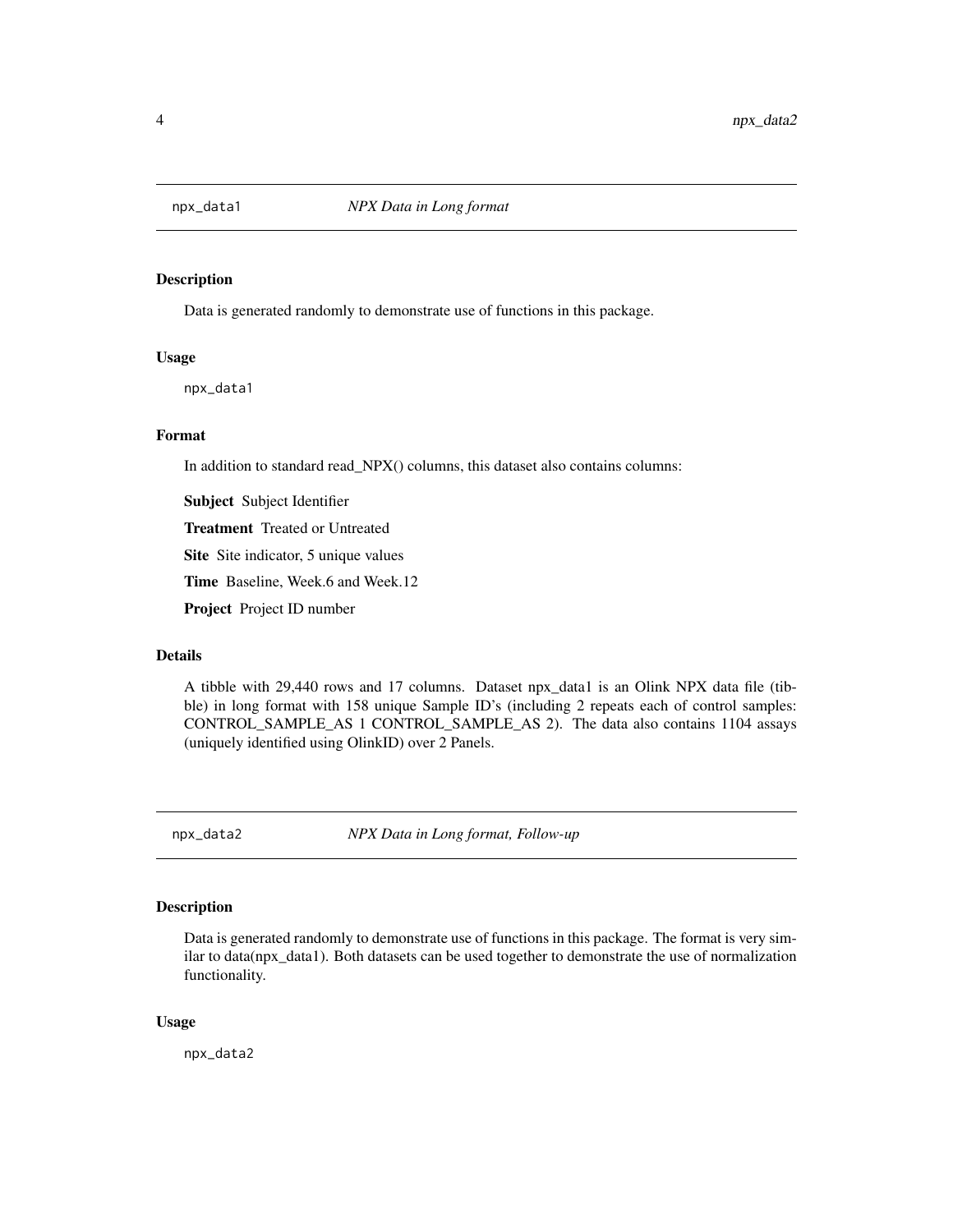<span id="page-3-0"></span>

#### Description

Data is generated randomly to demonstrate use of functions in this package.

## Usage

npx\_data1

## Format

In addition to standard read\_NPX() columns, this dataset also contains columns:

Subject Subject Identifier

Treatment Treated or Untreated

Site Site indicator, 5 unique values

Time Baseline, Week.6 and Week.12

Project Project ID number

## Details

A tibble with 29,440 rows and 17 columns. Dataset npx\_data1 is an Olink NPX data file (tibble) in long format with 158 unique Sample ID's (including 2 repeats each of control samples: CONTROL\_SAMPLE\_AS 1 CONTROL\_SAMPLE\_AS 2). The data also contains 1104 assays (uniquely identified using OlinkID) over 2 Panels.

npx\_data2 *NPX Data in Long format, Follow-up*

#### Description

Data is generated randomly to demonstrate use of functions in this package. The format is very similar to data(npx\_data1). Both datasets can be used together to demonstrate the use of normalization functionality.

#### Usage

npx\_data2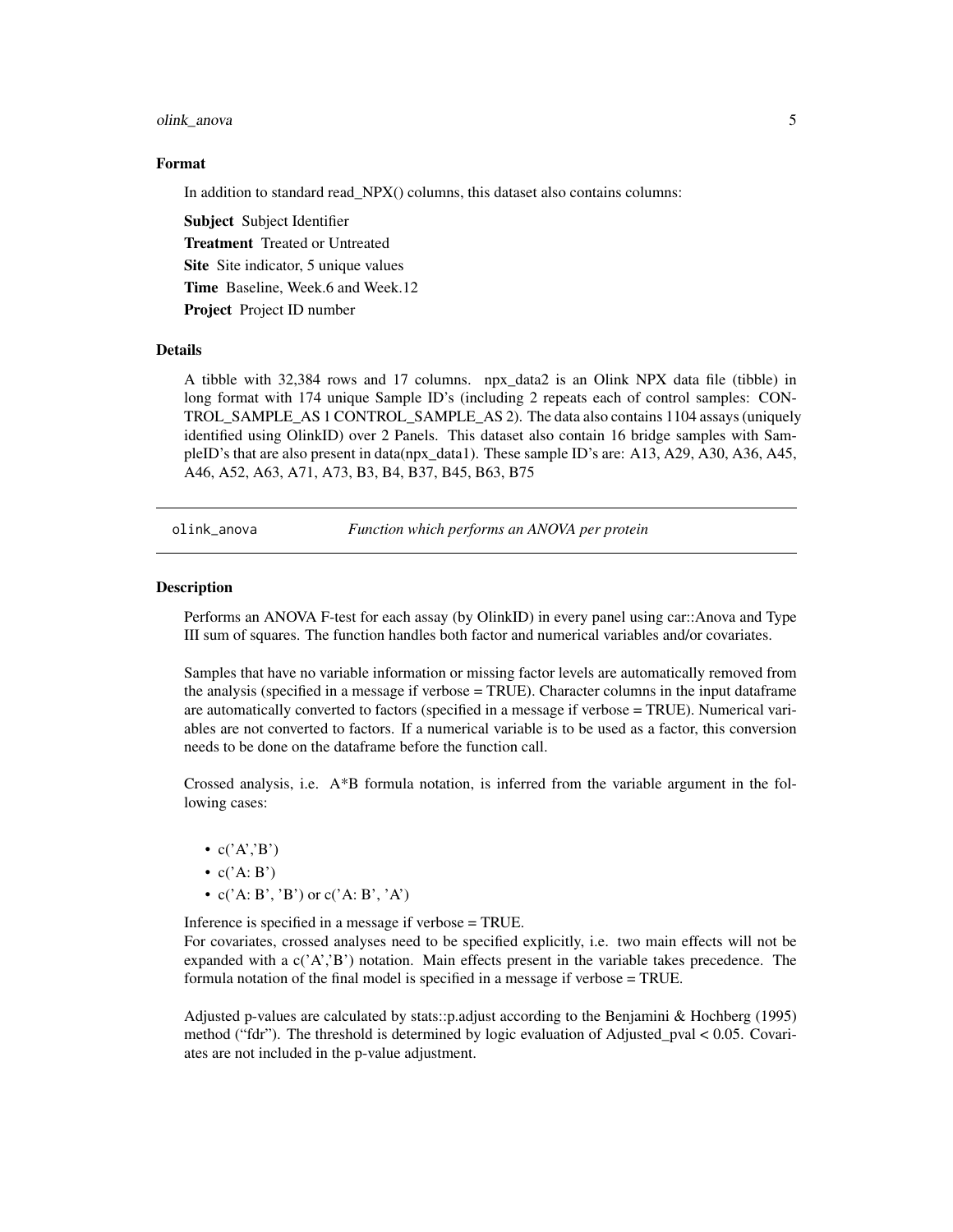### <span id="page-4-0"></span>olink\_anova 5

#### Format

In addition to standard read\_NPX() columns, this dataset also contains columns:

Subject Subject Identifier Treatment Treated or Untreated Site Site indicator, 5 unique values Time Baseline, Week.6 and Week.12 Project Project ID number

#### Details

A tibble with 32,384 rows and 17 columns. npx\_data2 is an Olink NPX data file (tibble) in long format with 174 unique Sample ID's (including 2 repeats each of control samples: CON-TROL\_SAMPLE\_AS 1 CONTROL\_SAMPLE\_AS 2). The data also contains 1104 assays (uniquely identified using OlinkID) over 2 Panels. This dataset also contain 16 bridge samples with SampleID's that are also present in data(npx\_data1). These sample ID's are: A13, A29, A30, A36, A45, A46, A52, A63, A71, A73, B3, B4, B37, B45, B63, B75

olink\_anova *Function which performs an ANOVA per protein*

#### **Description**

Performs an ANOVA F-test for each assay (by OlinkID) in every panel using car::Anova and Type III sum of squares. The function handles both factor and numerical variables and/or covariates.

Samples that have no variable information or missing factor levels are automatically removed from the analysis (specified in a message if verbose = TRUE). Character columns in the input dataframe are automatically converted to factors (specified in a message if verbose = TRUE). Numerical variables are not converted to factors. If a numerical variable is to be used as a factor, this conversion needs to be done on the dataframe before the function call.

Crossed analysis, i.e. A\*B formula notation, is inferred from the variable argument in the following cases:

- $c('A', B')$
- $c('A:B')$
- $c('A: B', 'B')$  or  $c('A: B', 'A')$

Inference is specified in a message if verbose = TRUE.

For covariates, crossed analyses need to be specified explicitly, i.e. two main effects will not be expanded with a  $c'(A', B')$  notation. Main effects present in the variable takes precedence. The formula notation of the final model is specified in a message if verbose = TRUE.

Adjusted p-values are calculated by stats::p.adjust according to the Benjamini & Hochberg (1995) method ("fdr"). The threshold is determined by logic evaluation of Adjusted\_pval < 0.05. Covariates are not included in the p-value adjustment.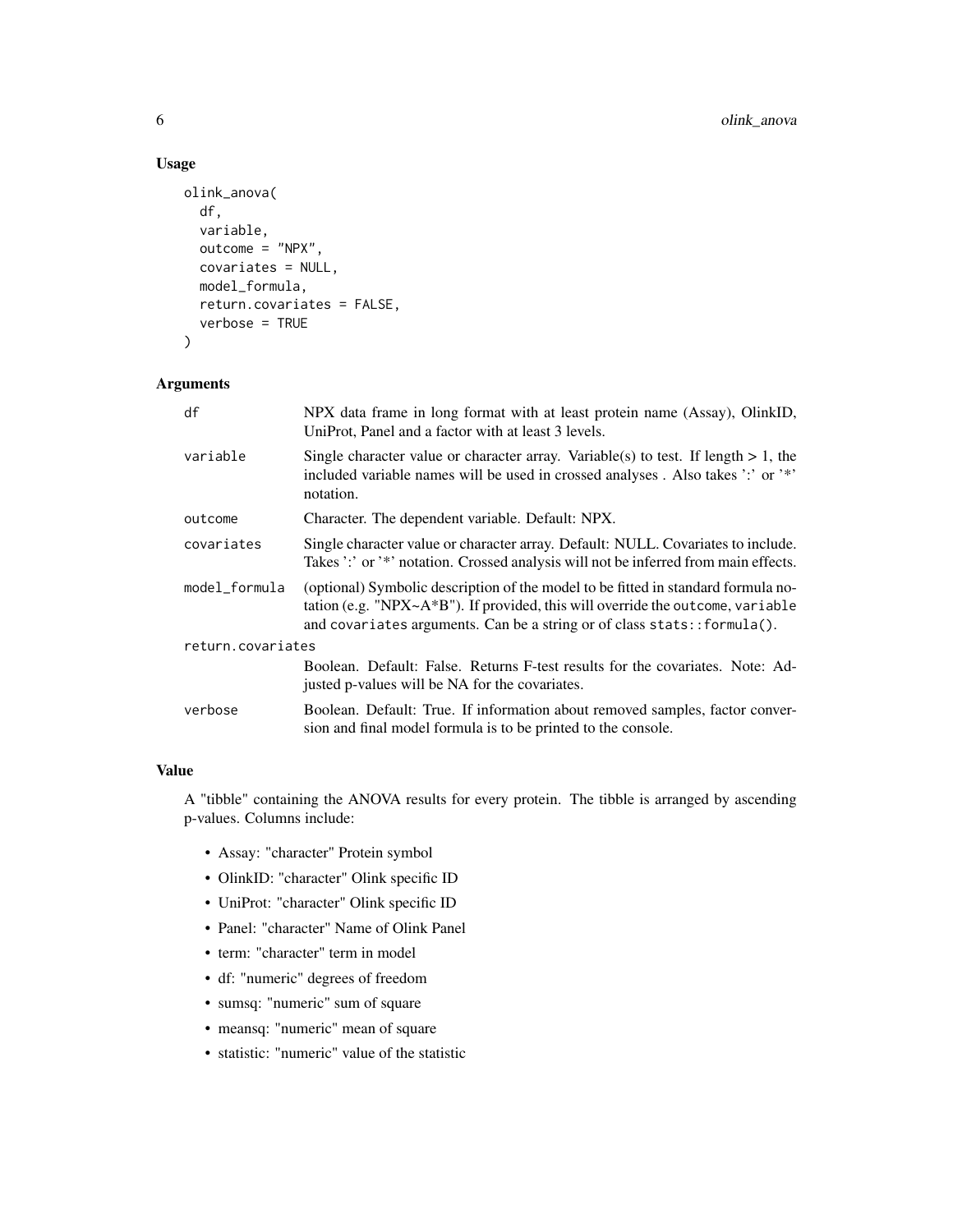## Usage

```
olink_anova(
  df,
  variable,
 outcome = "NPX",
  covariates = NULL,
 model_formula,
  return.covariates = FALSE,
  verbose = TRUE
)
```
## Arguments

| df                | NPX data frame in long format with at least protein name (Assay), OlinkID,<br>UniProt, Panel and a factor with at least 3 levels.                                                                                                                   |
|-------------------|-----------------------------------------------------------------------------------------------------------------------------------------------------------------------------------------------------------------------------------------------------|
| variable          | Single character value or character array. Variable(s) to test. If length $> 1$ , the<br>included variable names will be used in crossed analyses. Also takes ':' or '*'<br>notation.                                                               |
| outcome           | Character. The dependent variable. Default: NPX.                                                                                                                                                                                                    |
| covariates        | Single character value or character array. Default: NULL. Covariates to include.<br>Takes ':' or '*' notation. Crossed analysis will not be inferred from main effects.                                                                             |
| model_formula     | (optional) Symbolic description of the model to be fitted in standard formula no-<br>tation (e.g. "NPX~ $A*B$ "). If provided, this will override the outcome, variable<br>and covariates arguments. Can be a string or of class stats:: formula(). |
| return.covariates |                                                                                                                                                                                                                                                     |
|                   | Boolean. Default: False. Returns F-test results for the covariates. Note: Ad-<br>justed p-values will be NA for the covariates.                                                                                                                     |
| verbose           | Boolean. Default: True. If information about removed samples, factor conver-<br>sion and final model formula is to be printed to the console.                                                                                                       |

## Value

A "tibble" containing the ANOVA results for every protein. The tibble is arranged by ascending p-values. Columns include:

- Assay: "character" Protein symbol
- OlinkID: "character" Olink specific ID
- UniProt: "character" Olink specific ID
- Panel: "character" Name of Olink Panel
- term: "character" term in model
- df: "numeric" degrees of freedom
- sumsq: "numeric" sum of square
- meansq: "numeric" mean of square
- statistic: "numeric" value of the statistic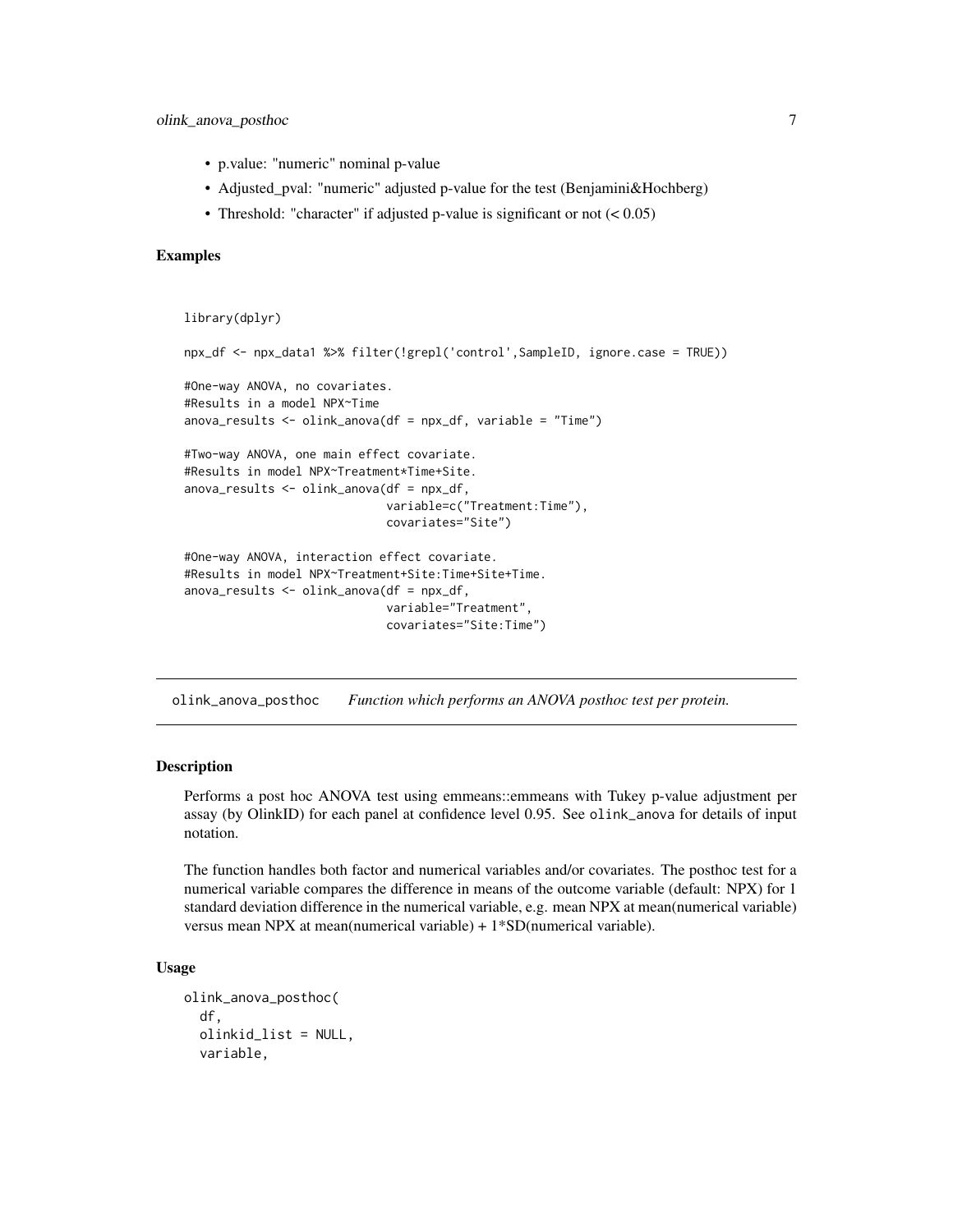- <span id="page-6-0"></span>• p.value: "numeric" nominal p-value
- Adjusted\_pval: "numeric" adjusted p-value for the test (Benjamini&Hochberg)
- Threshold: "character" if adjusted p-value is significant or not  $(< 0.05)$

#### Examples

```
library(dplyr)
```

```
npx_df <- npx_data1 %>% filter(!grepl('control',SampleID, ignore.case = TRUE))
#One-way ANOVA, no covariates.
#Results in a model NPX~Time
anova_results <- olink_anova(df = npx_df, variable = "Time")
#Two-way ANOVA, one main effect covariate.
#Results in model NPX~Treatment*Time+Site.
anova_results <- olink_anova(df = npx_df,
                             variable=c("Treatment:Time"),
                             covariates="Site")
#One-way ANOVA, interaction effect covariate.
#Results in model NPX~Treatment+Site:Time+Site+Time.
anova_{results} < - olink_{anova}(df = npx_d +variable="Treatment",
                             covariates="Site:Time")
```
olink\_anova\_posthoc *Function which performs an ANOVA posthoc test per protein.*

#### Description

Performs a post hoc ANOVA test using emmeans::emmeans with Tukey p-value adjustment per assay (by OlinkID) for each panel at confidence level 0.95. See olink\_anova for details of input notation.

The function handles both factor and numerical variables and/or covariates. The posthoc test for a numerical variable compares the difference in means of the outcome variable (default: NPX) for 1 standard deviation difference in the numerical variable, e.g. mean NPX at mean(numerical variable) versus mean NPX at mean(numerical variable) + 1\*SD(numerical variable).

#### Usage

```
olink_anova_posthoc(
  df,
  olinkid_list = NULL,
  variable,
```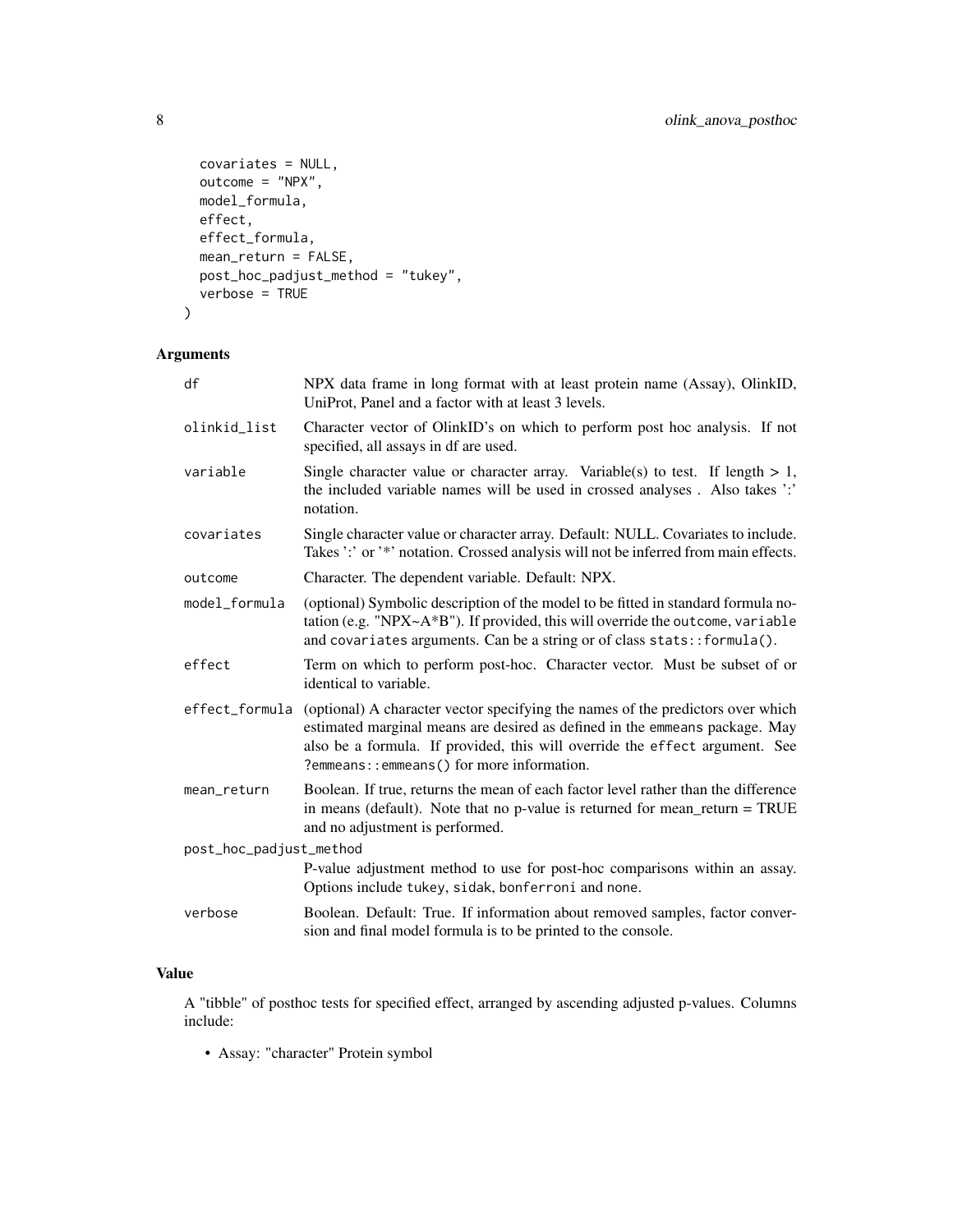```
covariates = NULL,
 outcome = "NPX",
 model_formula,
 effect,
 effect_formula,
 mean_return = FALSE,
 post_hoc_padjust_method = "tukey",
 verbose = TRUE
)
```
## Arguments

| df                      | NPX data frame in long format with at least protein name (Assay), OlinkID,<br>UniProt, Panel and a factor with at least 3 levels.                                                                                                                                                           |
|-------------------------|---------------------------------------------------------------------------------------------------------------------------------------------------------------------------------------------------------------------------------------------------------------------------------------------|
| olinkid_list            | Character vector of OlinkID's on which to perform post hoc analysis. If not<br>specified, all assays in df are used.                                                                                                                                                                        |
| variable                | Single character value or character array. Variable(s) to test. If length $> 1$ ,<br>the included variable names will be used in crossed analyses. Also takes ':'<br>notation.                                                                                                              |
| covariates              | Single character value or character array. Default: NULL. Covariates to include.<br>Takes ':' or '*' notation. Crossed analysis will not be inferred from main effects.                                                                                                                     |
| outcome                 | Character. The dependent variable. Default: NPX.                                                                                                                                                                                                                                            |
| model_formula           | (optional) Symbolic description of the model to be fitted in standard formula no-<br>tation (e.g. "NPX $\sim$ A*B"). If provided, this will override the outcome, variable<br>and covariates arguments. Can be a string or of class stats:: formula().                                      |
| effect                  | Term on which to perform post-hoc. Character vector. Must be subset of or<br>identical to variable.                                                                                                                                                                                         |
| effect_formula          | (optional) A character vector specifying the names of the predictors over which<br>estimated marginal means are desired as defined in the emmeans package. May<br>also be a formula. If provided, this will override the effect argument. See<br>?emmeans:: emmeans() for more information. |
| mean_return             | Boolean. If true, returns the mean of each factor level rather than the difference<br>in means (default). Note that no p-value is returned for mean_return = $TRUE$<br>and no adjustment is performed.                                                                                      |
| post_hoc_padjust_method |                                                                                                                                                                                                                                                                                             |
|                         | P-value adjustment method to use for post-hoc comparisons within an assay.<br>Options include tukey, sidak, bonferroni and none.                                                                                                                                                            |
| verbose                 | Boolean. Default: True. If information about removed samples, factor conver-<br>sion and final model formula is to be printed to the console.                                                                                                                                               |

## Value

A "tibble" of posthoc tests for specified effect, arranged by ascending adjusted p-values. Columns include:

• Assay: "character" Protein symbol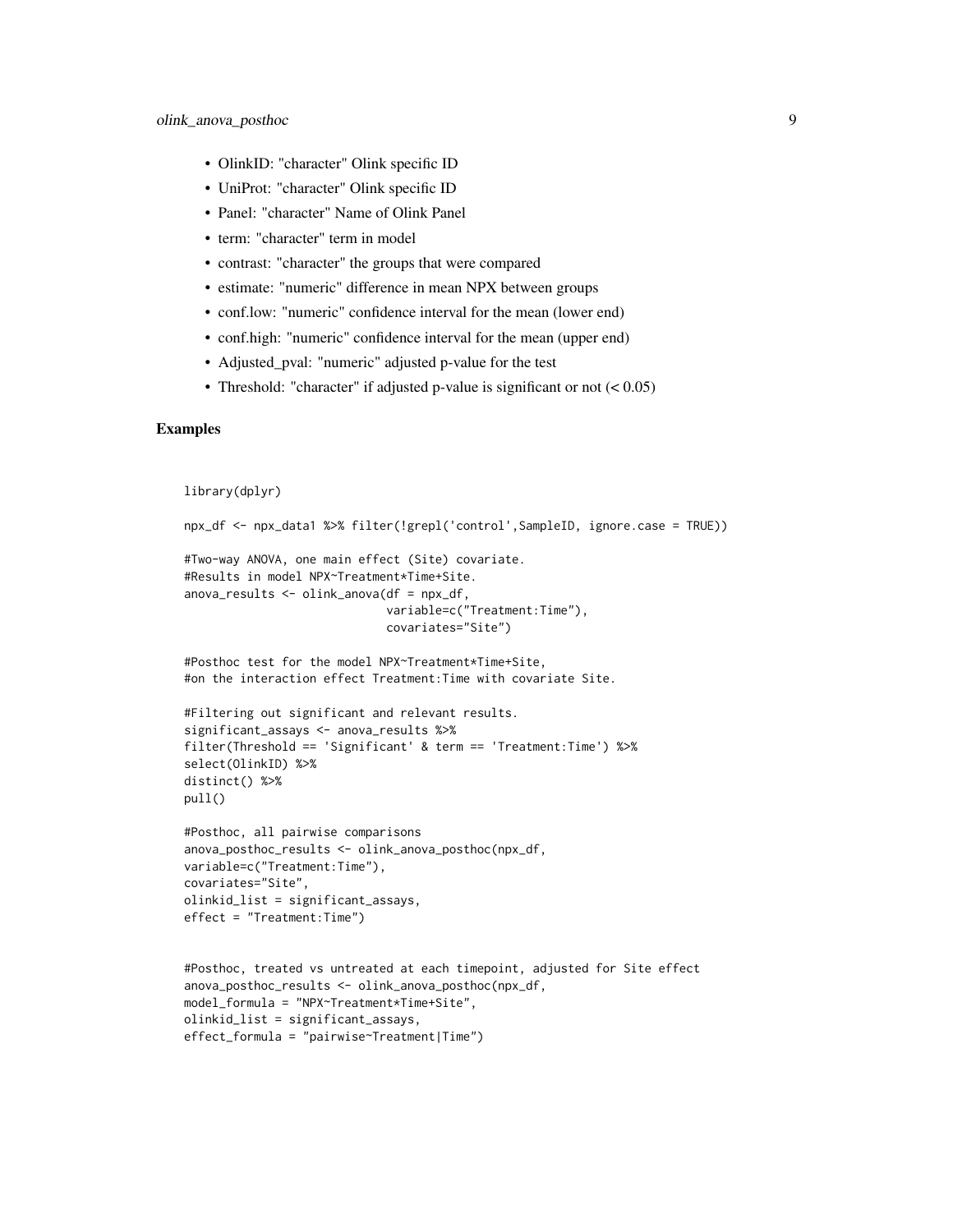- OlinkID: "character" Olink specific ID
- UniProt: "character" Olink specific ID
- Panel: "character" Name of Olink Panel
- term: "character" term in model
- contrast: "character" the groups that were compared
- estimate: "numeric" difference in mean NPX between groups
- conf.low: "numeric" confidence interval for the mean (lower end)
- conf.high: "numeric" confidence interval for the mean (upper end)
- Adjusted\_pval: "numeric" adjusted p-value for the test
- Threshold: "character" if adjusted p-value is significant or not  $(< 0.05)$

```
library(dplyr)
npx_df <- npx_data1 %>% filter(!grepl('control',SampleID, ignore.case = TRUE))
#Two-way ANOVA, one main effect (Site) covariate.
#Results in model NPX~Treatment*Time+Site.
anova_results <- olink_anova(df = npx_df,
                             variable=c("Treatment:Time"),
                             covariates="Site")
#Posthoc test for the model NPX~Treatment*Time+Site,
#on the interaction effect Treatment:Time with covariate Site.
#Filtering out significant and relevant results.
significant_assays <- anova_results %>%
filter(Threshold == 'Significant' & term == 'Treatment:Time') %>%
select(OlinkID) %>%
distinct() %>%
pull()
#Posthoc, all pairwise comparisons
anova_posthoc_results <- olink_anova_posthoc(npx_df,
variable=c("Treatment:Time"),
covariates="Site",
olinkid_list = significant_assays,
effect = "Treatment:Time")
#Posthoc, treated vs untreated at each timepoint, adjusted for Site effect
anova_posthoc_results <- olink_anova_posthoc(npx_df,
model_formula = "NPX~Treatment*Time+Site",
olinkid_list = significant_assays,
effect_formula = "pairwise~Treatment|Time")
```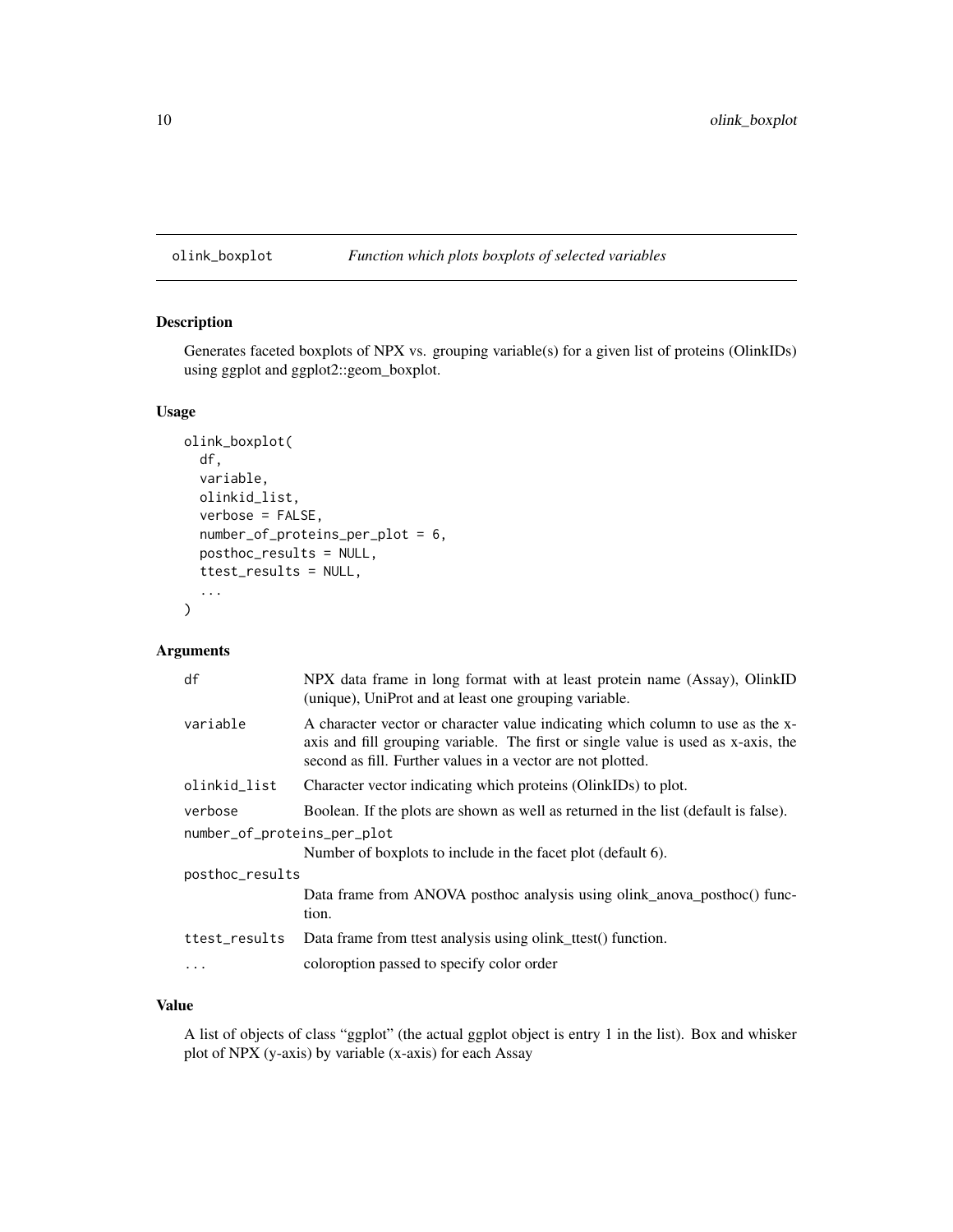## <span id="page-9-0"></span>olink\_boxplot *Function which plots boxplots of selected variables*

## Description

Generates faceted boxplots of NPX vs. grouping variable(s) for a given list of proteins (OlinkIDs) using ggplot and ggplot2::geom\_boxplot.

## Usage

```
olink_boxplot(
  df,
  variable,
 olinkid_list,
  verbose = FALSE,
  number_of_proteins_per_plot = 6,
 posthoc_results = NULL,
  ttest_results = NULL,
  ...
)
```
## Arguments

| df                          | NPX data frame in long format with at least protein name (Assay), OlinkID<br>(unique), UniProt and at least one grouping variable.                                                                                                 |  |
|-----------------------------|------------------------------------------------------------------------------------------------------------------------------------------------------------------------------------------------------------------------------------|--|
| variable                    | A character vector or character value indicating which column to use as the x-<br>axis and fill grouping variable. The first or single value is used as x-axis, the<br>second as fill. Further values in a vector are not plotted. |  |
| olinkid_list                | Character vector indicating which proteins (OlinkIDs) to plot.                                                                                                                                                                     |  |
| verbose                     | Boolean. If the plots are shown as well as returned in the list (default is false).                                                                                                                                                |  |
| number_of_proteins_per_plot |                                                                                                                                                                                                                                    |  |
|                             | Number of boxplots to include in the facet plot (default 6).                                                                                                                                                                       |  |
| posthoc_results             |                                                                                                                                                                                                                                    |  |
|                             | Data frame from ANOVA posthoc analysis using olink_anova_posthoc() func-<br>tion.                                                                                                                                                  |  |
| ttest_results               | Data frame from ttest analysis using olink_ttest() function.                                                                                                                                                                       |  |
| $\cdot$                     | coloroption passed to specify color order                                                                                                                                                                                          |  |
|                             |                                                                                                                                                                                                                                    |  |

#### Value

A list of objects of class "ggplot" (the actual ggplot object is entry 1 in the list). Box and whisker plot of NPX (y-axis) by variable (x-axis) for each Assay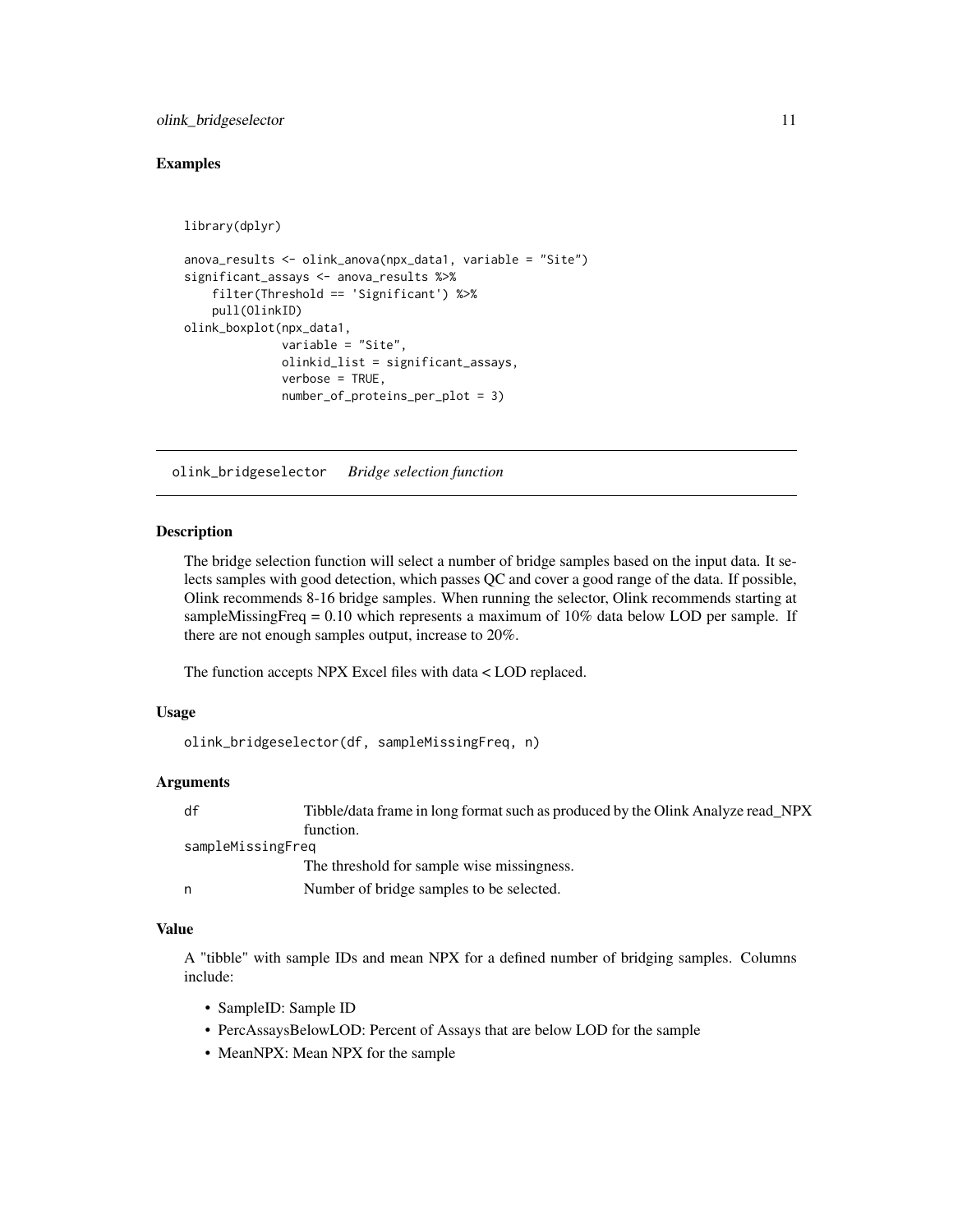#### <span id="page-10-0"></span>olink\_bridgeselector 11

library(dplyr)

#### Examples

```
anova_results <- olink_anova(npx_data1, variable = "Site")
significant_assays <- anova_results %>%
    filter(Threshold == 'Significant') %>%
   pull(OlinkID)
olink_boxplot(npx_data1,
             variable = "Site",
             olinkid_list = significant_assays,
             verbose = TRUE,
             number_of_proteins_per_plot = 3)
```
olink\_bridgeselector *Bridge selection function*

#### **Description**

The bridge selection function will select a number of bridge samples based on the input data. It selects samples with good detection, which passes QC and cover a good range of the data. If possible, Olink recommends 8-16 bridge samples. When running the selector, Olink recommends starting at sampleMissingFreq =  $0.10$  which represents a maximum of  $10\%$  data below LOD per sample. If there are not enough samples output, increase to 20%.

The function accepts NPX Excel files with data < LOD replaced.

#### Usage

```
olink_bridgeselector(df, sampleMissingFreq, n)
```
#### Arguments

| df                | Tibble/data frame in long format such as produced by the Olink Analyze read_NPX |
|-------------------|---------------------------------------------------------------------------------|
|                   | function.                                                                       |
| sampleMissingFreq |                                                                                 |
|                   | The threshold for sample wise missingness.                                      |
| n                 | Number of bridge samples to be selected.                                        |

## Value

A "tibble" with sample IDs and mean NPX for a defined number of bridging samples. Columns include:

- SampleID: Sample ID
- PercAssaysBelowLOD: Percent of Assays that are below LOD for the sample
- MeanNPX: Mean NPX for the sample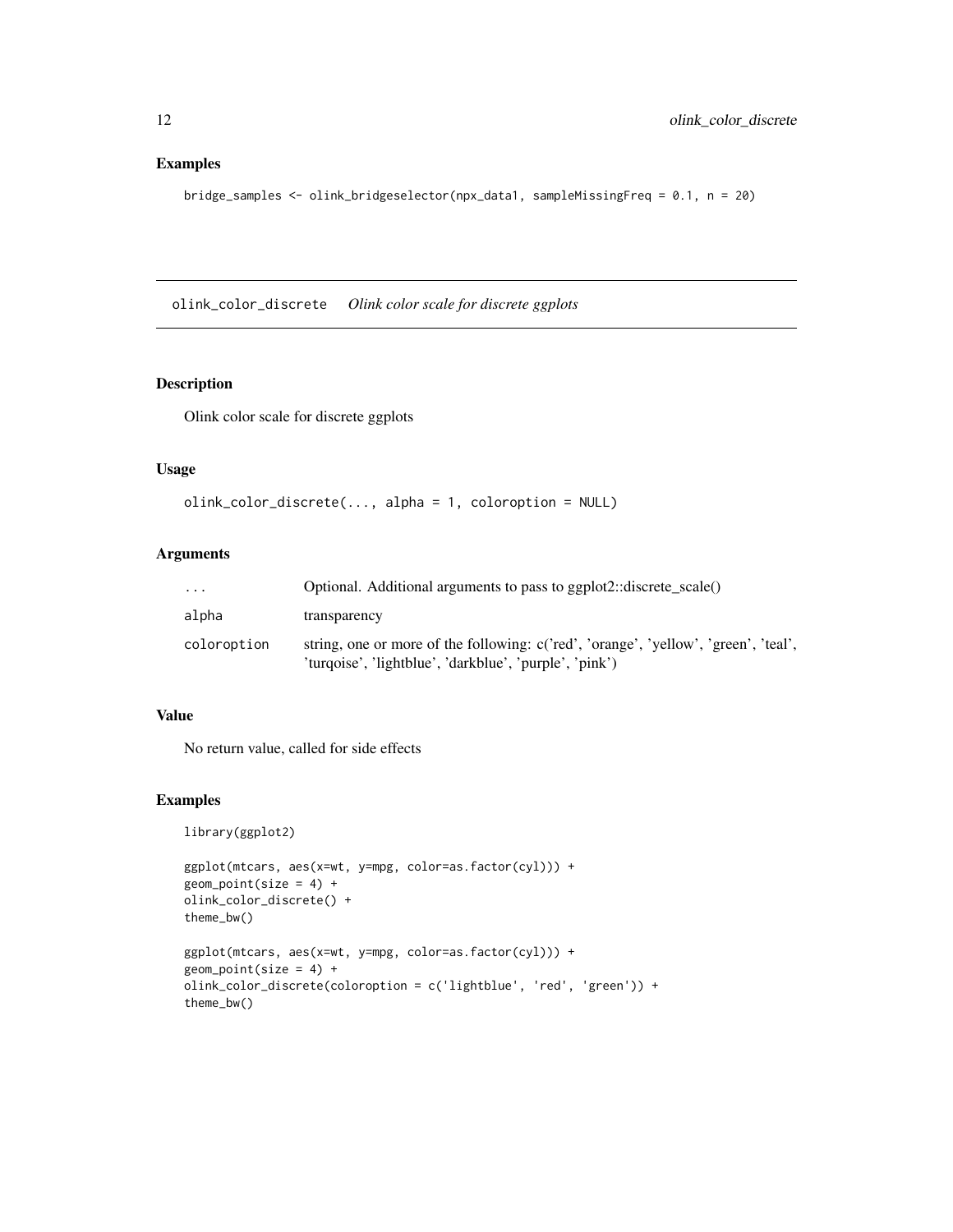## <span id="page-11-0"></span>Examples

bridge\_samples <- olink\_bridgeselector(npx\_data1, sampleMissingFreq = 0.1, n = 20)

olink\_color\_discrete *Olink color scale for discrete ggplots*

## **Description**

Olink color scale for discrete ggplots

#### Usage

```
olink_color_discrete(..., alpha = 1, coloroption = NULL)
```
#### Arguments

| .           | Optional. Additional arguments to pass to ggplot2::discrete_scale()                                                                           |
|-------------|-----------------------------------------------------------------------------------------------------------------------------------------------|
| alpha       | transparency                                                                                                                                  |
| coloroption | string, one or more of the following: c('red', 'orange', 'yellow', 'green', 'teal',<br>'turgoise', 'lightblue', 'darkblue', 'purple', 'pink') |

## Value

No return value, called for side effects

```
library(ggplot2)
```

```
ggplot(mtcars, aes(x=wt, y=mpg, color=as.factor(cyl))) +
geom_point(size = 4) +
olink_color_discrete() +
theme_bw()
```

```
ggplot(mtcars, aes(x=wt, y=mpg, color=as.factor(cyl))) +
geom\_point(size = 4) +olink_color_discrete(coloroption = c('lightblue', 'red', 'green')) +
theme_bw()
```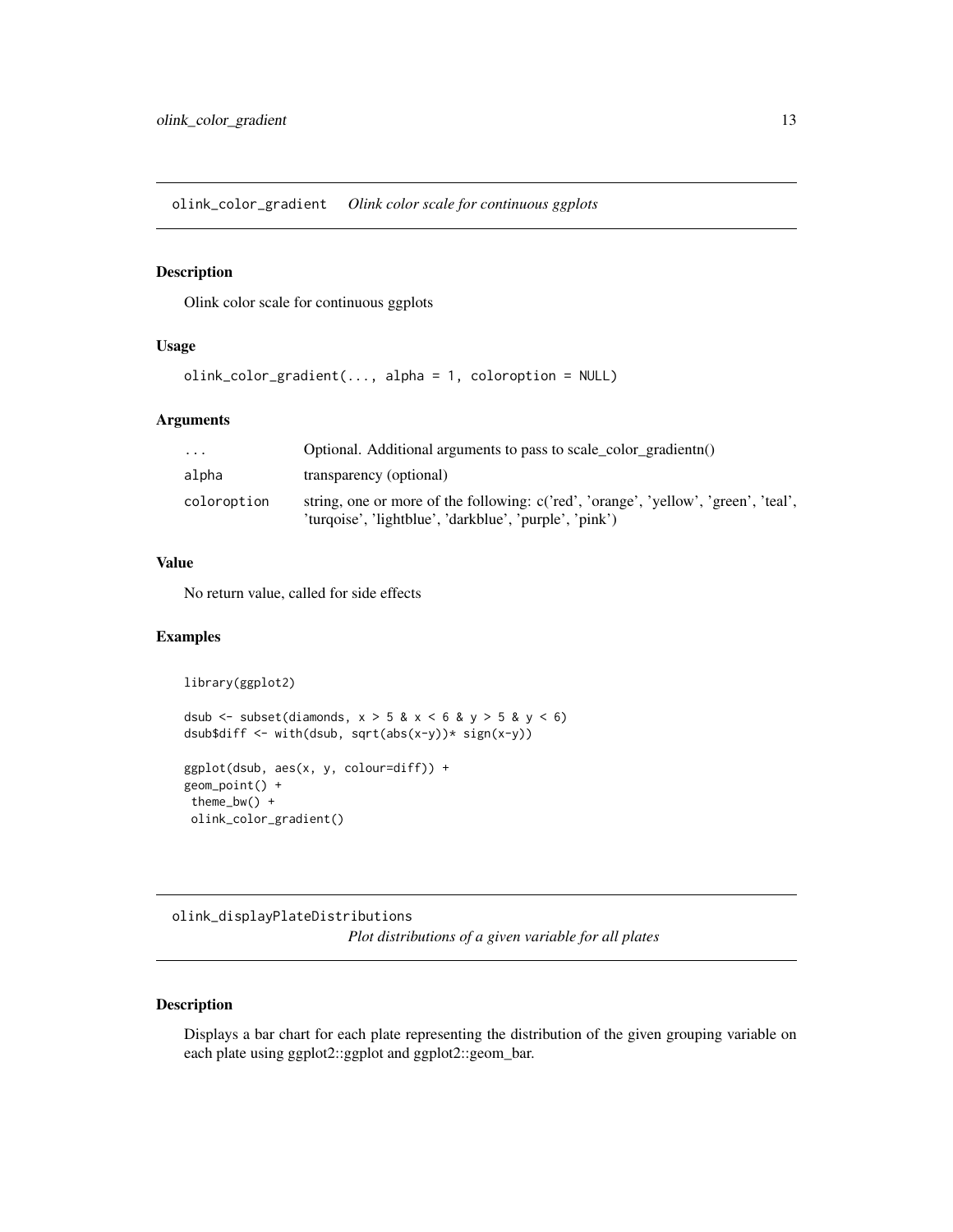<span id="page-12-0"></span>olink\_color\_gradient *Olink color scale for continuous ggplots*

## Description

Olink color scale for continuous ggplots

## Usage

```
olink_color_gradient(..., alpha = 1, coloroption = NULL)
```
## Arguments

| $\cdots$    | Optional. Additional arguments to pass to scale color gradientn()                                                                             |
|-------------|-----------------------------------------------------------------------------------------------------------------------------------------------|
| alpha       | transparency (optional)                                                                                                                       |
| coloroption | string, one or more of the following: c('red', 'orange', 'yellow', 'green', 'teal',<br>'turgoise', 'lightblue', 'darkblue', 'purple', 'pink') |

## Value

No return value, called for side effects

#### Examples

```
library(ggplot2)
dsub \le subset(diamonds, x > 5 & x < 6 & y > 5 & y < 6)
dsub$diff <- with(dsub, sqrt(abs(x-y))* sign(x-y))
ggplot(dsub, aes(x, y, colour=diff)) +
geom_point() +
 theme_bw() +
 olink_color_gradient()
```
olink\_displayPlateDistributions

*Plot distributions of a given variable for all plates*

#### Description

Displays a bar chart for each plate representing the distribution of the given grouping variable on each plate using ggplot2::ggplot and ggplot2::geom\_bar.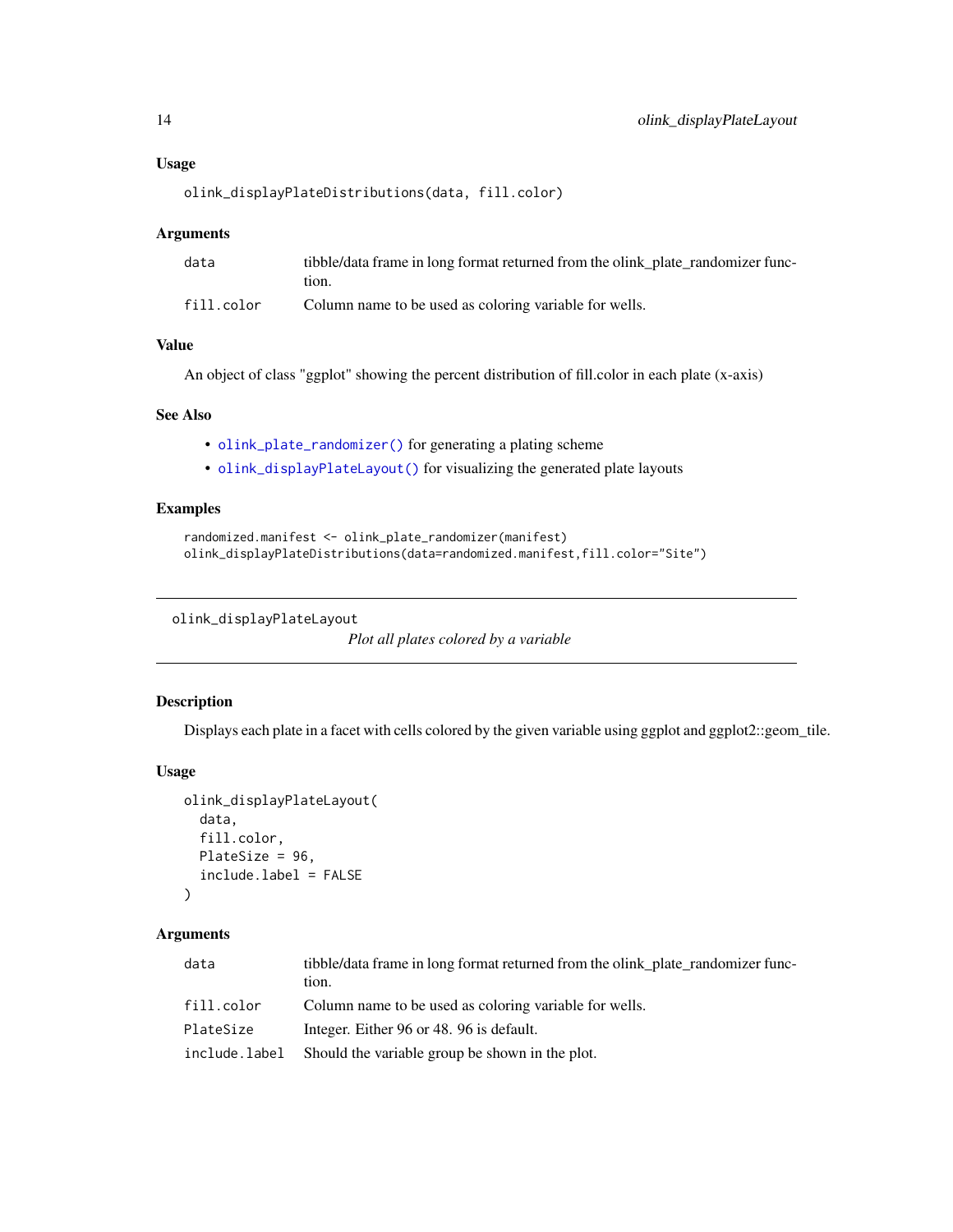## <span id="page-13-0"></span>Usage

olink\_displayPlateDistributions(data, fill.color)

#### Arguments

| data       | tibble/data frame in long format returned from the olink_plate_randomizer func- |
|------------|---------------------------------------------------------------------------------|
|            | tion.                                                                           |
| fill.color | Column name to be used as coloring variable for wells.                          |

## Value

An object of class "ggplot" showing the percent distribution of fill.color in each plate (x-axis)

#### See Also

- [olink\\_plate\\_randomizer\(\)](#page-0-0) for generating a plating scheme
- [olink\\_displayPlateLayout\(\)](#page-0-0) for visualizing the generated plate layouts

## Examples

```
randomized.manifest <- olink_plate_randomizer(manifest)
olink_displayPlateDistributions(data=randomized.manifest,fill.color="Site")
```

```
olink_displayPlateLayout
```

```
Plot all plates colored by a variable
```
## Description

Displays each plate in a facet with cells colored by the given variable using ggplot and ggplot2::geom\_tile.

#### Usage

```
olink_displayPlateLayout(
  data,
  fill.color,
  PlateSize = 96,
  include.label = FALSE
\mathcal{L}
```
#### Arguments

| data          | tibble/data frame in long format returned from the olink plate randomizer func-<br>tion. |
|---------------|------------------------------------------------------------------------------------------|
| fill.color    | Column name to be used as coloring variable for wells.                                   |
| PlateSize     | Integer. Either 96 or 48. 96 is default.                                                 |
| include.label | Should the variable group be shown in the plot.                                          |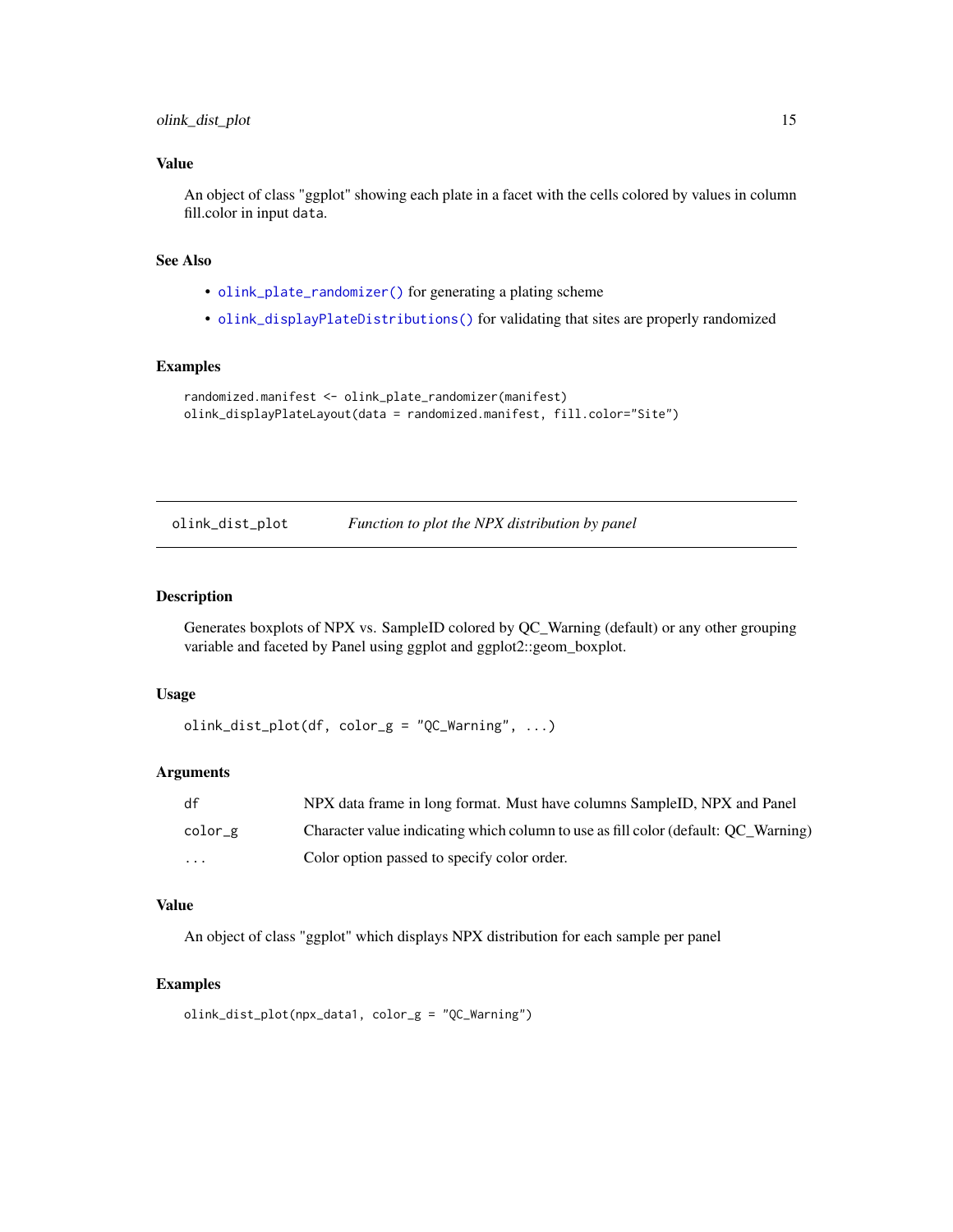## <span id="page-14-0"></span>Value

An object of class "ggplot" showing each plate in a facet with the cells colored by values in column fill.color in input data.

## See Also

- [olink\\_plate\\_randomizer\(\)](#page-0-0) for generating a plating scheme
- [olink\\_displayPlateDistributions\(\)](#page-0-0) for validating that sites are properly randomized

#### Examples

```
randomized.manifest <- olink_plate_randomizer(manifest)
olink_displayPlateLayout(data = randomized.manifest, fill.color="Site")
```

| olink_dist_plot |  | Function to plot the NPX distribution by panel |  |  |
|-----------------|--|------------------------------------------------|--|--|
|-----------------|--|------------------------------------------------|--|--|

#### Description

Generates boxplots of NPX vs. SampleID colored by QC\_Warning (default) or any other grouping variable and faceted by Panel using ggplot and ggplot2::geom\_boxplot.

#### Usage

```
olink\_dist\_plot(df, color_g = "QC_Warning", ...)
```
#### Arguments

| df       | NPX data frame in long format. Must have columns SampleID, NPX and Panel           |
|----------|------------------------------------------------------------------------------------|
| color_g  | Character value indicating which column to use as fill color (default: OC Warning) |
| $\cdots$ | Color option passed to specify color order.                                        |

## Value

An object of class "ggplot" which displays NPX distribution for each sample per panel

```
olink_dist_plot(npx_data1, color_g = "QC_Warning")
```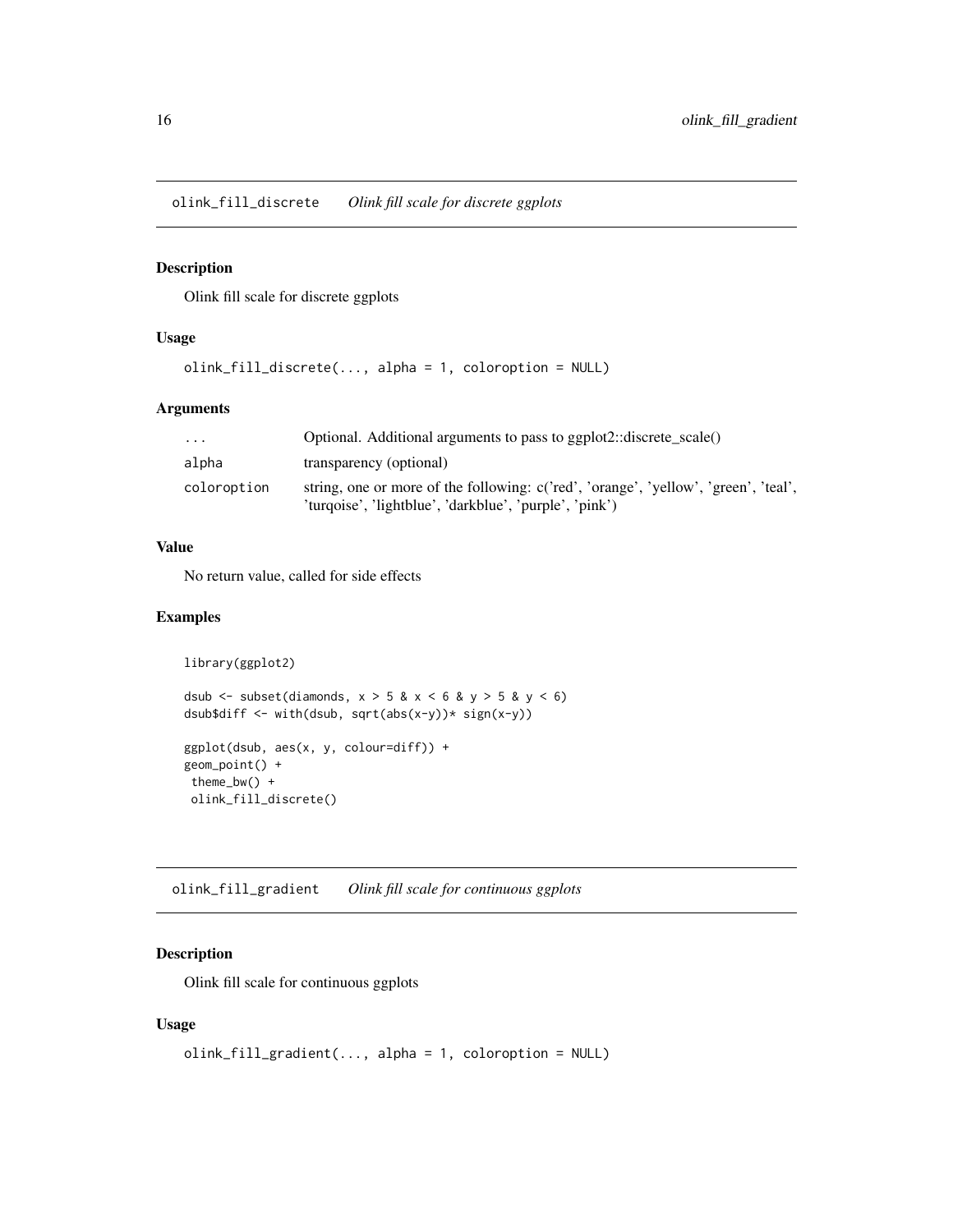<span id="page-15-0"></span>olink\_fill\_discrete *Olink fill scale for discrete ggplots*

## Description

Olink fill scale for discrete ggplots

#### Usage

```
olink_fill_discrete(..., alpha = 1, coloroption = NULL)
```
## Arguments

| $\cdot$     | Optional. Additional arguments to pass to ggplot2::discrete_scale()                                                                           |
|-------------|-----------------------------------------------------------------------------------------------------------------------------------------------|
| alpha       | transparency (optional)                                                                                                                       |
| coloroption | string, one or more of the following: c('red', 'orange', 'yellow', 'green', 'teal',<br>'turqoise', 'lightblue', 'darkblue', 'purple', 'pink') |

## Value

No return value, called for side effects

#### Examples

```
library(ggplot2)
dsub \le subset(diamonds, x > 5 & x < 6 & y > 5 & y < 6)
dsub$diff <- with(dsub, sqrt(abs(x-y))* sign(x-y))
ggplot(dsub, aes(x, y, colour=diff)) +
geom_point() +
theme_bw() +
 olink_fill_discrete()
```
olink\_fill\_gradient *Olink fill scale for continuous ggplots*

## Description

Olink fill scale for continuous ggplots

## Usage

```
olink_fill_gradient(..., alpha = 1, coloroption = NULL)
```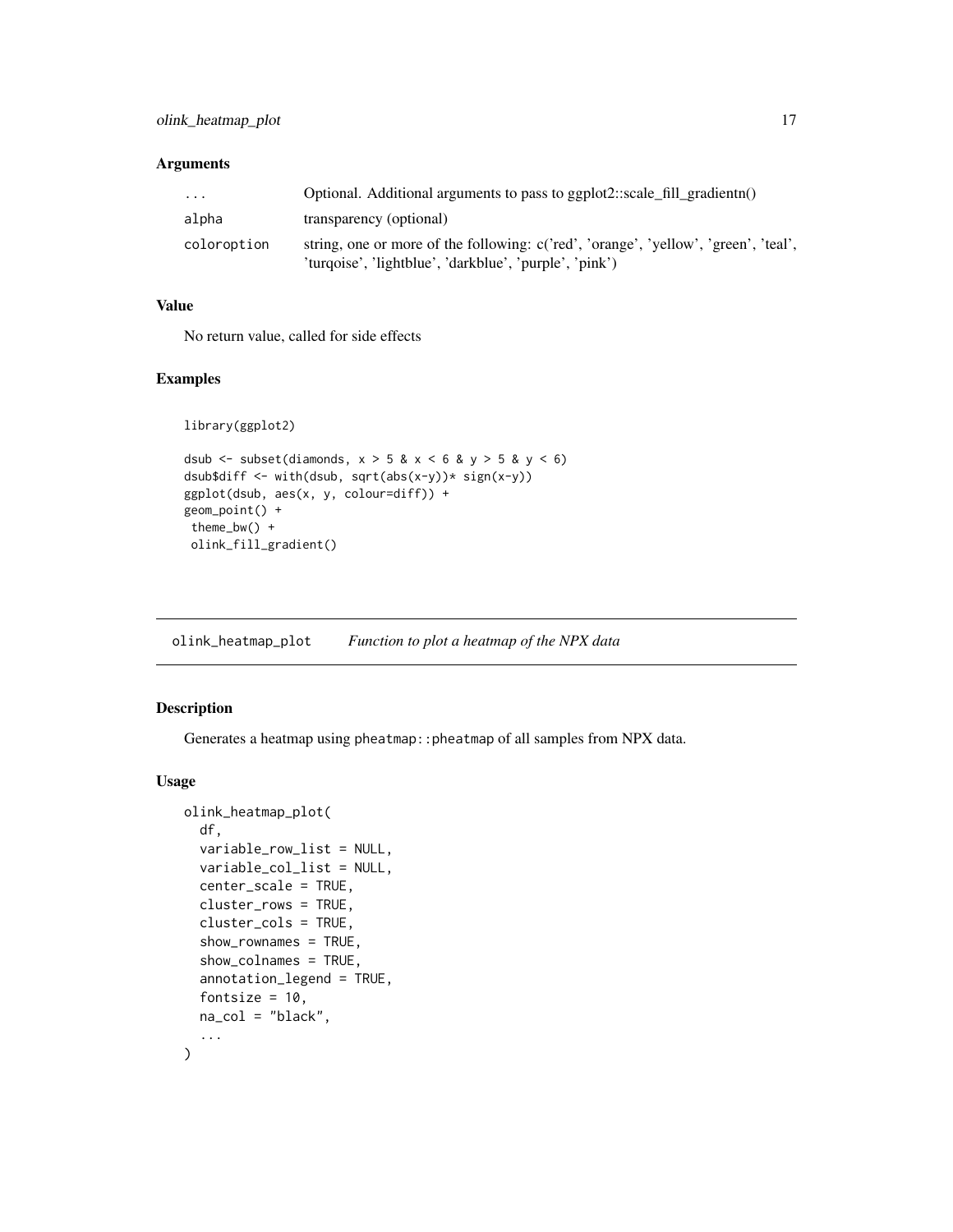## <span id="page-16-0"></span>Arguments

| $\cdot$ $\cdot$ $\cdot$ | Optional. Additional arguments to pass to ggplot2::scale_fill_gradientn()           |
|-------------------------|-------------------------------------------------------------------------------------|
| alpha                   | transparency (optional)                                                             |
| coloroption             | string, one or more of the following: c('red', 'orange', 'yellow', 'green', 'teal', |
|                         | 'turqoise', 'lightblue', 'darkblue', 'purple', 'pink')                              |

## Value

No return value, called for side effects

## Examples

```
library(ggplot2)
```

```
dsub \le subset(diamonds, x > 5 & x < 6 & y > 5 & y < 6)
dsub$diff <- with(dsub, sqrt(abs(x-y))* sign(x-y))
ggplot(dsub, aes(x, y, colour=diff)) +
geom_point() +
theme_bw() +
 olink_fill_gradient()
```
olink\_heatmap\_plot *Function to plot a heatmap of the NPX data*

## Description

Generates a heatmap using pheatmap:: pheatmap of all samples from NPX data.

#### Usage

```
olink_heatmap_plot(
 df,
 variable_row_list = NULL,
 variable_col_list = NULL,
  center_scale = TRUE,
 cluster_rows = TRUE,
  cluster_cols = TRUE,
  show_rownames = TRUE,
  show_colnames = TRUE,
  annotation_legend = TRUE,
  fontsize = 10,
 na_col = "black",
  ...
)
```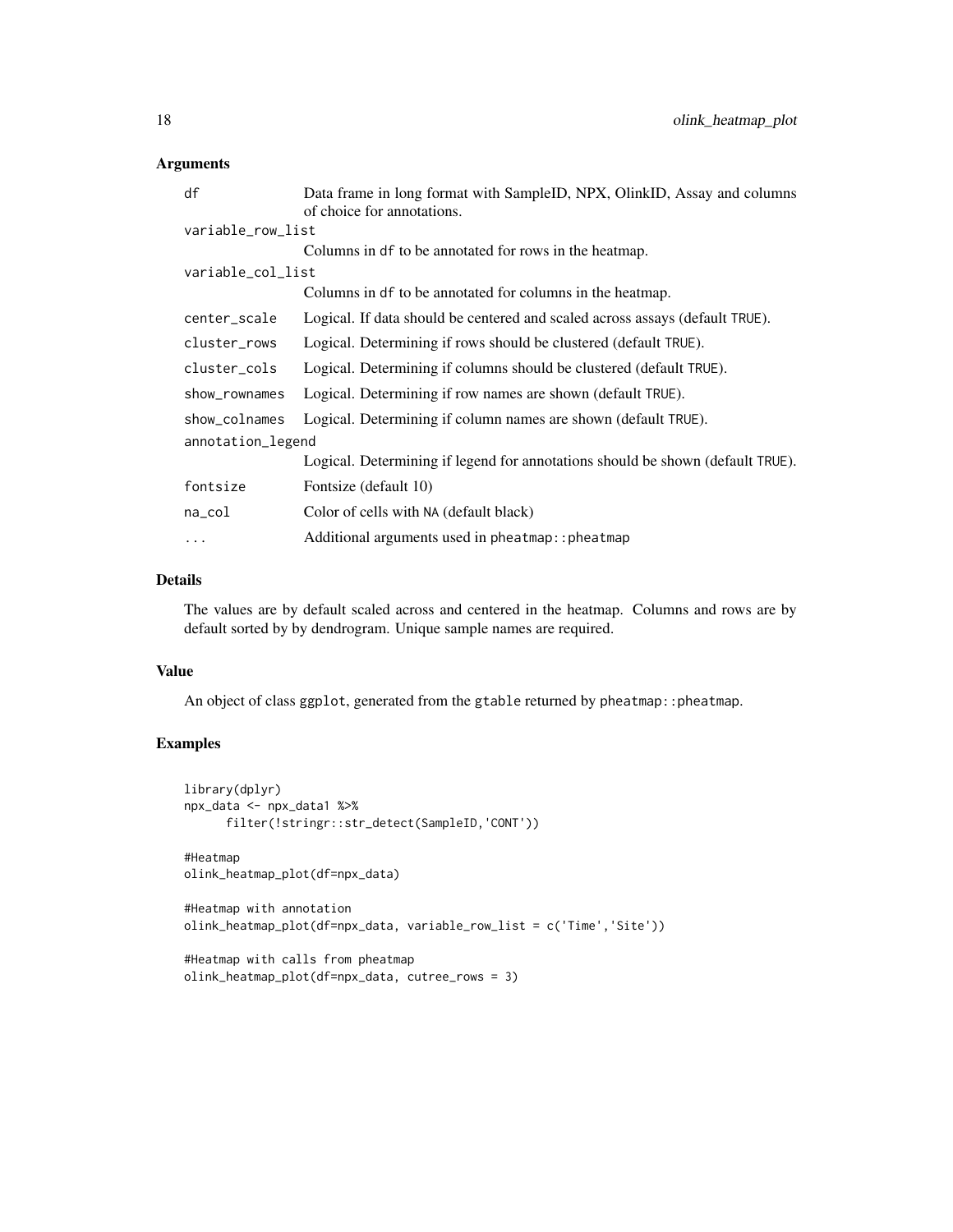## Arguments

| df                | Data frame in long format with SampleID, NPX, OlinkID, Assay and columns       |  |
|-------------------|--------------------------------------------------------------------------------|--|
|                   | of choice for annotations.                                                     |  |
| variable_row_list |                                                                                |  |
|                   | Columns in df to be annotated for rows in the heatmap.                         |  |
| variable_col_list |                                                                                |  |
|                   | Columns in df to be annotated for columns in the heatmap.                      |  |
| center_scale      | Logical. If data should be centered and scaled across assays (default TRUE).   |  |
| cluster_rows      | Logical. Determining if rows should be clustered (default TRUE).               |  |
| cluster_cols      | Logical. Determining if columns should be clustered (default TRUE).            |  |
| show_rownames     | Logical. Determining if row names are shown (default TRUE).                    |  |
| show_colnames     | Logical. Determining if column names are shown (default TRUE).                 |  |
| annotation_legend |                                                                                |  |
|                   | Logical. Determining if legend for annotations should be shown (default TRUE). |  |
| fontsize          | Fontsize (default 10)                                                          |  |
| na_col            | Color of cells with NA (default black)                                         |  |
| $\cdots$          | Additional arguments used in pheatmap:: pheatmap                               |  |

## Details

The values are by default scaled across and centered in the heatmap. Columns and rows are by default sorted by by dendrogram. Unique sample names are required.

#### Value

An object of class ggplot, generated from the gtable returned by pheatmap:: pheatmap.

```
library(dplyr)
npx_data <- npx_data1 %>%
      filter(!stringr::str_detect(SampleID,'CONT'))
#Heatmap
olink_heatmap_plot(df=npx_data)
#Heatmap with annotation
olink_heatmap_plot(df=npx_data, variable_row_list = c('Time','Site'))
#Heatmap with calls from pheatmap
olink_heatmap_plot(df=npx_data, cutree_rows = 3)
```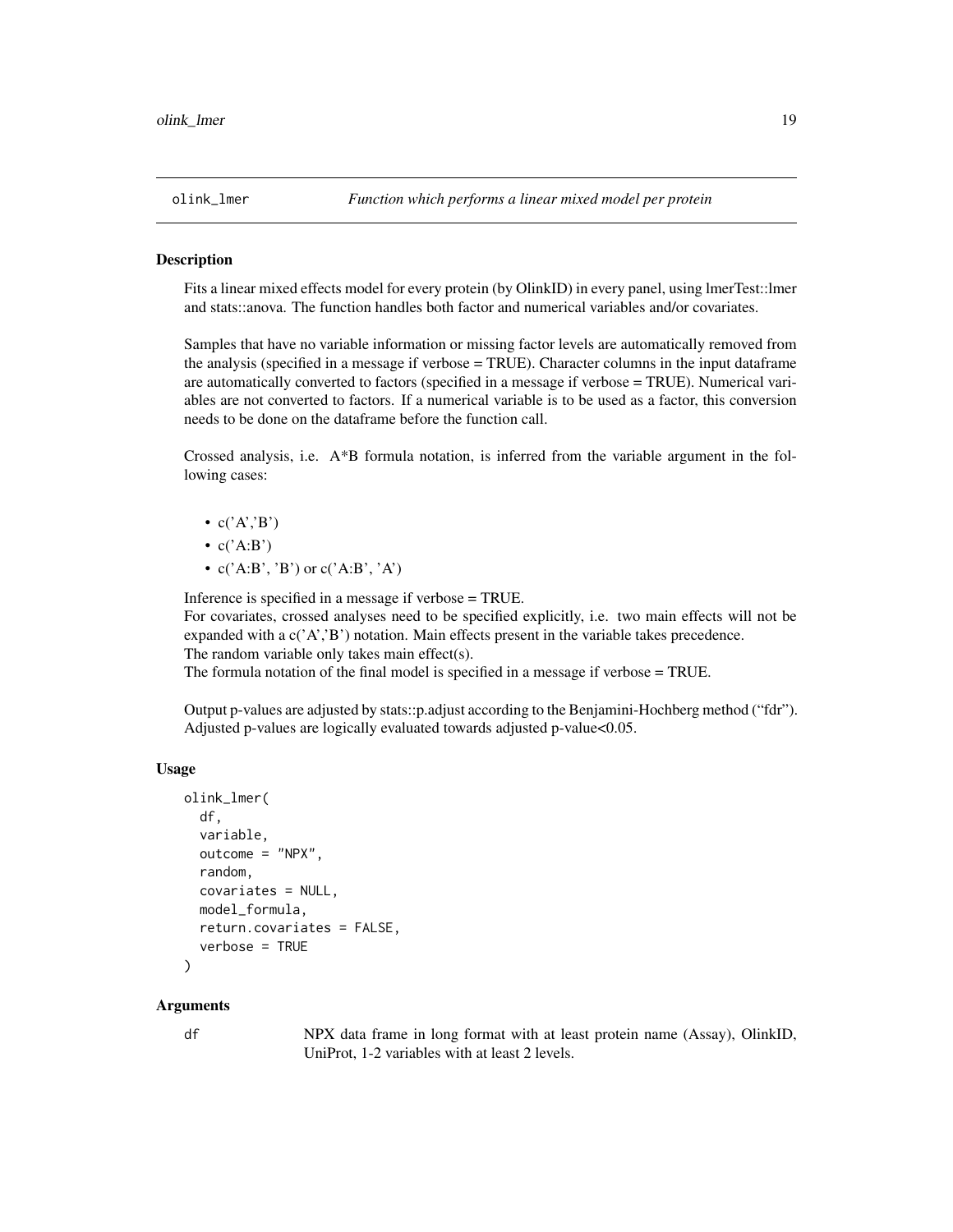#### <span id="page-18-0"></span>**Description**

Fits a linear mixed effects model for every protein (by OlinkID) in every panel, using lmerTest::lmer and stats::anova. The function handles both factor and numerical variables and/or covariates.

Samples that have no variable information or missing factor levels are automatically removed from the analysis (specified in a message if verbose = TRUE). Character columns in the input dataframe are automatically converted to factors (specified in a message if verbose = TRUE). Numerical variables are not converted to factors. If a numerical variable is to be used as a factor, this conversion needs to be done on the dataframe before the function call.

Crossed analysis, i.e. A\*B formula notation, is inferred from the variable argument in the following cases:

- $c('A', B')$
- $c('A:B')$
- $c('A:B', 'B')$  or  $c('A:B', 'A')$

Inference is specified in a message if verbose = TRUE.

For covariates, crossed analyses need to be specified explicitly, i.e. two main effects will not be expanded with a  $c('A', B')$  notation. Main effects present in the variable takes precedence. The random variable only takes main effect(s).

The formula notation of the final model is specified in a message if verbose = TRUE.

Output p-values are adjusted by stats::p.adjust according to the Benjamini-Hochberg method ("fdr"). Adjusted p-values are logically evaluated towards adjusted p-value<0.05.

## Usage

```
olink_lmer(
  df,
  variable,
  outcome = "NPX",
  random,
  covariates = NULL,
 model_formula,
  return.covariates = FALSE,
  verbose = TRUE
)
```
#### Arguments

df NPX data frame in long format with at least protein name (Assay), OlinkID, UniProt, 1-2 variables with at least 2 levels.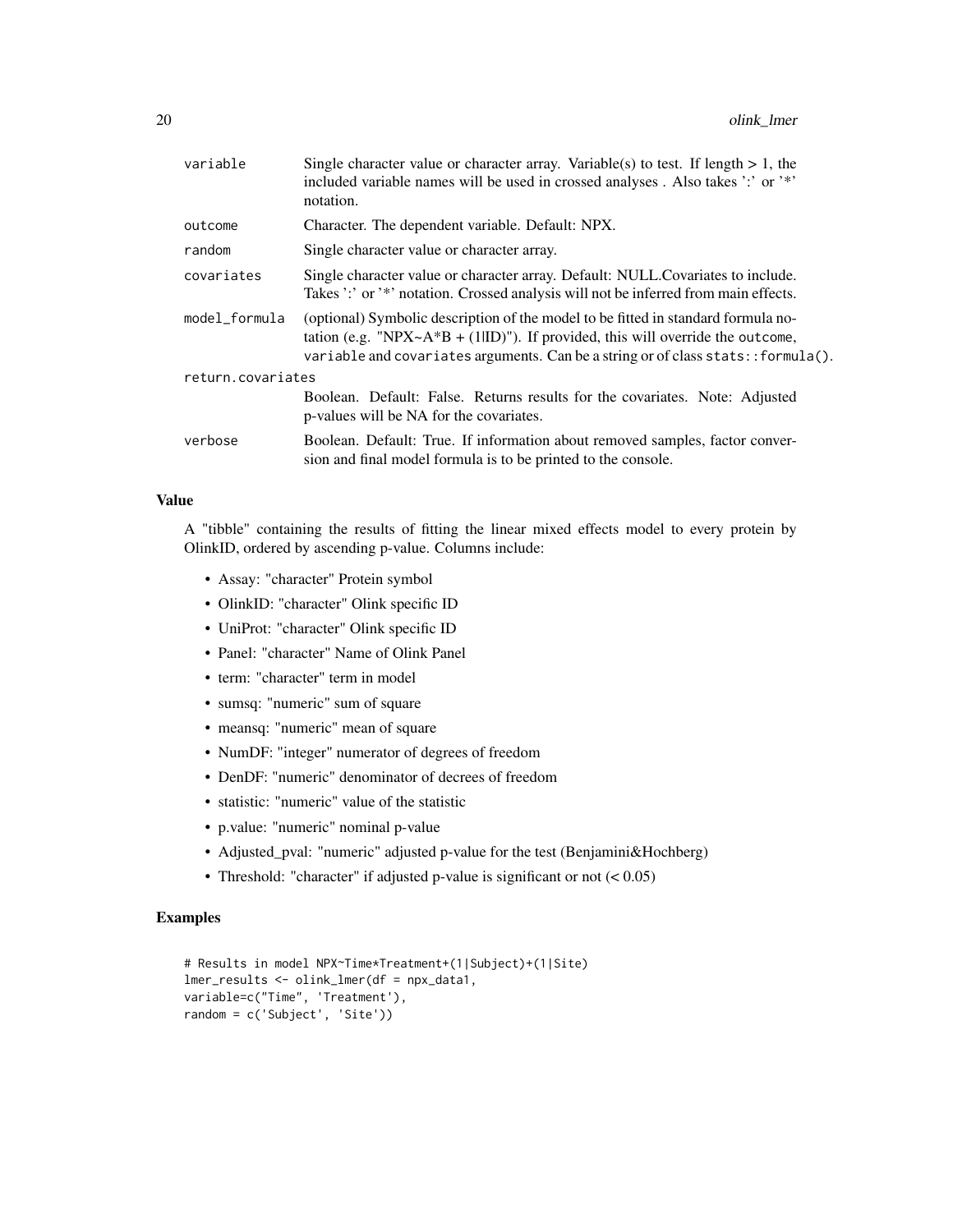| variable          | Single character value or character array. Variable(s) to test. If length $> 1$ , the<br>included variable names will be used in crossed analyses. Also takes ':' or '*'<br>notation.                                                                         |  |
|-------------------|---------------------------------------------------------------------------------------------------------------------------------------------------------------------------------------------------------------------------------------------------------------|--|
| outcome           | Character. The dependent variable. Default: NPX.                                                                                                                                                                                                              |  |
| random            | Single character value or character array.                                                                                                                                                                                                                    |  |
| covariates        | Single character value or character array. Default: NULL. Covariates to include.<br>Takes ':' or '*' notation. Crossed analysis will not be inferred from main effects.                                                                                       |  |
| model_formula     | (optional) Symbolic description of the model to be fitted in standard formula no-<br>tation (e.g. "NPX~ $A*B + (1 ID)$ "). If provided, this will override the outcome,<br>variable and covariates arguments. Can be a string or of class stats: : formula(). |  |
| return.covariates |                                                                                                                                                                                                                                                               |  |
|                   | Boolean. Default: False. Returns results for the covariates. Note: Adjusted<br>p-values will be NA for the covariates.                                                                                                                                        |  |
| verbose           | Boolean. Default: True. If information about removed samples, factor conver-<br>sion and final model formula is to be printed to the console.                                                                                                                 |  |
|                   |                                                                                                                                                                                                                                                               |  |

## Value

A "tibble" containing the results of fitting the linear mixed effects model to every protein by OlinkID, ordered by ascending p-value. Columns include:

- Assay: "character" Protein symbol
- OlinkID: "character" Olink specific ID
- UniProt: "character" Olink specific ID
- Panel: "character" Name of Olink Panel
- term: "character" term in model
- sumsq: "numeric" sum of square
- meansq: "numeric" mean of square
- NumDF: "integer" numerator of degrees of freedom
- DenDF: "numeric" denominator of decrees of freedom
- statistic: "numeric" value of the statistic
- p.value: "numeric" nominal p-value
- Adjusted\_pval: "numeric" adjusted p-value for the test (Benjamini&Hochberg)
- Threshold: "character" if adjusted p-value is significant or not  $(< 0.05)$

```
# Results in model NPX~Time*Treatment+(1|Subject)+(1|Site)
lmer_results <- olink_lmer(df = npx_data1,
variable=c("Time", 'Treatment'),
random = c('Subject', 'Site'))
```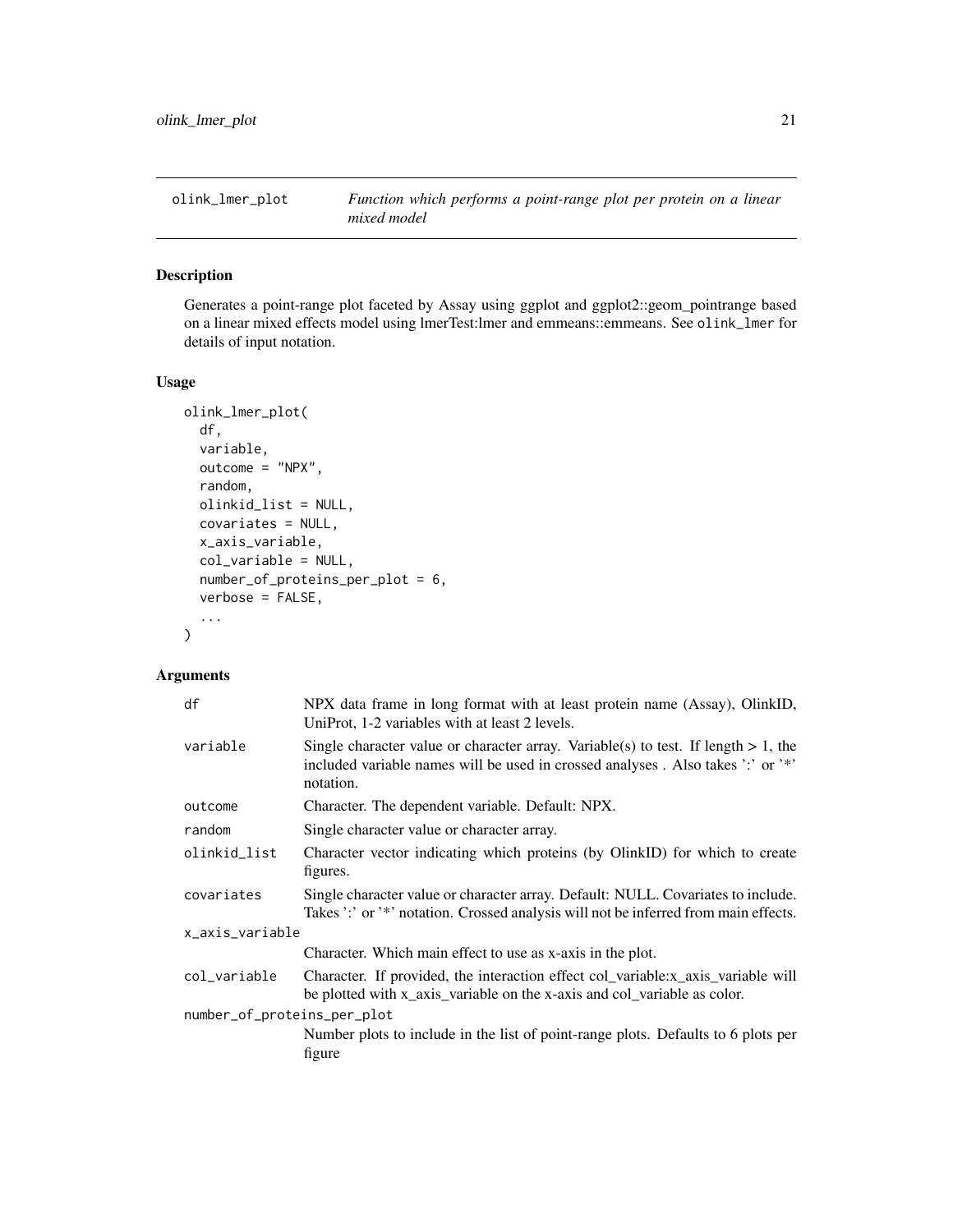<span id="page-20-0"></span>

### Description

Generates a point-range plot faceted by Assay using ggplot and ggplot2::geom\_pointrange based on a linear mixed effects model using lmerTest:lmer and emmeans::emmeans. See olink\_lmer for details of input notation.

#### Usage

```
olink_lmer_plot(
  df,
  variable,
  outcome = "NPX",
  random,
  olinkid_list = NULL,
  covariates = NULL,
  x_axis_variable,
  col_variable = NULL,
  number_of_proteins_per_plot = 6,
  verbose = FALSE,
  ...
\mathcal{L}
```
## Arguments

| df                          | NPX data frame in long format with at least protein name (Assay), OlinkID,<br>UniProt, 1-2 variables with at least 2 levels.                                                          |
|-----------------------------|---------------------------------------------------------------------------------------------------------------------------------------------------------------------------------------|
| variable                    | Single character value or character array. Variable(s) to test. If length $> 1$ , the<br>included variable names will be used in crossed analyses. Also takes ':' or '*'<br>notation. |
| outcome                     | Character. The dependent variable. Default: NPX.                                                                                                                                      |
| random                      | Single character value or character array.                                                                                                                                            |
| olinkid_list                | Character vector indicating which proteins (by OlinkID) for which to create<br>figures.                                                                                               |
| covariates                  | Single character value or character array. Default: NULL. Covariates to include.<br>Takes ':' or '*' notation. Crossed analysis will not be inferred from main effects.               |
| x_axis_variable             |                                                                                                                                                                                       |
|                             | Character. Which main effect to use as x-axis in the plot.                                                                                                                            |
| col_variable                | Character. If provided, the interaction effect col_variable:x_axis_variable will<br>be plotted with x_axis_variable on the x-axis and col_variable as color.                          |
| number_of_proteins_per_plot |                                                                                                                                                                                       |
|                             | Number plots to include in the list of point-range plots. Defaults to 6 plots per<br>figure                                                                                           |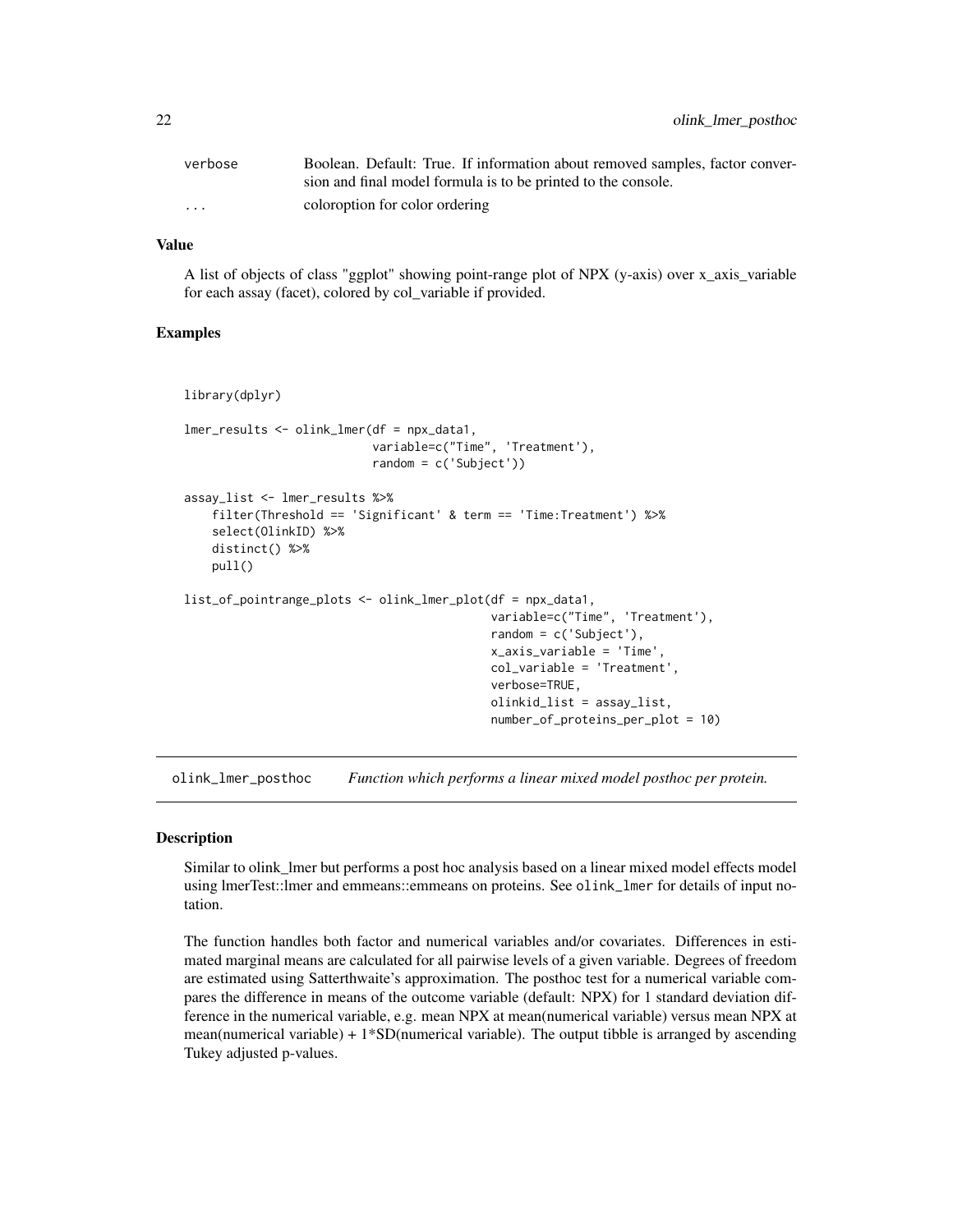<span id="page-21-0"></span>

| verbose                 | Boolean. Default: True. If information about removed samples, factor conver- |
|-------------------------|------------------------------------------------------------------------------|
|                         | sion and final model formula is to be printed to the console.                |
| $\cdot$ $\cdot$ $\cdot$ | coloroption for color ordering                                               |

## Value

A list of objects of class "ggplot" showing point-range plot of NPX (y-axis) over x\_axis\_variable for each assay (facet), colored by col\_variable if provided.

## Examples

```
library(dplyr)
lmer_results <- olink_lmer(df = npx_data1,
                           variable=c("Time", 'Treatment'),
                           random = c('Subject'))
assay_list <- lmer_results %>%
    filter(Threshold == 'Significant' & term == 'Time:Treatment') %>%
    select(OlinkID) %>%
   distinct() %>%
   pull()
list_of_pointrange_plots <- olink_lmer_plot(df = npx_data1,
                                            variable=c("Time", 'Treatment'),
                                            random = c('Subject'),
                                            x_axis_variable = 'Time',
                                            col_variable = 'Treatment',
                                            verbose=TRUE,
                                            olinkid_list = assay_list,
                                            number_of_proteins_per_plot = 10)
```
olink\_lmer\_posthoc *Function which performs a linear mixed model posthoc per protein.*

## **Description**

Similar to olink\_lmer but performs a post hoc analysis based on a linear mixed model effects model using lmerTest::lmer and emmeans::emmeans on proteins. See olink\_lmer for details of input notation.

The function handles both factor and numerical variables and/or covariates. Differences in estimated marginal means are calculated for all pairwise levels of a given variable. Degrees of freedom are estimated using Satterthwaite's approximation. The posthoc test for a numerical variable compares the difference in means of the outcome variable (default: NPX) for 1 standard deviation difference in the numerical variable, e.g. mean NPX at mean(numerical variable) versus mean NPX at mean(numerical variable)  $+ 1*SD$ (numerical variable). The output tibble is arranged by ascending Tukey adjusted p-values.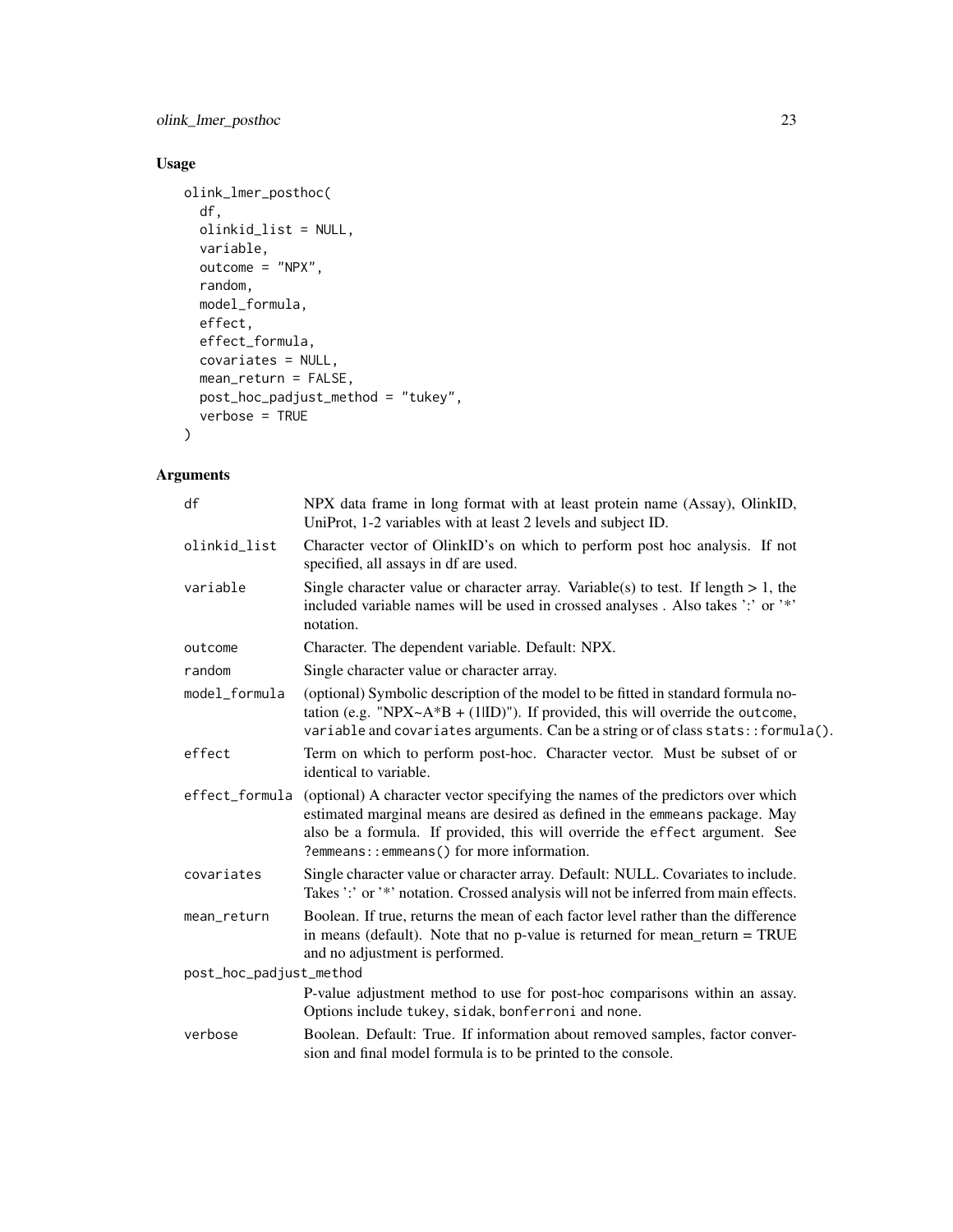olink\_lmer\_posthoc 23

## Usage

```
olink_lmer_posthoc(
  df,
  olinkid_list = NULL,
  variable,
 outcome = "NPX",random,
  model_formula,
  effect,
  effect_formula,
  covariates = NULL,
  mean_return = FALSE,
  post_hoc_padjust_method = "tukey",
  verbose = TRUE
\mathcal{L}
```
## Arguments

| df                      | NPX data frame in long format with at least protein name (Assay), OlinkID,<br>UniProt, 1-2 variables with at least 2 levels and subject ID.                                                                                                                                                |  |
|-------------------------|--------------------------------------------------------------------------------------------------------------------------------------------------------------------------------------------------------------------------------------------------------------------------------------------|--|
| olinkid_list            | Character vector of OlinkID's on which to perform post hoc analysis. If not<br>specified, all assays in df are used.                                                                                                                                                                       |  |
| variable                | Single character value or character array. Variable(s) to test. If length $> 1$ , the<br>included variable names will be used in crossed analyses. Also takes ':' or '*'<br>notation.                                                                                                      |  |
| outcome                 | Character. The dependent variable. Default: NPX.                                                                                                                                                                                                                                           |  |
| random                  | Single character value or character array.                                                                                                                                                                                                                                                 |  |
| model_formula           | (optional) Symbolic description of the model to be fitted in standard formula no-<br>tation (e.g. "NPX~ $A*B + (1 ID)$ "). If provided, this will override the outcome,<br>variable and covariates arguments. Can be a string or of class stats: : formula().                              |  |
| effect                  | Term on which to perform post-hoc. Character vector. Must be subset of or<br>identical to variable.                                                                                                                                                                                        |  |
| effect_formula          | (optional) A character vector specifying the names of the predictors over which<br>estimated marginal means are desired as defined in the emmeans package. May<br>also be a formula. If provided, this will override the effect argument. See<br>?emmeans::emmeans() for more information. |  |
| covariates              | Single character value or character array. Default: NULL. Covariates to include.<br>Takes ':' or '*' notation. Crossed analysis will not be inferred from main effects.                                                                                                                    |  |
| mean_return             | Boolean. If true, returns the mean of each factor level rather than the difference<br>in means (default). Note that no p-value is returned for mean_return = $TRUE$<br>and no adjustment is performed.                                                                                     |  |
| post_hoc_padjust_method |                                                                                                                                                                                                                                                                                            |  |
|                         | P-value adjustment method to use for post-hoc comparisons within an assay.<br>Options include tukey, sidak, bonferroni and none.                                                                                                                                                           |  |
| verbose                 | Boolean. Default: True. If information about removed samples, factor conver-<br>sion and final model formula is to be printed to the console.                                                                                                                                              |  |
|                         |                                                                                                                                                                                                                                                                                            |  |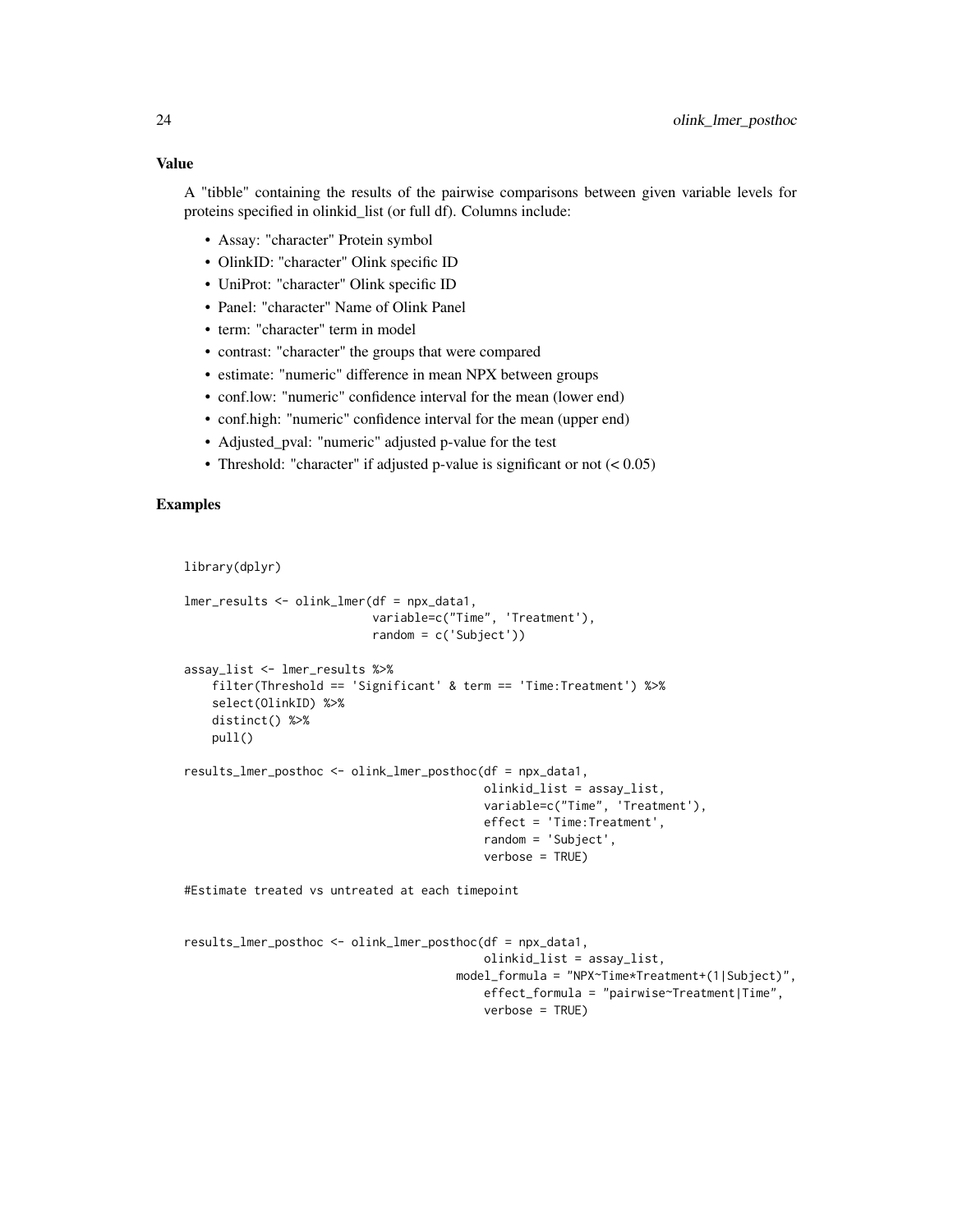## Value

A "tibble" containing the results of the pairwise comparisons between given variable levels for proteins specified in olinkid\_list (or full df). Columns include:

- Assay: "character" Protein symbol
- OlinkID: "character" Olink specific ID
- UniProt: "character" Olink specific ID
- Panel: "character" Name of Olink Panel
- term: "character" term in model
- contrast: "character" the groups that were compared
- estimate: "numeric" difference in mean NPX between groups
- conf.low: "numeric" confidence interval for the mean (lower end)
- conf.high: "numeric" confidence interval for the mean (upper end)
- Adjusted\_pval: "numeric" adjusted p-value for the test
- Threshold: "character" if adjusted p-value is significant or not  $(< 0.05)$

#### Examples

```
library(dplyr)
```

```
lmer_results <- olink_lmer(df = npx_data1,
                           variable=c("Time", 'Treatment'),
                           random = c('Subject'))
assay_list <- lmer_results %>%
    filter(Threshold == 'Significant' & term == 'Time:Treatment') %>%
    select(OlinkID) %>%
   distinct() %>%
   pull()
results_lmer_posthoc <- olink_lmer_posthoc(df = npx_data1,
                                           olinkid_list = assay_list,
```

```
variable=c("Time", 'Treatment'),
effect = 'Time:Treatment',
random = 'Subject',
verbose = TRUE)
```
#Estimate treated vs untreated at each timepoint

```
results_lmer_posthoc <- olink_lmer_posthoc(df = npx_data1,
                                           olinkid_list = assay_list,
                                       model_formula = "NPX~Time*Treatment+(1|Subject)",
                                           effect_formula = "pairwise~Treatment|Time",
                                           verbose = TRUE)
```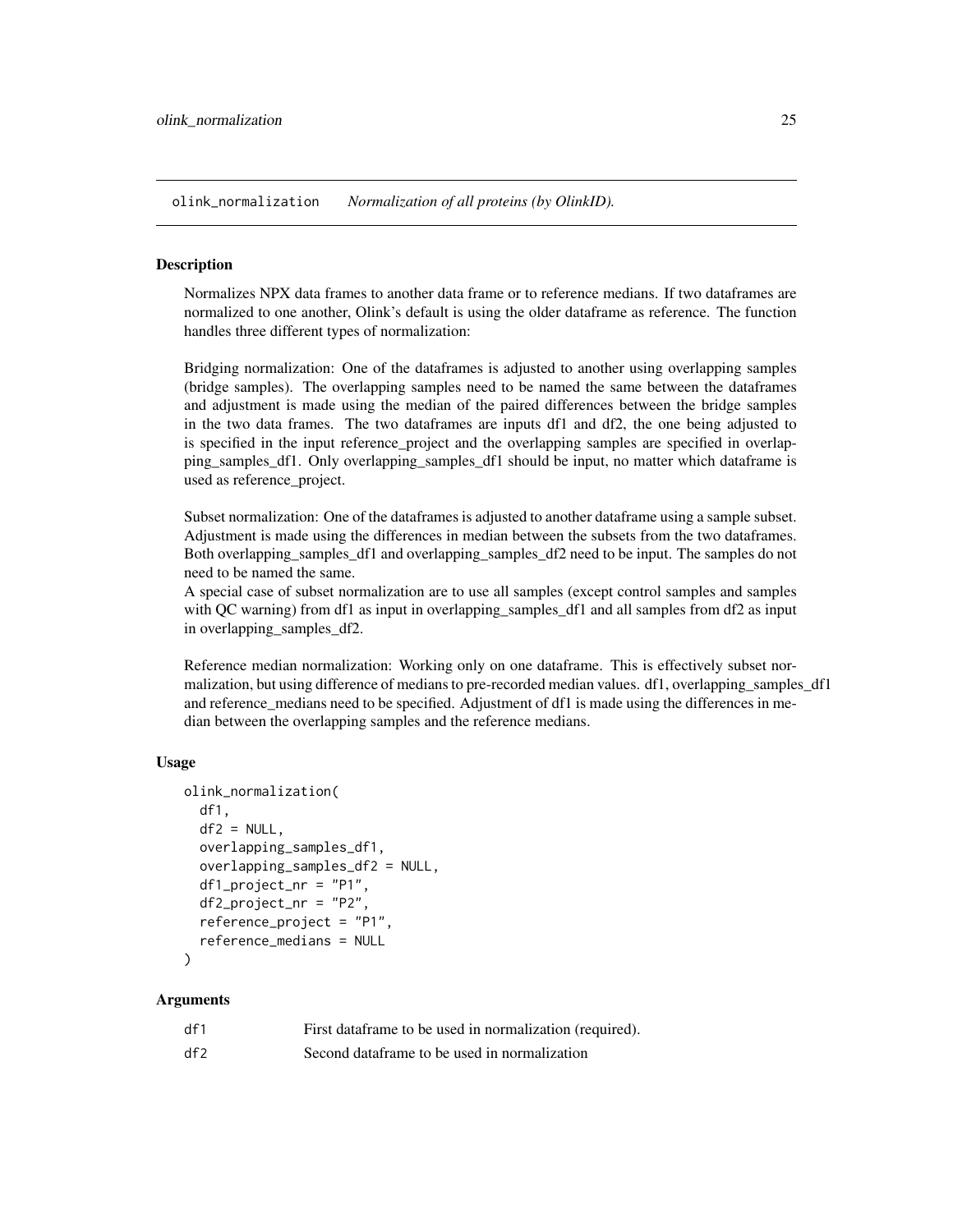<span id="page-24-0"></span>olink\_normalization *Normalization of all proteins (by OlinkID).*

#### Description

Normalizes NPX data frames to another data frame or to reference medians. If two dataframes are normalized to one another, Olink's default is using the older dataframe as reference. The function handles three different types of normalization:

Bridging normalization: One of the dataframes is adjusted to another using overlapping samples (bridge samples). The overlapping samples need to be named the same between the dataframes and adjustment is made using the median of the paired differences between the bridge samples in the two data frames. The two dataframes are inputs df1 and df2, the one being adjusted to is specified in the input reference\_project and the overlapping samples are specified in overlapping\_samples\_df1. Only overlapping\_samples\_df1 should be input, no matter which dataframe is used as reference\_project.

Subset normalization: One of the dataframes is adjusted to another dataframe using a sample subset. Adjustment is made using the differences in median between the subsets from the two dataframes. Both overlapping\_samples\_df1 and overlapping\_samples\_df2 need to be input. The samples do not need to be named the same.

A special case of subset normalization are to use all samples (except control samples and samples with QC warning) from df1 as input in overlapping samples df1 and all samples from df2 as input in overlapping\_samples\_df2.

Reference median normalization: Working only on one dataframe. This is effectively subset normalization, but using difference of medians to pre-recorded median values. df1, overlapping\_samples\_df1 and reference medians need to be specified. Adjustment of df1 is made using the differences in median between the overlapping samples and the reference medians.

#### Usage

```
olink_normalization(
  df1,
  df2 = NULL,overlapping_samples_df1,
  overlapping_samples_df2 = NULL,
  df1_project_nr = "P1",
  df2_project_nr = "P2",
  reference_project = "P1",
  reference_medians = NULL
\mathcal{L}
```
## Arguments

| df1 | First data frame to be used in normalization (required). |
|-----|----------------------------------------------------------|
| df2 | Second dataframe to be used in normalization             |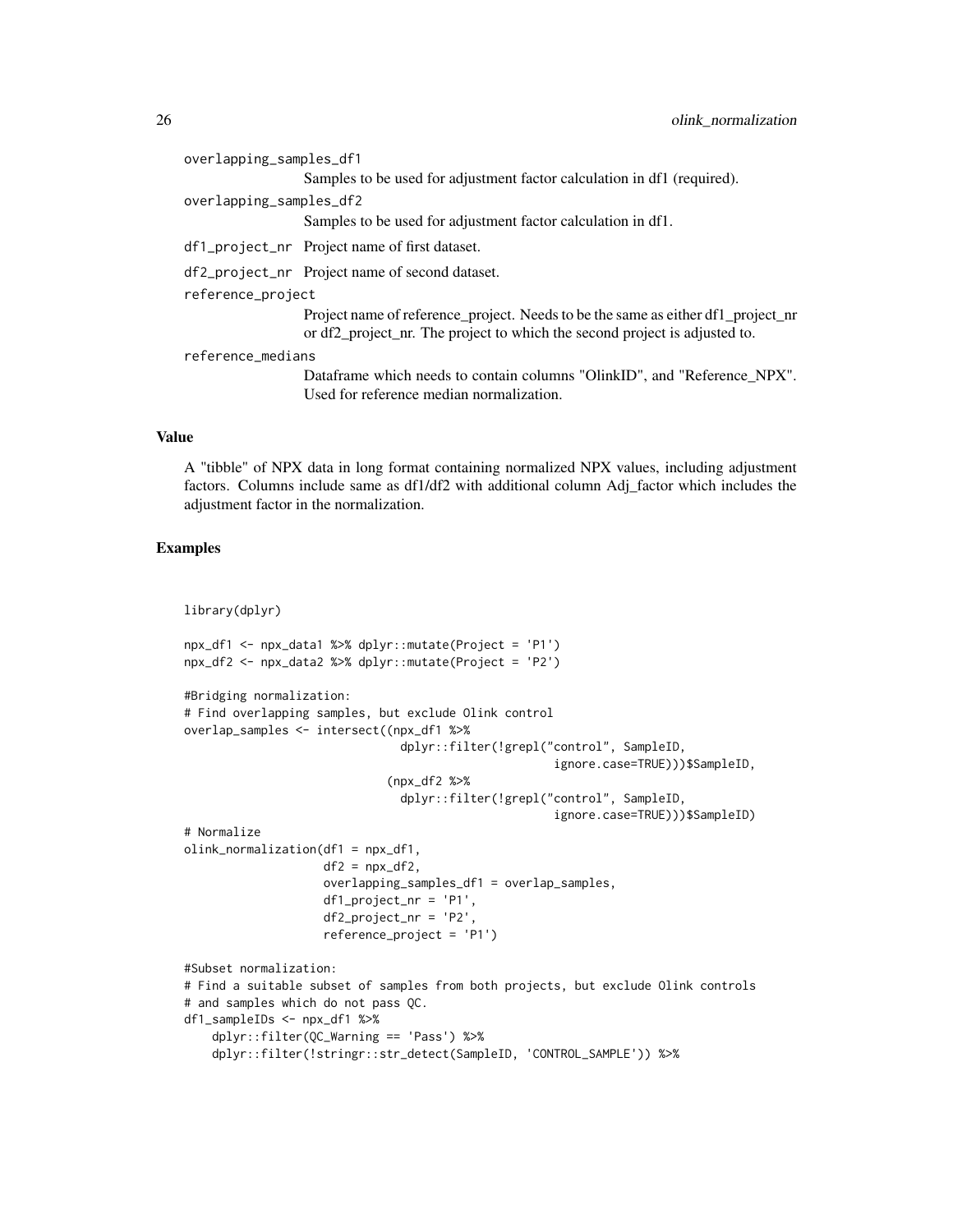overlapping\_samples\_df1

Samples to be used for adjustment factor calculation in df1 (required).

overlapping\_samples\_df2

Samples to be used for adjustment factor calculation in df1.

df1\_project\_nr Project name of first dataset.

df2\_project\_nr Project name of second dataset.

reference\_project

Project name of reference\_project. Needs to be the same as either df1\_project\_nr or df2\_project\_nr. The project to which the second project is adjusted to.

reference\_medians

Dataframe which needs to contain columns "OlinkID", and "Reference\_NPX". Used for reference median normalization.

#### Value

A "tibble" of NPX data in long format containing normalized NPX values, including adjustment factors. Columns include same as df1/df2 with additional column Adj\_factor which includes the adjustment factor in the normalization.

```
library(dplyr)
npx_df1 <- npx_data1 %>% dplyr::mutate(Project = 'P1')
npx_df2 <- npx_data2 %>% dplyr::mutate(Project = 'P2')
#Bridging normalization:
# Find overlapping samples, but exclude Olink control
overlap_samples <- intersect((npx_df1 %>%
                               dplyr::filter(!grepl("control", SampleID,
                                                     ignore.case=TRUE)))$SampleID,
                             (npx_df2 %>%
                               dplyr::filter(!grepl("control", SampleID,
                                                     ignore.case=TRUE)))$SampleID)
# Normalize
olink_normalization(df1 = npx_df1,
                    df2 = npx_df2,
                    overlapping_samples_df1 = overlap_samples,
                    df1_project_nr = 'P1',
                    df2_project_nr = 'P2',
                    reference_project = 'P1')
#Subset normalization:
# Find a suitable subset of samples from both projects, but exclude Olink controls
# and samples which do not pass QC.
df1_sampleIDs <- npx_df1 %>%
    dplyr::filter(QC_Warning == 'Pass') %>%
    dplyr::filter(!stringr::str_detect(SampleID, 'CONTROL_SAMPLE')) %>%
```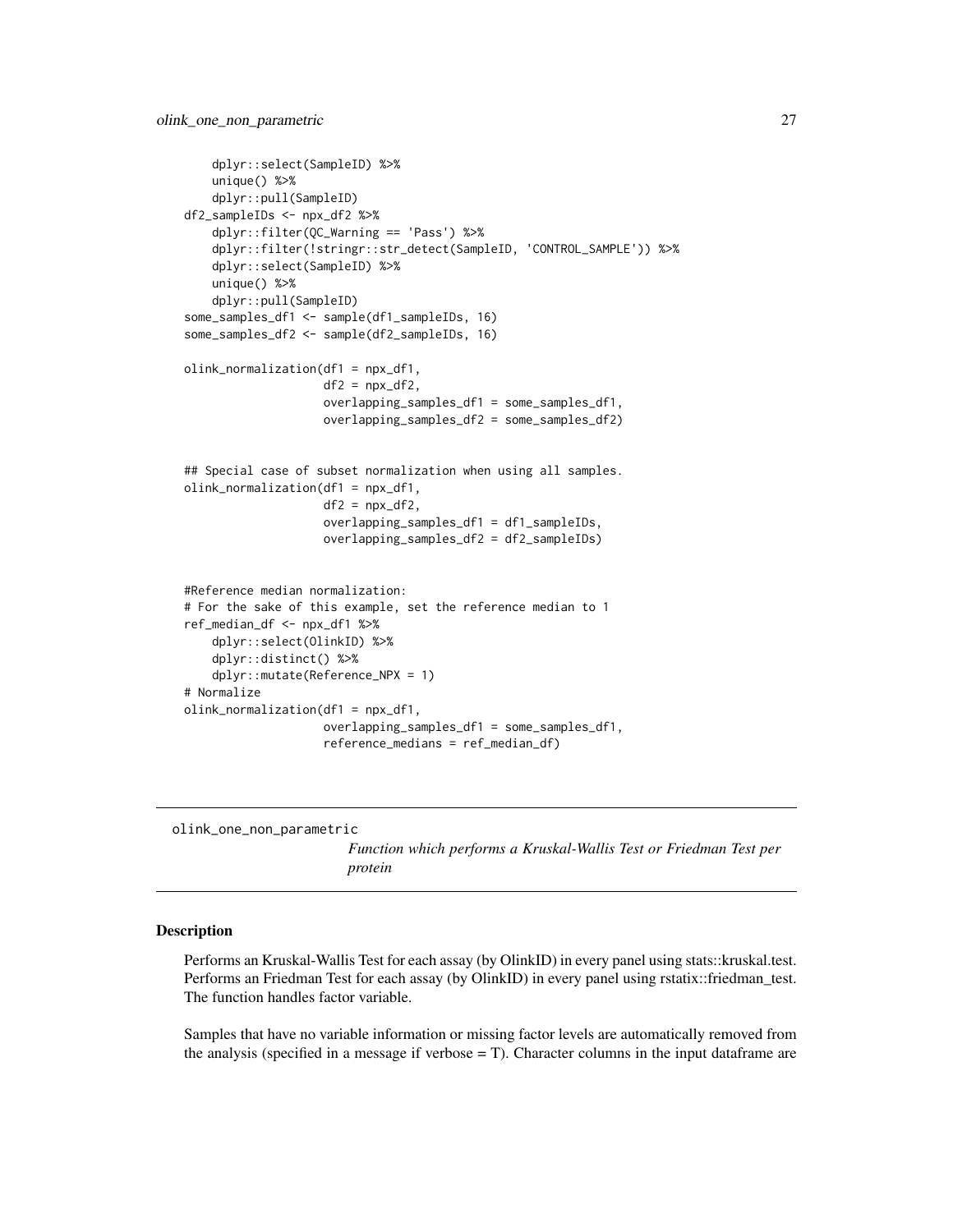```
dplyr::select(SampleID) %>%
    unique() %>%
    dplyr::pull(SampleID)
df2_sampleIDs <- npx_df2 %>%
   dplyr::filter(QC_Warning == 'Pass') %>%
    dplyr::filter(!stringr::str_detect(SampleID, 'CONTROL_SAMPLE')) %>%
    dplyr::select(SampleID) %>%
    unique() %>%
    dplyr::pull(SampleID)
some_samples_df1 <- sample(df1_sampleIDs, 16)
some_samples_df2 <- sample(df2_sampleIDs, 16)
olink_normalization(df1 = npx_df1,
                    df2 = npx_df2,
                    overlapping_samples_df1 = some_samples_df1,
                    overlapping_samples_df2 = some_samples_df2)
## Special case of subset normalization when using all samples.
olink_normalization(df1 = npx_df1,
                    df2 = npx_df2,
                    overlapping_samples_df1 = df1_sampleIDs,
                    overlapping_samples_df2 = df2_sampleIDs)
#Reference median normalization:
# For the sake of this example, set the reference median to 1
ref_median_df <- npx_df1 %>%
    dplyr::select(OlinkID) %>%
    dplyr::distinct() %>%
    dplyr::mutate(Reference_NPX = 1)
# Normalize
olink_normalization(df1 = npx_df1,
                    overlapping_samples_df1 = some_samples_df1,
                    reference_medians = ref_median_df)
```
olink\_one\_non\_parametric

*Function which performs a Kruskal-Wallis Test or Friedman Test per protein*

#### Description

Performs an Kruskal-Wallis Test for each assay (by OlinkID) in every panel using stats::kruskal.test. Performs an Friedman Test for each assay (by OlinkID) in every panel using rstatix::friedman\_test. The function handles factor variable.

Samples that have no variable information or missing factor levels are automatically removed from the analysis (specified in a message if verbose  $= T$ ). Character columns in the input dataframe are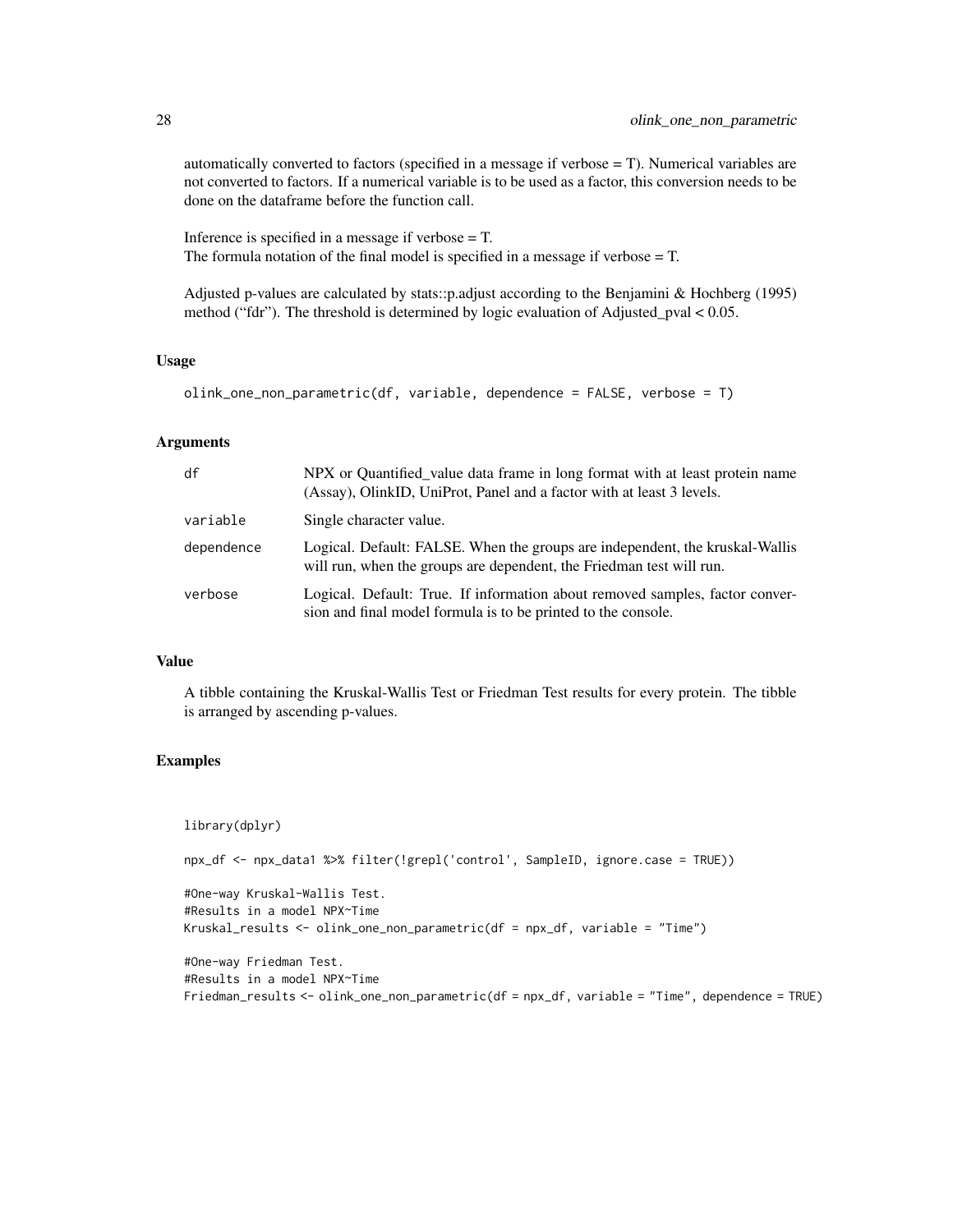automatically converted to factors (specified in a message if verbose = T). Numerical variables are not converted to factors. If a numerical variable is to be used as a factor, this conversion needs to be done on the dataframe before the function call.

Inference is specified in a message if verbose = T. The formula notation of the final model is specified in a message if verbose = T.

Adjusted p-values are calculated by stats::p.adjust according to the Benjamini & Hochberg (1995) method ("fdr"). The threshold is determined by logic evaluation of Adjusted\_pval < 0.05.

#### Usage

```
olink_one_non_parametric(df, variable, dependence = FALSE, verbose = T)
```
#### Arguments

| df         | NPX or Quantified value data frame in long format with at least protein name<br>(Assay), OlinkID, UniProt, Panel and a factor with at least 3 levels. |
|------------|-------------------------------------------------------------------------------------------------------------------------------------------------------|
| variable   | Single character value.                                                                                                                               |
| dependence | Logical. Default: FALSE. When the groups are independent, the kruskal-Wallis<br>will run, when the groups are dependent, the Friedman test will run.  |
| verbose    | Logical. Default: True. If information about removed samples, factor conver-<br>sion and final model formula is to be printed to the console.         |

#### Value

A tibble containing the Kruskal-Wallis Test or Friedman Test results for every protein. The tibble is arranged by ascending p-values.

```
library(dplyr)
npx_df <- npx_data1 %>% filter(!grepl('control', SampleID, ignore.case = TRUE))
#One-way Kruskal-Wallis Test.
#Results in a model NPX~Time
Kruskal_results <- olink_one_non_parametric(df = npx_df, variable = "Time")
#One-way Friedman Test.
#Results in a model NPX~Time
Friedman_results <- olink_one_non_parametric(df = npx_df, variable = "Time", dependence = TRUE)
```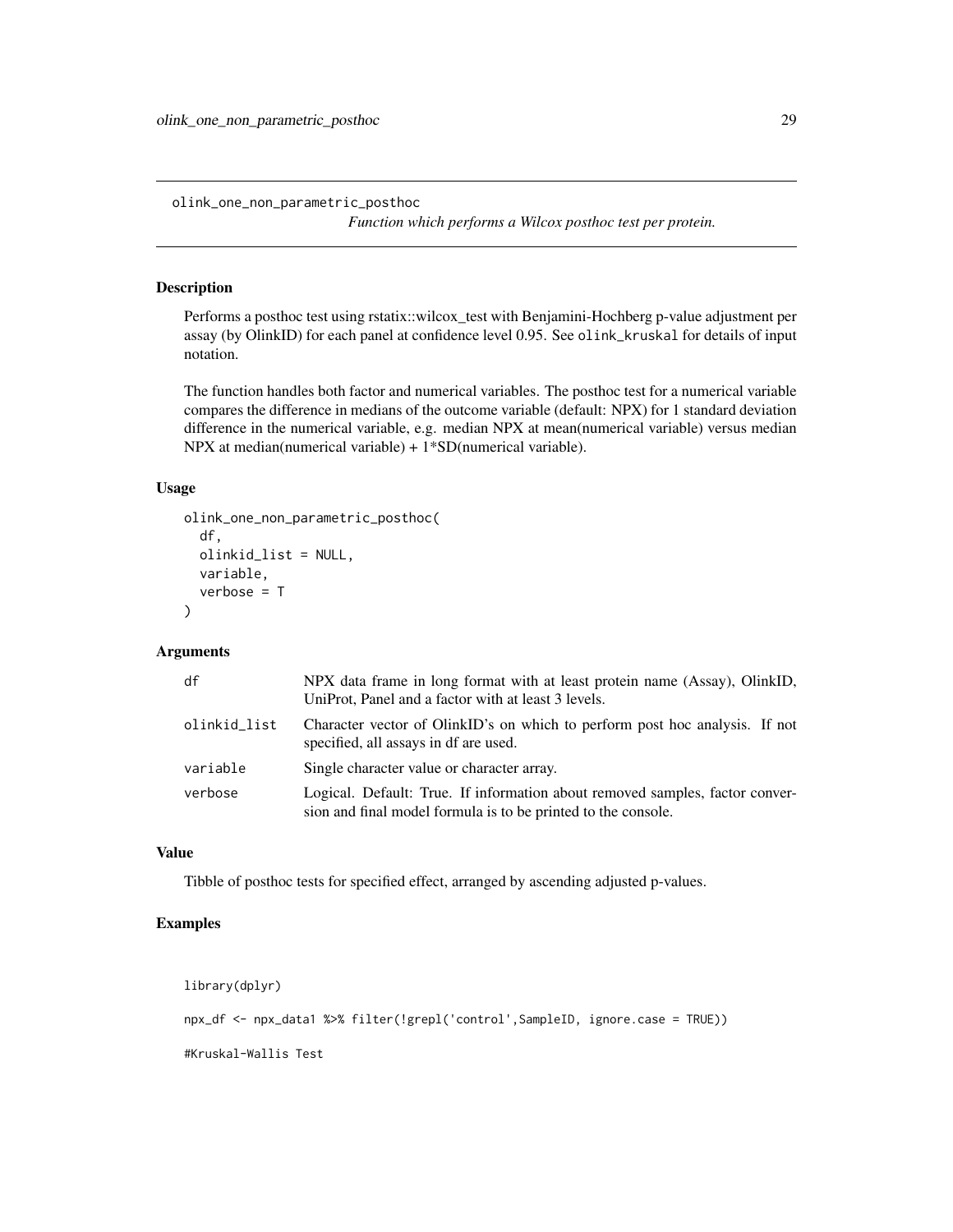<span id="page-28-0"></span>olink\_one\_non\_parametric\_posthoc

*Function which performs a Wilcox posthoc test per protein.*

#### Description

Performs a posthoc test using rstatix::wilcox\_test with Benjamini-Hochberg p-value adjustment per assay (by OlinkID) for each panel at confidence level 0.95. See olink\_kruskal for details of input notation.

The function handles both factor and numerical variables. The posthoc test for a numerical variable compares the difference in medians of the outcome variable (default: NPX) for 1 standard deviation difference in the numerical variable, e.g. median NPX at mean(numerical variable) versus median NPX at median(numerical variable) + 1\*SD(numerical variable).

## Usage

```
olink_one_non_parametric_posthoc(
  df,
  olinkid_list = NULL,
  variable,
  verbose = T
)
```
#### Arguments

| df           | NPX data frame in long format with at least protein name (Assay), OlinkID,<br>UniProt, Panel and a factor with at least 3 levels.             |
|--------------|-----------------------------------------------------------------------------------------------------------------------------------------------|
| olinkid_list | Character vector of OlinkID's on which to perform post hoc analysis. If not<br>specified, all assays in df are used.                          |
| variable     | Single character value or character array.                                                                                                    |
| verbose      | Logical. Default: True. If information about removed samples, factor conver-<br>sion and final model formula is to be printed to the console. |

#### Value

Tibble of posthoc tests for specified effect, arranged by ascending adjusted p-values.

## Examples

library(dplyr)

npx\_df <- npx\_data1 %>% filter(!grepl('control',SampleID, ignore.case = TRUE))

#Kruskal-Wallis Test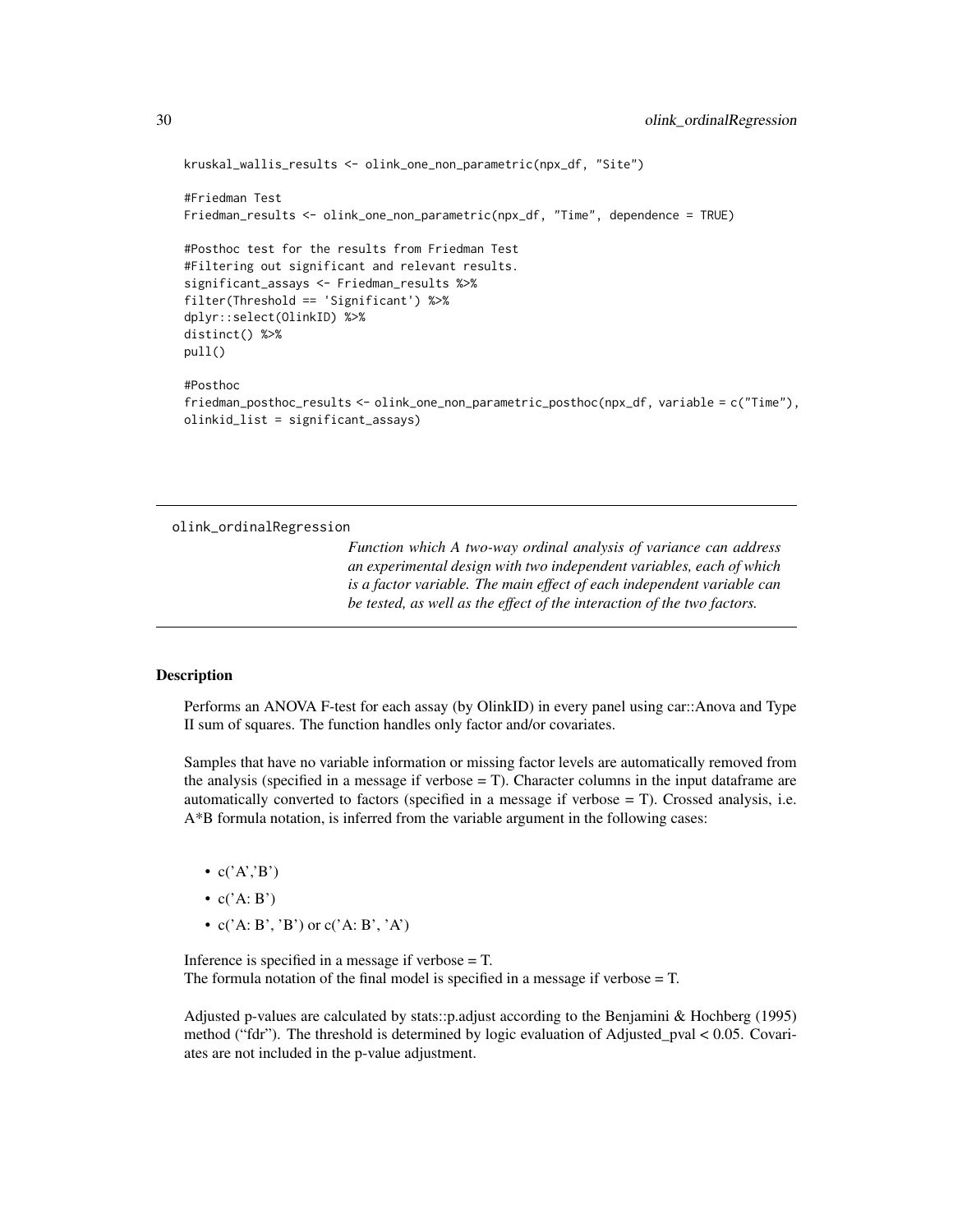```
kruskal_wallis_results <- olink_one_non_parametric(npx_df, "Site")
#Friedman Test
Friedman_results <- olink_one_non_parametric(npx_df, "Time", dependence = TRUE)
#Posthoc test for the results from Friedman Test
#Filtering out significant and relevant results.
significant_assays <- Friedman_results %>%
filter(Threshold == 'Significant') %>%
dplyr::select(OlinkID) %>%
distinct() %>%
pull()
#Posthoc
friedman_posthoc_results <- olink_one_non_parametric_posthoc(npx_df, variable = c("Time"),
olinkid_list = significant_assays)
```
olink\_ordinalRegression

*Function which A two-way ordinal analysis of variance can address an experimental design with two independent variables, each of which is a factor variable. The main effect of each independent variable can be tested, as well as the effect of the interaction of the two factors.*

#### Description

Performs an ANOVA F-test for each assay (by OlinkID) in every panel using car::Anova and Type II sum of squares. The function handles only factor and/or covariates.

Samples that have no variable information or missing factor levels are automatically removed from the analysis (specified in a message if verbose  $= T$ ). Character columns in the input dataframe are automatically converted to factors (specified in a message if verbose = T). Crossed analysis, i.e. A\*B formula notation, is inferred from the variable argument in the following cases:

- $c('A';B')$
- $c('A: B')$
- $c('A: B', 'B')$  or  $c('A: B', 'A')$

Inference is specified in a message if verbose  $= T$ . The formula notation of the final model is specified in a message if verbose  $= T$ .

Adjusted p-values are calculated by stats::p.adjust according to the Benjamini & Hochberg (1995) method ("fdr"). The threshold is determined by logic evaluation of Adjusted\_pval < 0.05. Covariates are not included in the p-value adjustment.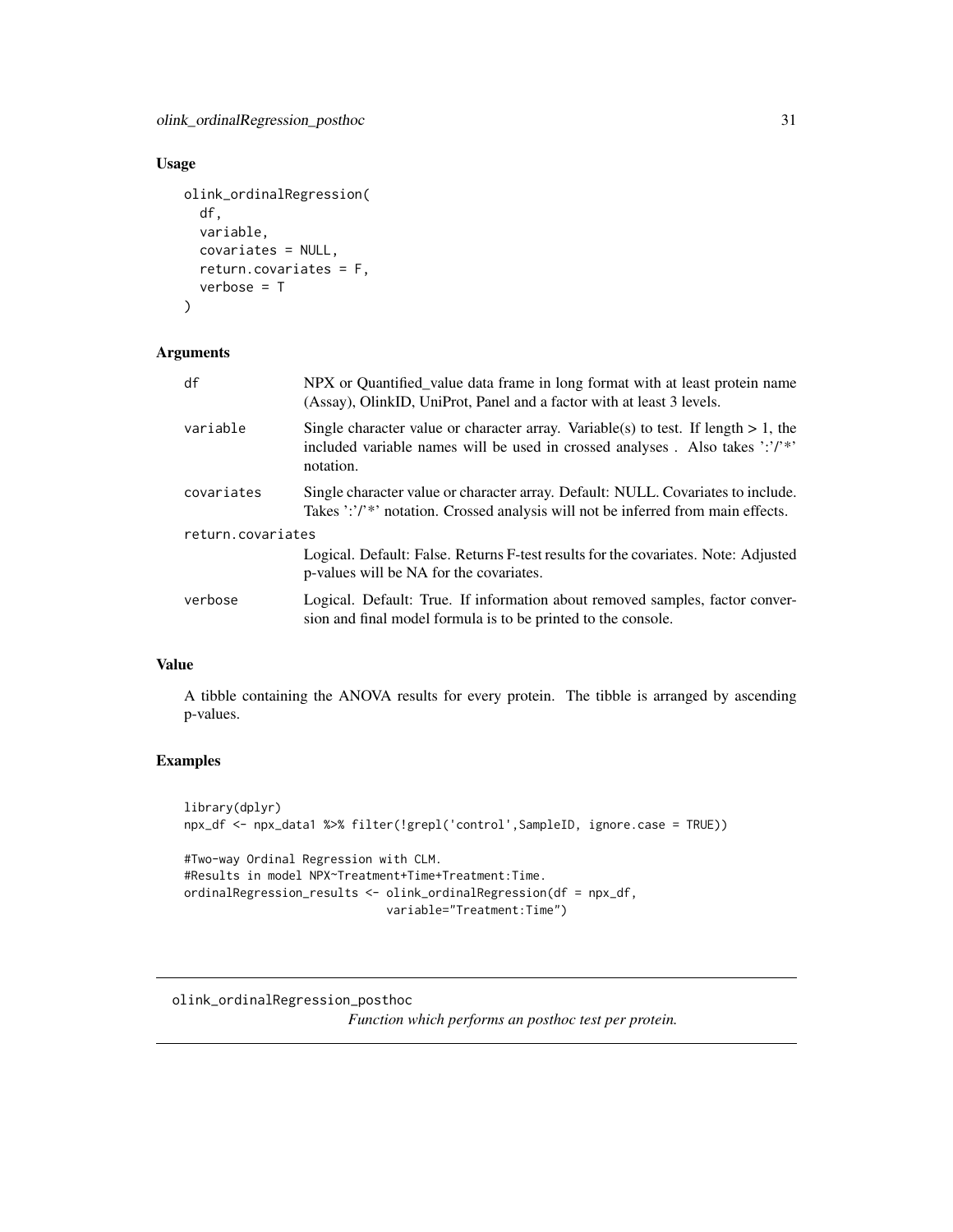<span id="page-30-0"></span>olink\_ordinalRegression\_posthoc 31

## Usage

```
olink_ordinalRegression(
  df,
 variable,
 covariates = NULL,
 return.covariates = F,
  verbose = T
)
```
## Arguments

| df                | NPX or Quantified value data frame in long format with at least protein name<br>(Assay), OlinkID, UniProt, Panel and a factor with at least 3 levels.                              |  |
|-------------------|------------------------------------------------------------------------------------------------------------------------------------------------------------------------------------|--|
| variable          | Single character value or character array. Variable(s) to test. If length $> 1$ , the<br>included variable names will be used in crossed analyses. Also takes ":"/"*"<br>notation. |  |
| covariates        | Single character value or character array. Default: NULL. Covariates to include.<br>Takes ':'/'*' notation. Crossed analysis will not be inferred from main effects.               |  |
| return.covariates |                                                                                                                                                                                    |  |
|                   | Logical. Default: False. Returns F-test results for the covariates. Note: Adjusted<br>p-values will be NA for the covariates.                                                      |  |
| verbose           | Logical. Default: True. If information about removed samples, factor conver-<br>sion and final model formula is to be printed to the console.                                      |  |

## Value

A tibble containing the ANOVA results for every protein. The tibble is arranged by ascending p-values.

```
library(dplyr)
npx_df <- npx_data1 %>% filter(!grepl('control',SampleID, ignore.case = TRUE))
#Two-way Ordinal Regression with CLM.
#Results in model NPX~Treatment+Time+Treatment:Time.
ordinalRegression_results <- olink_ordinalRegression(df = npx_df,
                             variable="Treatment:Time")
```

```
olink_ordinalRegression_posthoc
                         Function which performs an posthoc test per protein.
```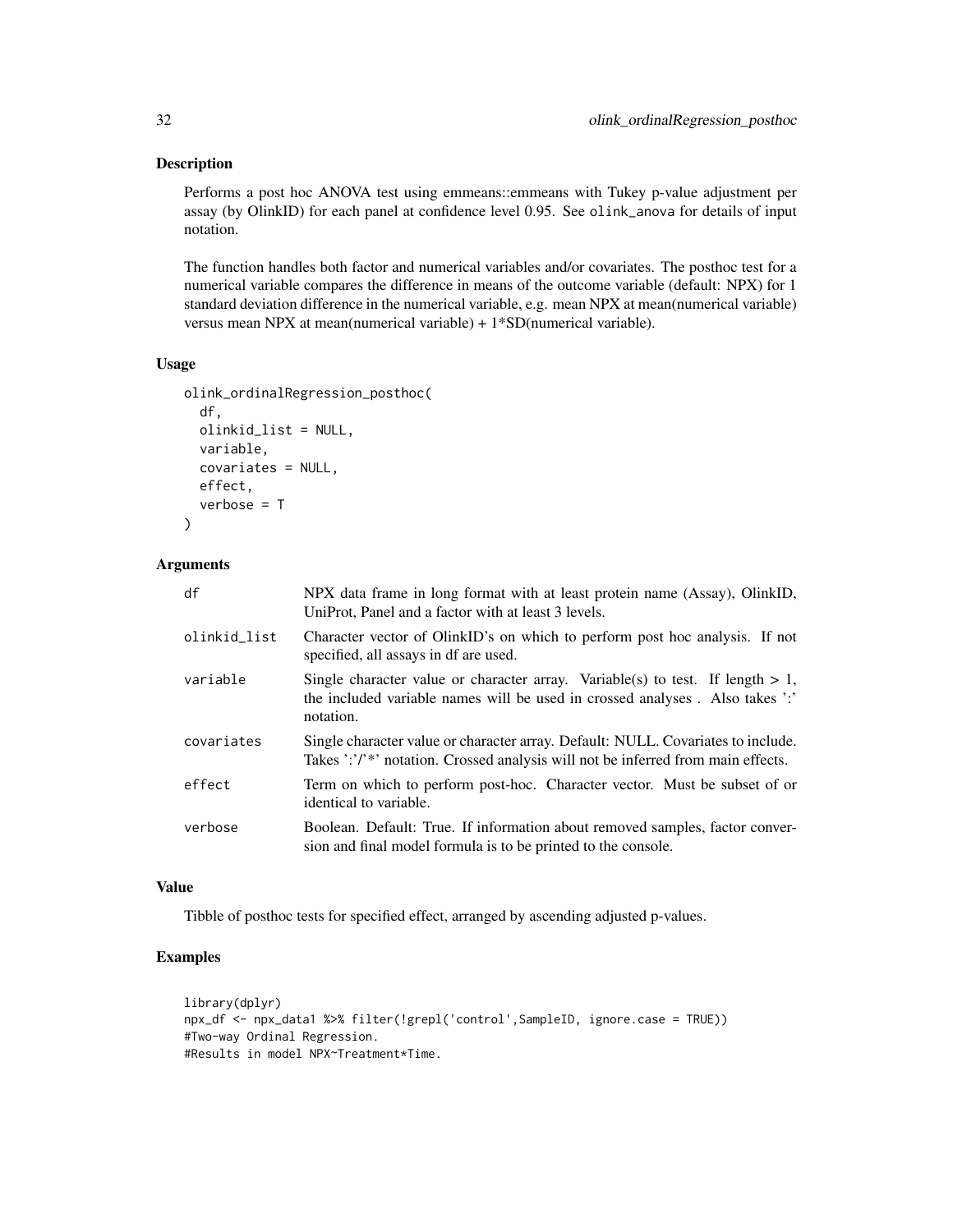#### Description

Performs a post hoc ANOVA test using emmeans::emmeans with Tukey p-value adjustment per assay (by OlinkID) for each panel at confidence level 0.95. See olink\_anova for details of input notation.

The function handles both factor and numerical variables and/or covariates. The posthoc test for a numerical variable compares the difference in means of the outcome variable (default: NPX) for 1 standard deviation difference in the numerical variable, e.g. mean NPX at mean(numerical variable) versus mean NPX at mean(numerical variable) + 1\*SD(numerical variable).

#### Usage

```
olink_ordinalRegression_posthoc(
  df,
 olinkid_list = NULL,
 variable,
  covariates = NULL,
 effect,
  verbose = T
)
```
## Arguments

| df           | NPX data frame in long format with at least protein name (Assay), OlinkID,<br>UniProt, Panel and a factor with at least 3 levels.                                              |
|--------------|--------------------------------------------------------------------------------------------------------------------------------------------------------------------------------|
| olinkid_list | Character vector of OlinkID's on which to perform post hoc analysis. If not<br>specified, all assays in df are used.                                                           |
| variable     | Single character value or character array. Variable(s) to test. If length $> 1$ ,<br>the included variable names will be used in crossed analyses. Also takes ':'<br>notation. |
| covariates   | Single character value or character array. Default: NULL. Covariates to include.<br>Takes ':'/'*' notation. Crossed analysis will not be inferred from main effects.           |
| effect       | Term on which to perform post-hoc. Character vector. Must be subset of or<br>identical to variable.                                                                            |
| verbose      | Boolean. Default: True. If information about removed samples, factor conver-<br>sion and final model formula is to be printed to the console.                                  |

#### Value

Tibble of posthoc tests for specified effect, arranged by ascending adjusted p-values.

```
library(dplyr)
npx_df <- npx_data1 %>% filter(!grepl('control',SampleID, ignore.case = TRUE))
#Two-way Ordinal Regression.
#Results in model NPX~Treatment*Time.
```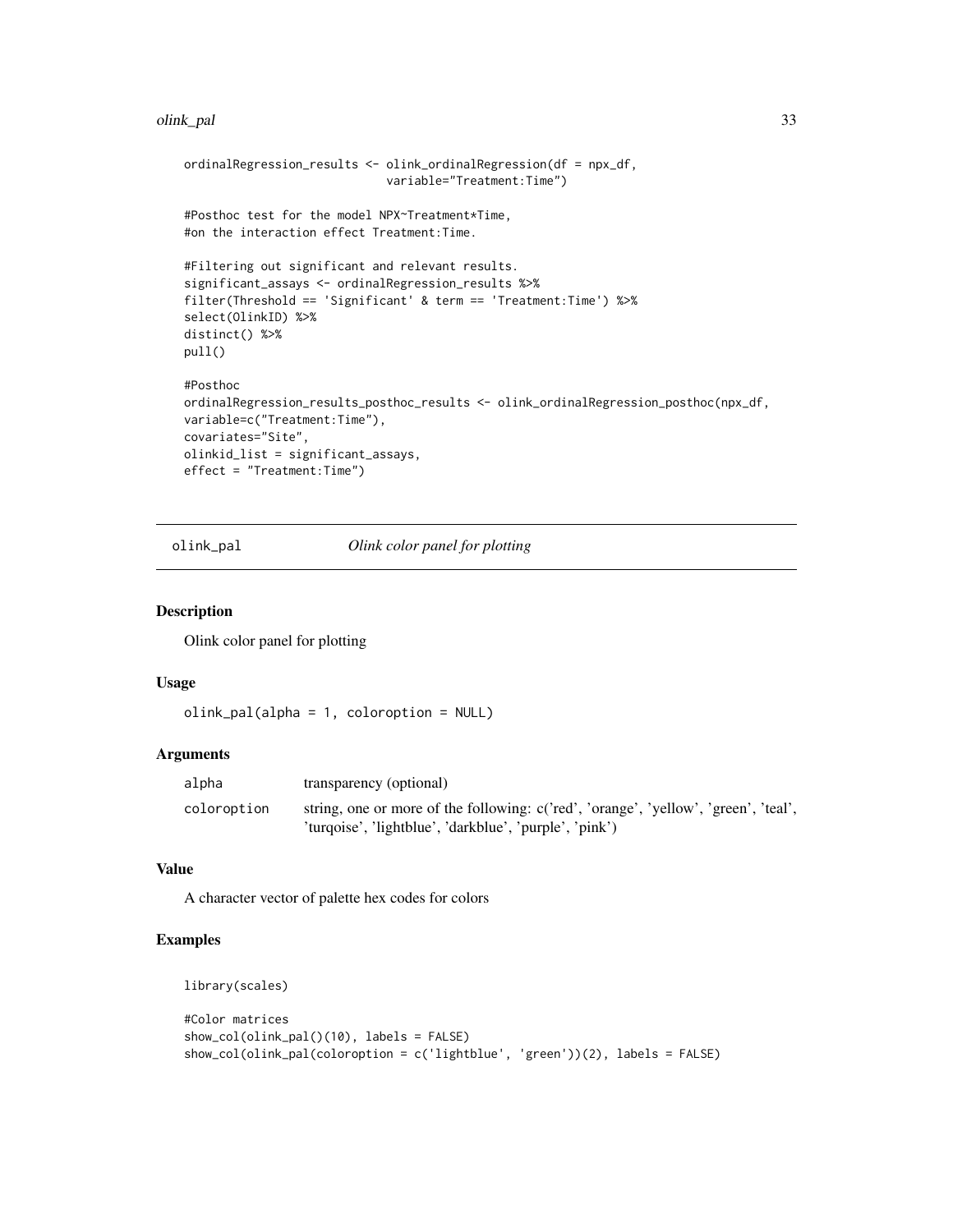#### <span id="page-32-0"></span>olink\_pal 33

```
ordinalRegression_results <- olink_ordinalRegression(df = npx_df,
                             variable="Treatment:Time")
#Posthoc test for the model NPX~Treatment*Time,
#on the interaction effect Treatment:Time.
#Filtering out significant and relevant results.
significant_assays <- ordinalRegression_results %>%
filter(Threshold == 'Significant' & term == 'Treatment:Time') %>%
select(OlinkID) %>%
distinct() %>%
pull()
#Posthoc
ordinalRegression_results_posthoc_results <- olink_ordinalRegression_posthoc(npx_df,
variable=c("Treatment:Time"),
covariates="Site",
olinkid_list = significant_assays,
effect = "Treatment:Time")
```
olink\_pal *Olink color panel for plotting*

#### Description

Olink color panel for plotting

#### Usage

```
olink_pal(alpha = 1, coloroption = NULL)
```
#### Arguments

| alpha       | transparency (optional)                                                                                                                       |
|-------------|-----------------------------------------------------------------------------------------------------------------------------------------------|
| coloroption | string, one or more of the following: c('red', 'orange', 'yellow', 'green', 'teal',<br>'turqoise', 'lightblue', 'darkblue', 'purple', 'pink') |

## Value

A character vector of palette hex codes for colors

```
library(scales)
```

```
#Color matrices
show_col(olink_pal()(10), labels = FALSE)
show_col(olink_pal(coloroption = c('lightblue', 'green'))(2), labels = FALSE)
```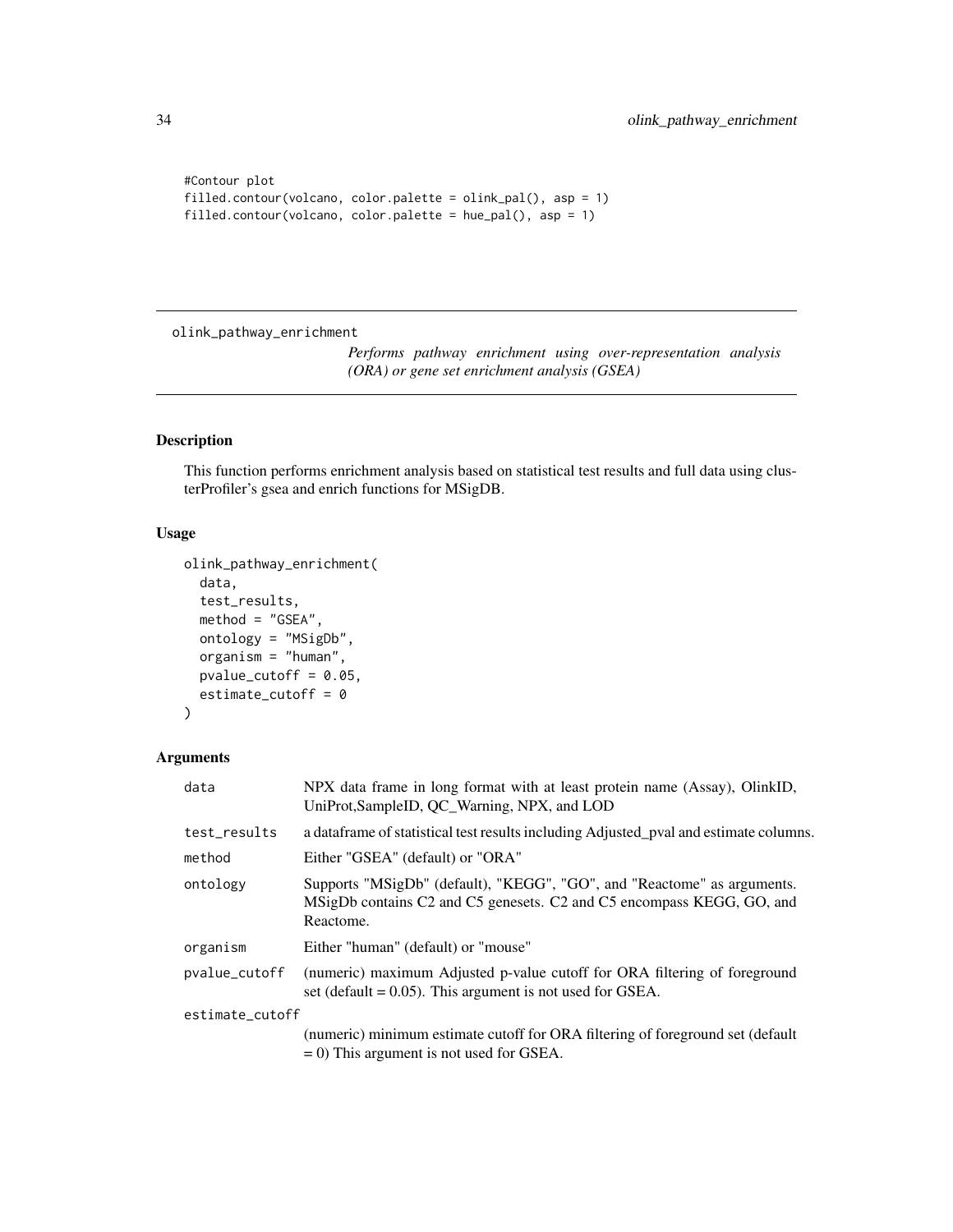```
#Contour plot
filled.contour(volcano, color.palette = olink_pal(), asp = 1)
filled.contour(volcano, color.palette = hue_pal(), asp = 1)
```
<span id="page-33-1"></span>olink\_pathway\_enrichment

*Performs pathway enrichment using over-representation analysis (ORA) or gene set enrichment analysis (GSEA)*

## Description

This function performs enrichment analysis based on statistical test results and full data using clusterProfiler's gsea and enrich functions for MSigDB.

#### Usage

```
olink_pathway_enrichment(
  data,
  test_results,
 method = "GSEA",
 ontology = "MSigDb",
  organism = "human",
  pvalue_cutoff = 0.05,
  estimate_cutoff = 0
)
```
## Arguments

| data            | NPX data frame in long format with at least protein name (Assay), OlinkID,<br>UniProt, SampleID, QC_Warning, NPX, and LOD                                     |
|-----------------|---------------------------------------------------------------------------------------------------------------------------------------------------------------|
| test_results    | a data frame of statistical test results including Adjusted pval and estimate columns.                                                                        |
| method          | Either "GSEA" (default) or "ORA"                                                                                                                              |
| ontology        | Supports "MSigDb" (default), "KEGG", "GO", and "Reactome" as arguments.<br>MSigDb contains C2 and C5 genesets. C2 and C5 encompass KEGG, GO, and<br>Reactome. |
| organism        | Either "human" (default) or "mouse"                                                                                                                           |
| pvalue_cutoff   | (numeric) maximum Adjusted p-value cutoff for ORA filtering of foreground<br>set (default = $0.05$ ). This argument is not used for GSEA.                     |
| estimate_cutoff |                                                                                                                                                               |
|                 | (numeric) minimum estimate cutoff for ORA filtering of foreground set (default)<br>$= 0$ ) This argument is not used for GSEA.                                |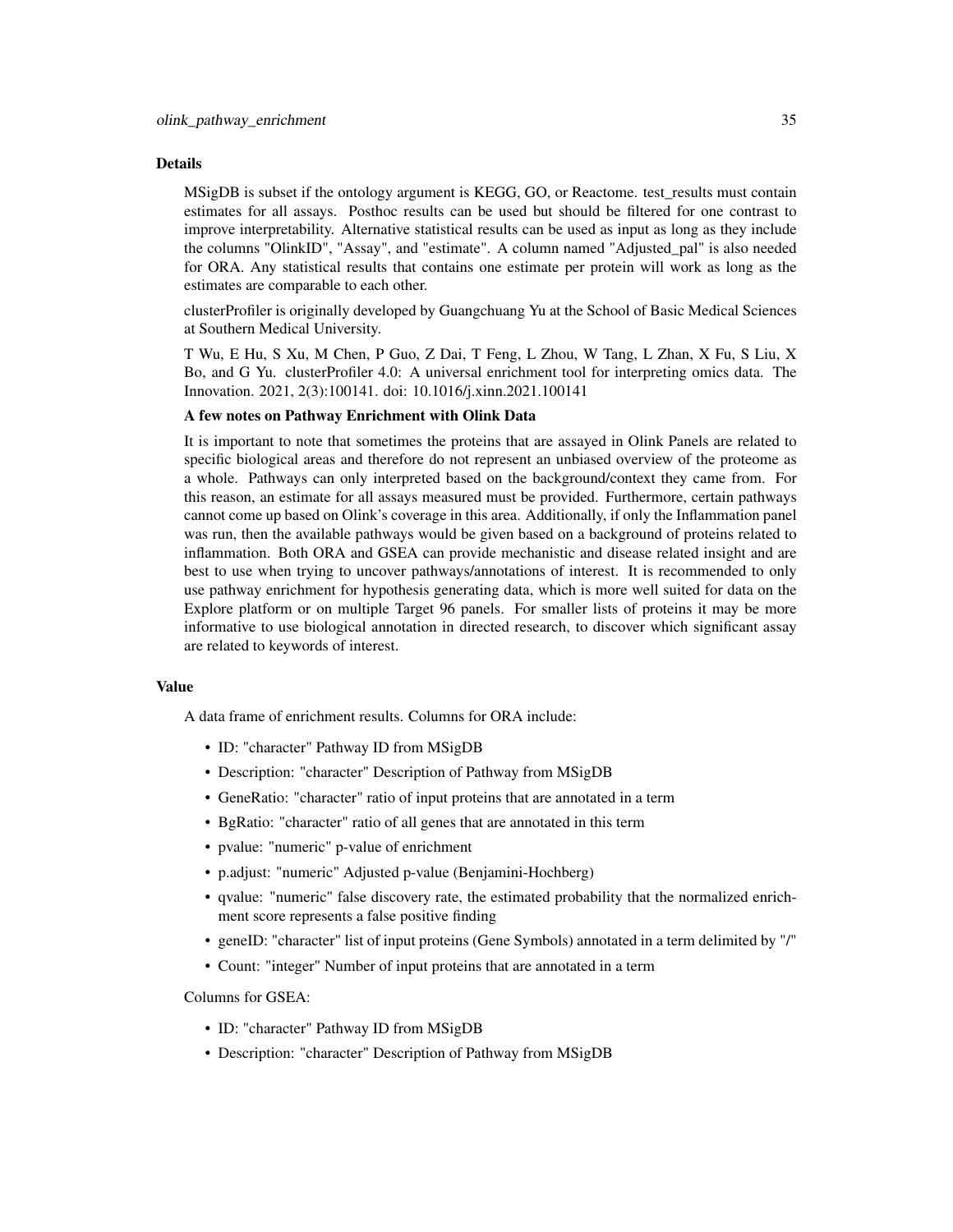#### Details

MSigDB is subset if the ontology argument is KEGG, GO, or Reactome. test results must contain estimates for all assays. Posthoc results can be used but should be filtered for one contrast to improve interpretability. Alternative statistical results can be used as input as long as they include the columns "OlinkID", "Assay", and "estimate". A column named "Adjusted\_pal" is also needed for ORA. Any statistical results that contains one estimate per protein will work as long as the estimates are comparable to each other.

clusterProfiler is originally developed by Guangchuang Yu at the School of Basic Medical Sciences at Southern Medical University.

T Wu, E Hu, S Xu, M Chen, P Guo, Z Dai, T Feng, L Zhou, W Tang, L Zhan, X Fu, S Liu, X Bo, and G Yu. clusterProfiler 4.0: A universal enrichment tool for interpreting omics data. The Innovation. 2021, 2(3):100141. doi: 10.1016/j.xinn.2021.100141

#### A few notes on Pathway Enrichment with Olink Data

It is important to note that sometimes the proteins that are assayed in Olink Panels are related to specific biological areas and therefore do not represent an unbiased overview of the proteome as a whole. Pathways can only interpreted based on the background/context they came from. For this reason, an estimate for all assays measured must be provided. Furthermore, certain pathways cannot come up based on Olink's coverage in this area. Additionally, if only the Inflammation panel was run, then the available pathways would be given based on a background of proteins related to inflammation. Both ORA and GSEA can provide mechanistic and disease related insight and are best to use when trying to uncover pathways/annotations of interest. It is recommended to only use pathway enrichment for hypothesis generating data, which is more well suited for data on the Explore platform or on multiple Target 96 panels. For smaller lists of proteins it may be more informative to use biological annotation in directed research, to discover which significant assay are related to keywords of interest.

#### Value

A data frame of enrichment results. Columns for ORA include:

- ID: "character" Pathway ID from MSigDB
- Description: "character" Description of Pathway from MSigDB
- GeneRatio: "character" ratio of input proteins that are annotated in a term
- BgRatio: "character" ratio of all genes that are annotated in this term
- pvalue: "numeric" p-value of enrichment
- p.adjust: "numeric" Adjusted p-value (Benjamini-Hochberg)
- qvalue: "numeric" false discovery rate, the estimated probability that the normalized enrichment score represents a false positive finding
- geneID: "character" list of input proteins (Gene Symbols) annotated in a term delimited by "/"
- Count: "integer" Number of input proteins that are annotated in a term

Columns for GSEA:

- ID: "character" Pathway ID from MSigDB
- Description: "character" Description of Pathway from MSigDB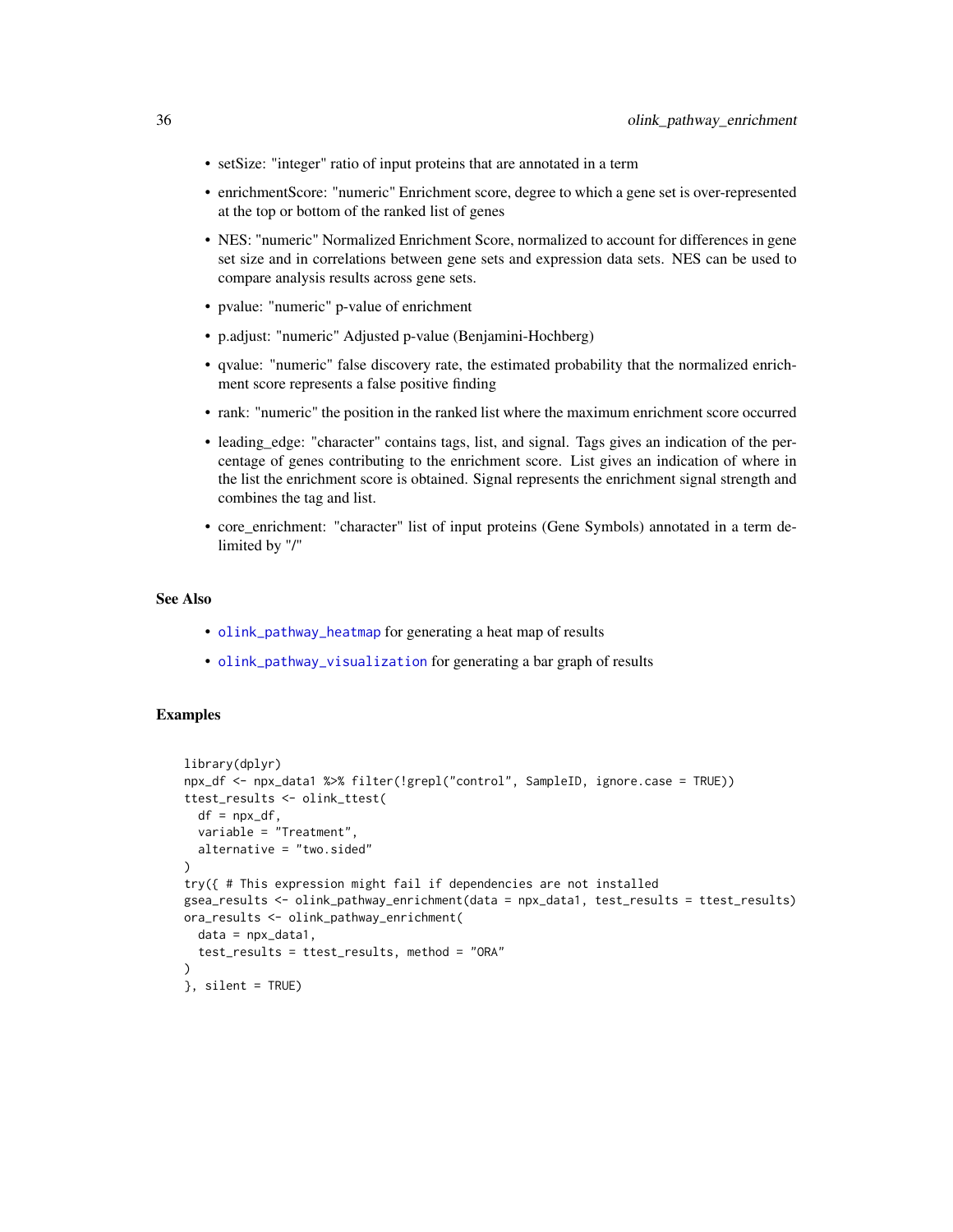- <span id="page-35-0"></span>• setSize: "integer" ratio of input proteins that are annotated in a term
- enrichmentScore: "numeric" Enrichment score, degree to which a gene set is over-represented at the top or bottom of the ranked list of genes
- NES: "numeric" Normalized Enrichment Score, normalized to account for differences in gene set size and in correlations between gene sets and expression data sets. NES can be used to compare analysis results across gene sets.
- pvalue: "numeric" p-value of enrichment
- p.adjust: "numeric" Adjusted p-value (Benjamini-Hochberg)
- qvalue: "numeric" false discovery rate, the estimated probability that the normalized enrichment score represents a false positive finding
- rank: "numeric" the position in the ranked list where the maximum enrichment score occurred
- leading\_edge: "character" contains tags, list, and signal. Tags gives an indication of the percentage of genes contributing to the enrichment score. List gives an indication of where in the list the enrichment score is obtained. Signal represents the enrichment signal strength and combines the tag and list.
- core\_enrichment: "character" list of input proteins (Gene Symbols) annotated in a term delimited by "/"

## See Also

- [olink\\_pathway\\_heatmap](#page-36-1) for generating a heat map of results
- [olink\\_pathway\\_visualization](#page-37-1) for generating a bar graph of results

```
library(dplyr)
npx_df <- npx_data1 %>% filter(!grepl("control", SampleID, ignore.case = TRUE))
ttest_results <- olink_ttest(
  df = npx_dvariable = "Treatment",
  alternative = "two.sided"
)
try({ # This expression might fail if dependencies are not installed
gsea_results <- olink_pathway_enrichment(data = npx_data1, test_results = ttest_results)
ora_results <- olink_pathway_enrichment(
  data = npx_data1,
  test_results = ttest_results, method = "ORA"
)
}, silent = TRUE)
```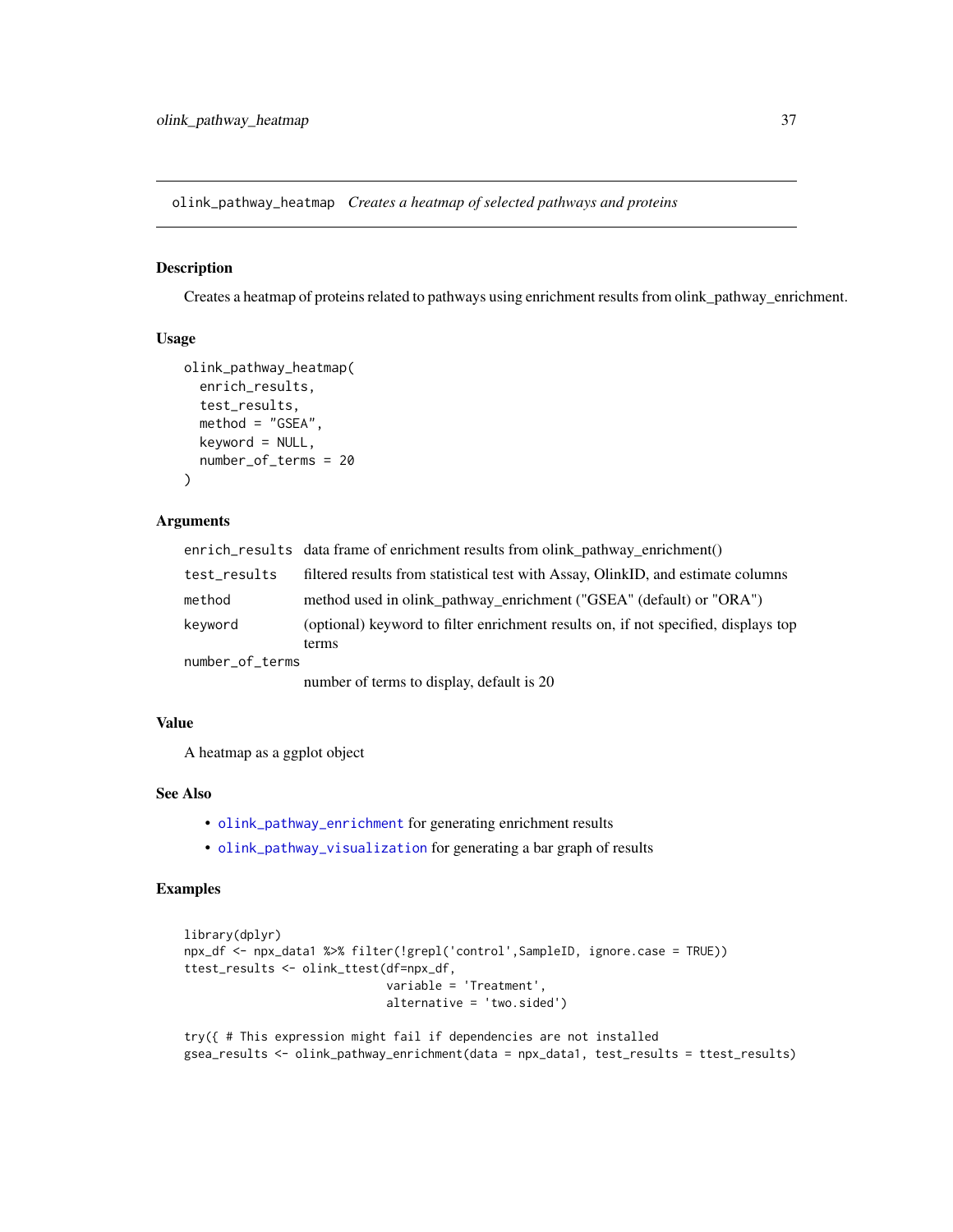<span id="page-36-1"></span><span id="page-36-0"></span>olink\_pathway\_heatmap *Creates a heatmap of selected pathways and proteins*

## Description

Creates a heatmap of proteins related to pathways using enrichment results from olink\_pathway\_enrichment.

#### Usage

```
olink_pathway_heatmap(
  enrich_results,
  test_results,
 method = "GSEA".keyword = NULL,
  number_of_terms = 20
)
```
## Arguments

|                 | enrich_results data frame of enrichment results from olink_pathway_enrichment()             |
|-----------------|---------------------------------------------------------------------------------------------|
| test_results    | filtered results from statistical test with Assay, OlinkID, and estimate columns            |
| method          | method used in olink_pathway_enrichment ("GSEA" (default) or "ORA")                         |
| keyword         | (optional) keyword to filter enrichment results on, if not specified, displays top<br>terms |
| number_of_terms |                                                                                             |

number of terms to display, default is 20

#### Value

A heatmap as a ggplot object

## See Also

- [olink\\_pathway\\_enrichment](#page-33-1) for generating enrichment results
- [olink\\_pathway\\_visualization](#page-37-1) for generating a bar graph of results

```
library(dplyr)
npx_df <- npx_data1 %>% filter(!grepl('control',SampleID, ignore.case = TRUE))
ttest_results <- olink_ttest(df=npx_df,
                             variable = 'Treatment',
                             alternative = 'two.sided')
```

```
try({ # This expression might fail if dependencies are not installed
gsea_results <- olink_pathway_enrichment(data = npx_data1, test_results = ttest_results)
```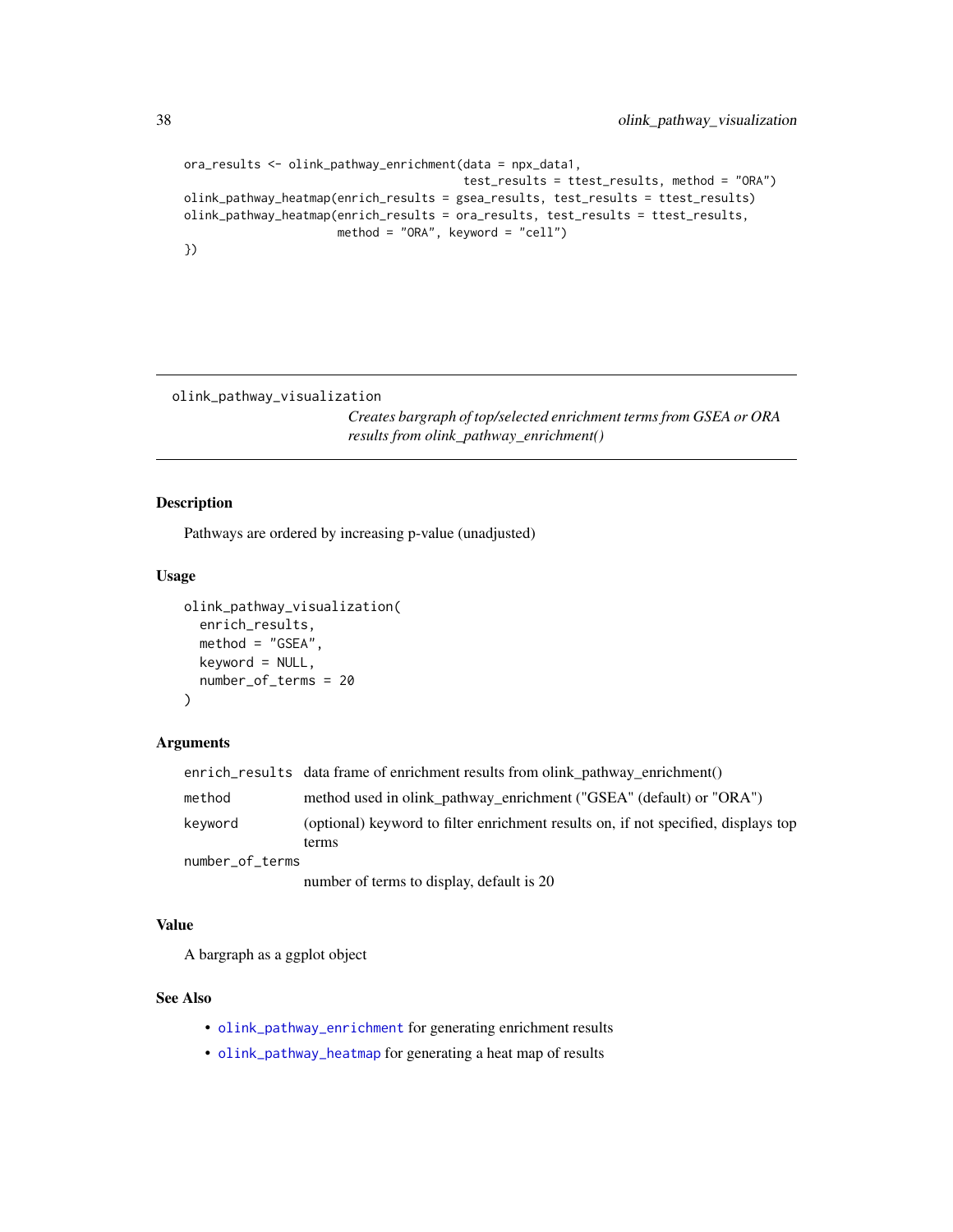```
ora_results <- olink_pathway_enrichment(data = npx_data1,
                                        test_results = ttest_results, method = "ORA")
olink_pathway_heatmap(enrich_results = gsea_results, test_results = ttest_results)
olink_pathway_heatmap(enrich_results = ora_results, test_results = ttest_results,
                      method = "ORA", keyword = "cell")
})
```
<span id="page-37-1"></span>olink\_pathway\_visualization

*Creates bargraph of top/selected enrichment terms from GSEA or ORA results from olink\_pathway\_enrichment()*

## Description

Pathways are ordered by increasing p-value (unadjusted)

## Usage

```
olink_pathway_visualization(
  enrich_results,
  method = "GSEA",keyword = NULL,
  number_of_terms = 20
)
```
## Arguments

|                 | $enrich_results$ data frame of enrichment results from olink pathway enrichment()           |
|-----------------|---------------------------------------------------------------------------------------------|
| method          | method used in olink_pathway_enrichment ("GSEA" (default) or "ORA")                         |
| keyword         | (optional) keyword to filter enrichment results on, if not specified, displays top<br>terms |
| number_of_terms |                                                                                             |

number of terms to display, default is 20

## Value

A bargraph as a ggplot object

#### See Also

- [olink\\_pathway\\_enrichment](#page-33-1) for generating enrichment results
- [olink\\_pathway\\_heatmap](#page-36-1) for generating a heat map of results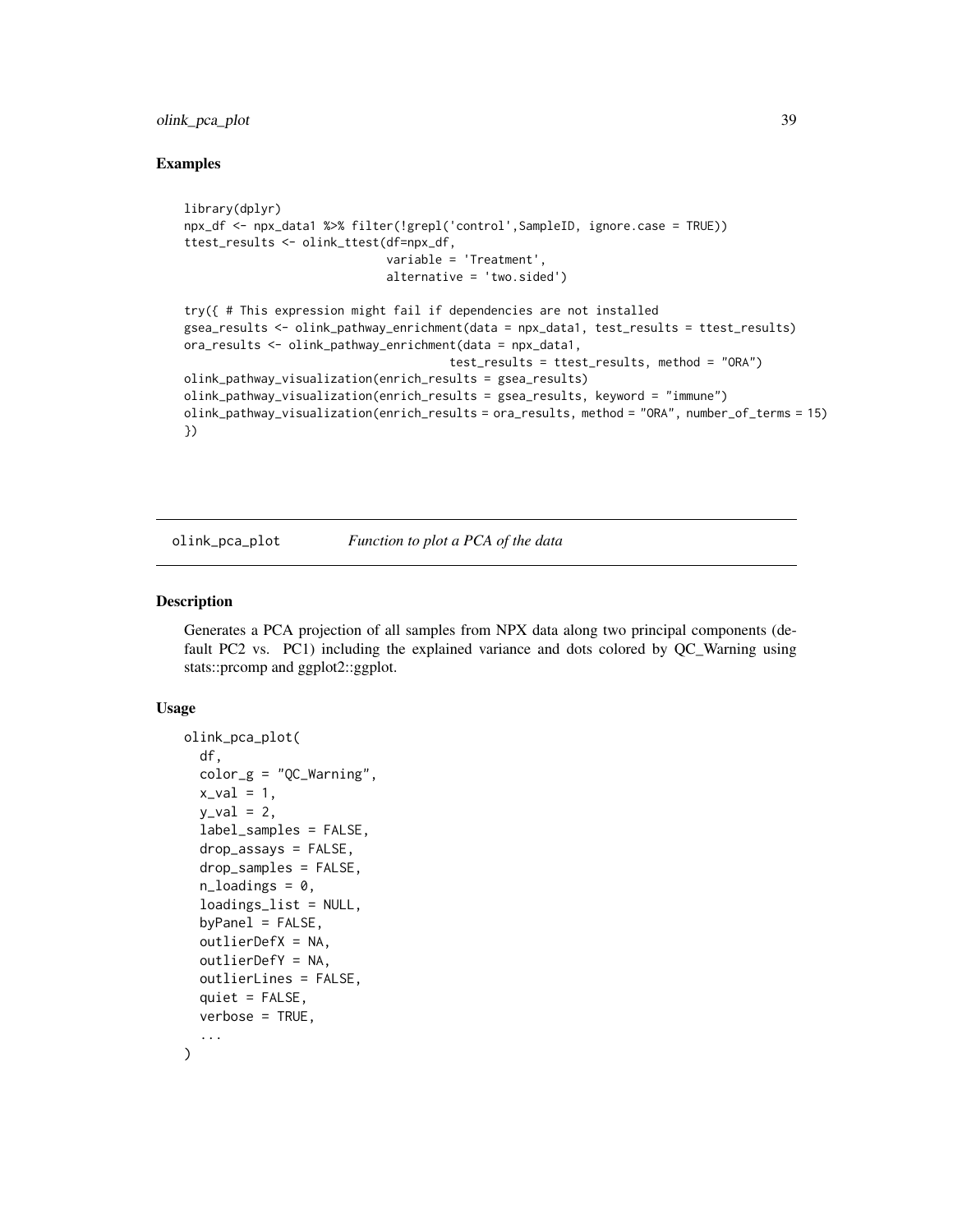## <span id="page-38-0"></span>olink\_pca\_plot 39

#### Examples

```
library(dplyr)
npx_df <- npx_data1 %>% filter(!grepl('control',SampleID, ignore.case = TRUE))
ttest_results <- olink_ttest(df=npx_df,
                             variable = 'Treatment',
                             alternative = 'two.sided')
try({ # This expression might fail if dependencies are not installed
gsea_results <- olink_pathway_enrichment(data = npx_data1, test_results = ttest_results)
ora_results <- olink_pathway_enrichment(data = npx_data1,
                                      test_results = ttest_results, method = "ORA")
olink_pathway_visualization(enrich_results = gsea_results)
olink_pathway_visualization(enrich_results = gsea_results, keyword = "immune")
olink_pathway_visualization(enrich_results = ora_results, method = "ORA", number_of_terms = 15)
})
```

```
olink_pca_plot Function to plot a PCA of the data
```
## Description

Generates a PCA projection of all samples from NPX data along two principal components (default PC2 vs. PC1) including the explained variance and dots colored by QC\_Warning using stats::prcomp and ggplot2::ggplot.

#### Usage

```
olink_pca_plot(
  df,
  color_g = "QC_Warning",x_val = 1,
  y_val = 2,
  label_samples = FALSE,
  drop\_assays = FALSE,drop_samples = FALSE,
  n<sup>1</sup>oadings = 0,
  loadings_list = NULL,
  by Panel = FALSE,outlierDefX = NA,
  outlierDefY = NA,
 outlierLines = FALSE,
  quiet = FALSE,
 verbose = TRUE,
  ...
)
```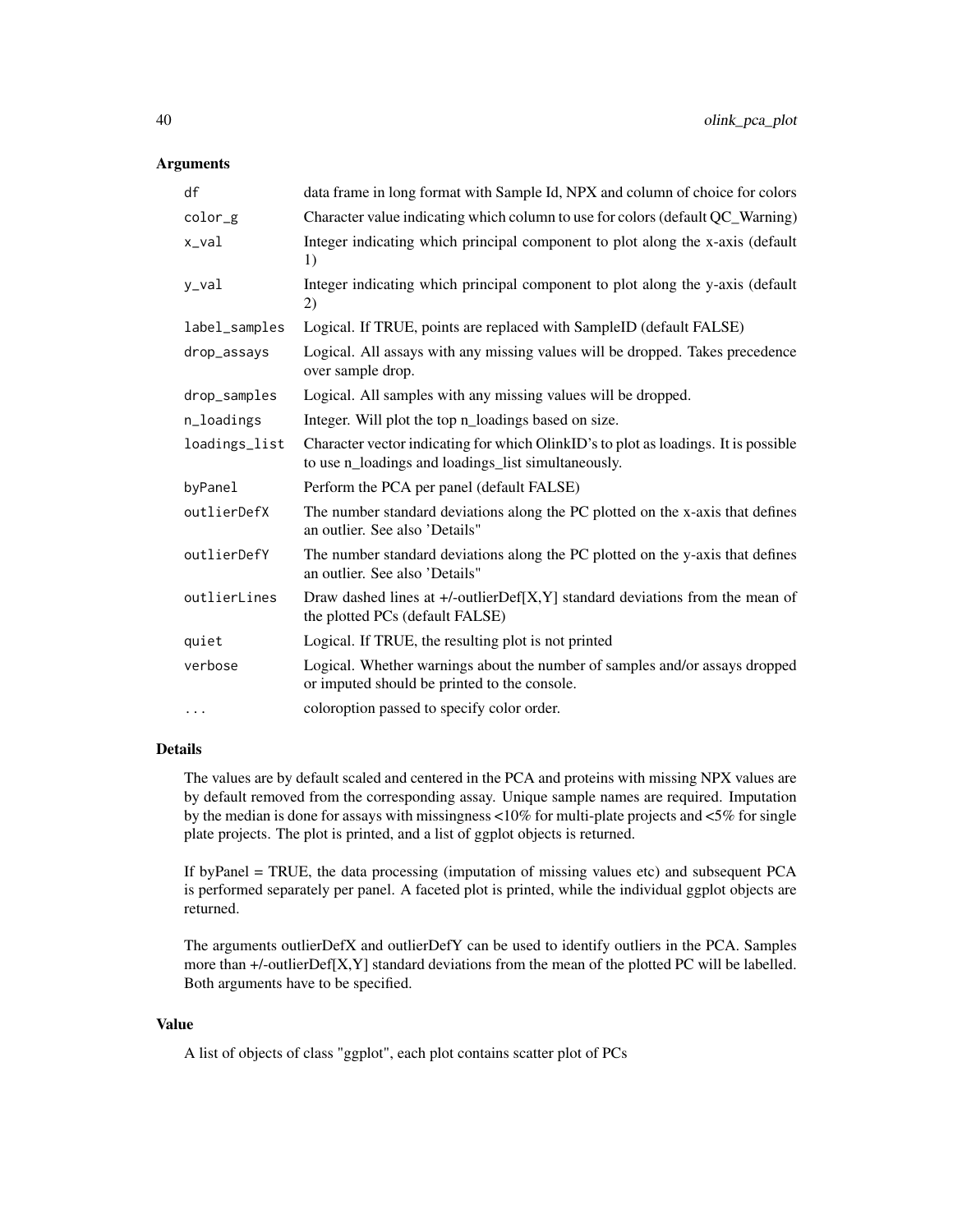#### **Arguments**

| df            | data frame in long format with Sample Id, NPX and column of choice for colors                                                              |
|---------------|--------------------------------------------------------------------------------------------------------------------------------------------|
| color_g       | Character value indicating which column to use for colors (default QC_Warning)                                                             |
| x_val         | Integer indicating which principal component to plot along the x-axis (default<br>1)                                                       |
| y_val         | Integer indicating which principal component to plot along the y-axis (default<br>2)                                                       |
| label_samples | Logical. If TRUE, points are replaced with SampleID (default FALSE)                                                                        |
| drop_assays   | Logical. All assays with any missing values will be dropped. Takes precedence<br>over sample drop.                                         |
| drop_samples  | Logical. All samples with any missing values will be dropped.                                                                              |
| n_loadings    | Integer. Will plot the top n_loadings based on size.                                                                                       |
| loadings_list | Character vector indicating for which OlinkID's to plot as loadings. It is possible<br>to use n_loadings and loadings_list simultaneously. |
| byPanel       | Perform the PCA per panel (default FALSE)                                                                                                  |
| outlierDefX   | The number standard deviations along the PC plotted on the x-axis that defines<br>an outlier. See also 'Details"                           |
| outlierDefY   | The number standard deviations along the PC plotted on the y-axis that defines<br>an outlier. See also 'Details"                           |
| outlierLines  | Draw dashed lines at $+/-$ outlier $Def[X, Y]$ standard deviations from the mean of<br>the plotted PCs (default FALSE)                     |
| quiet         | Logical. If TRUE, the resulting plot is not printed                                                                                        |
| verbose       | Logical. Whether warnings about the number of samples and/or assays dropped<br>or imputed should be printed to the console.                |
| $\cdots$      | coloroption passed to specify color order.                                                                                                 |

## Details

The values are by default scaled and centered in the PCA and proteins with missing NPX values are by default removed from the corresponding assay. Unique sample names are required. Imputation by the median is done for assays with missingness <10% for multi-plate projects and <5% for single plate projects. The plot is printed, and a list of ggplot objects is returned.

If byPanel = TRUE, the data processing (imputation of missing values etc) and subsequent PCA is performed separately per panel. A faceted plot is printed, while the individual ggplot objects are returned.

The arguments outlierDefX and outlierDefY can be used to identify outliers in the PCA. Samples more than +/-outlierDef[X,Y] standard deviations from the mean of the plotted PC will be labelled. Both arguments have to be specified.

## Value

A list of objects of class "ggplot", each plot contains scatter plot of PCs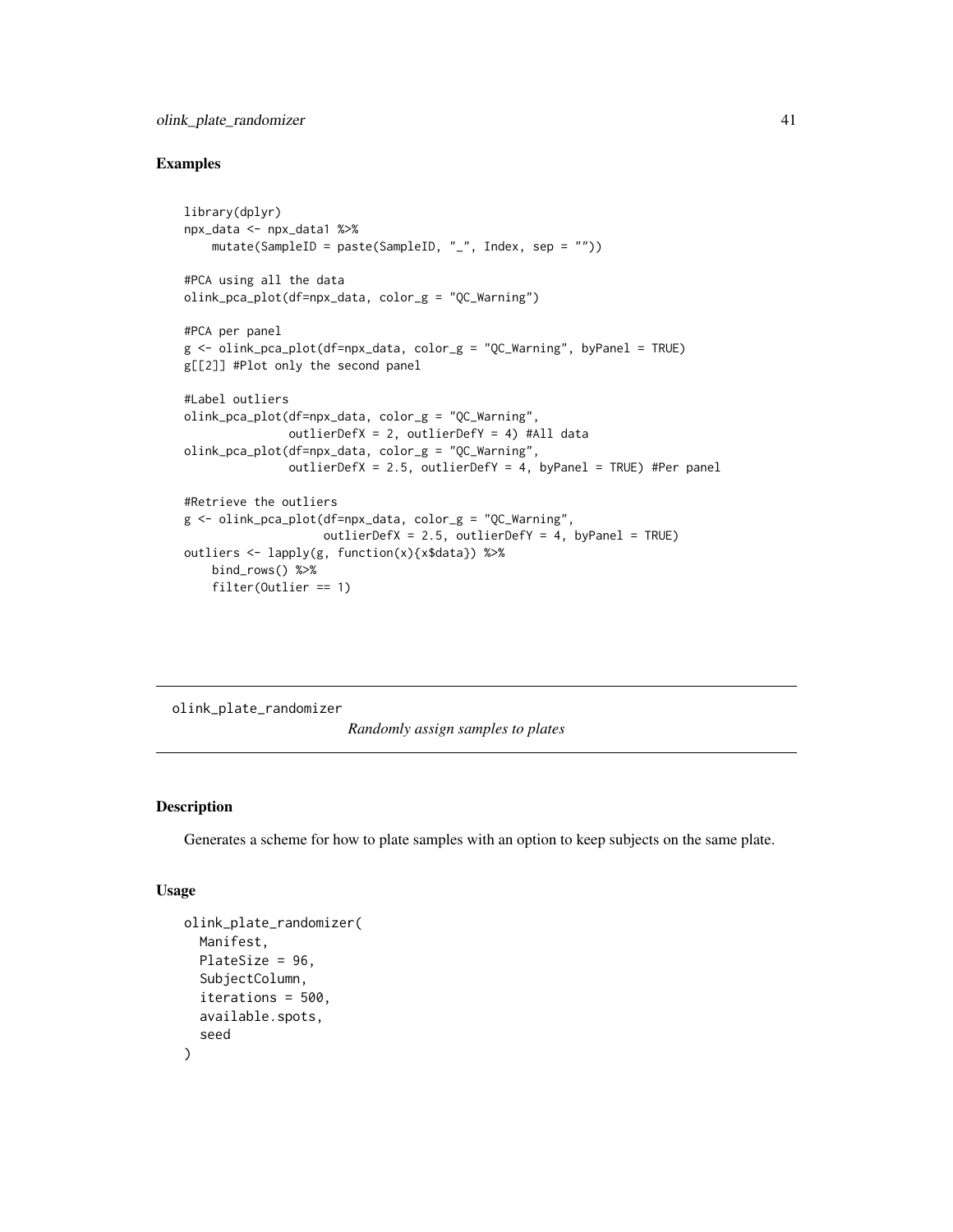## <span id="page-40-0"></span>olink\_plate\_randomizer 41

#### Examples

```
library(dplyr)
npx_data <- npx_data1 %>%
    mutate(SampleID = paste(SampleID, "_", Index, sep = ""))
#PCA using all the data
olink_pca_plot(df=npx_data, color_g = "QC_Warning")
#PCA per panel
g <- olink_pca_plot(df=npx_data, color_g = "QC_Warning", byPanel = TRUE)
g[[2]] #Plot only the second panel
#Label outliers
olink_pca_plot(df=npx_data, color_g = "QC_Warning",
               outlierDefX = 2, outlierDefY = 4) #All data
olink_pca_plot(df=npx_data, color_g = "QC_Warning",
               outlierDefX = 2.5, outlierDefY = 4, byPanel = TRUE) #Per panel
#Retrieve the outliers
g <- olink_pca_plot(df=npx_data, color_g = "QC_Warning",
                    outlierDefX = 2.5, outlierDefY = 4, byPanel = TRUE)
outliers <- lapply(g, function(x){x$data}) %>%
   bind_rows() %>%
    filter(Outlier == 1)
```
olink\_plate\_randomizer

*Randomly assign samples to plates*

## Description

Generates a scheme for how to plate samples with an option to keep subjects on the same plate.

#### Usage

```
olink_plate_randomizer(
 Manifest,
 PlateSize = 96,
  SubjectColumn,
  iterations = 500,
 available.spots,
  seed
)
```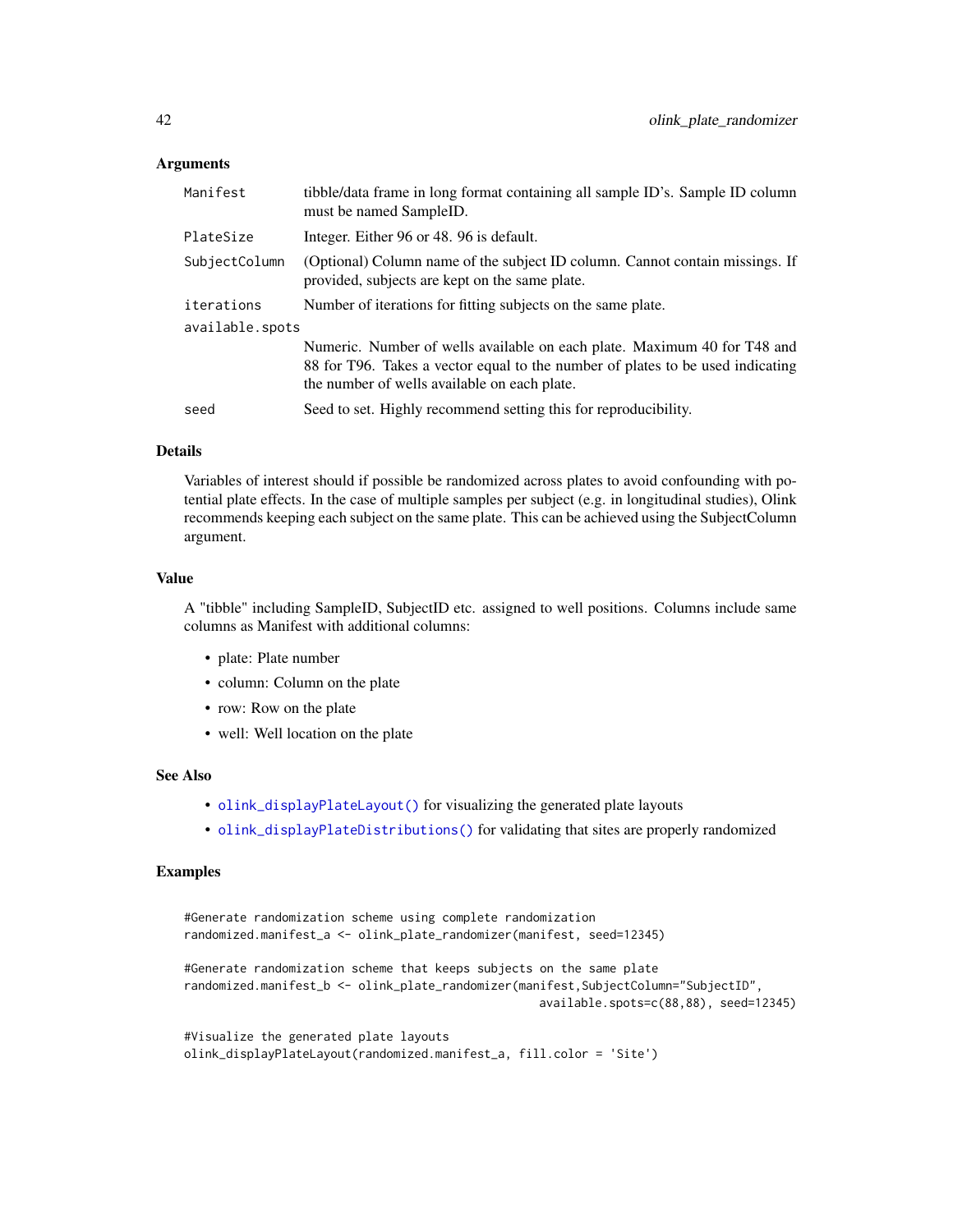#### <span id="page-41-0"></span>Arguments

| Manifest        | tibble/data frame in long format containing all sample ID's. Sample ID column<br>must be named SampleID.                                                                                                   |
|-----------------|------------------------------------------------------------------------------------------------------------------------------------------------------------------------------------------------------------|
| PlateSize       | Integer. Either 96 or 48. 96 is default.                                                                                                                                                                   |
| SubjectColumn   | (Optional) Column name of the subject ID column. Cannot contain missings. If<br>provided, subjects are kept on the same plate.                                                                             |
| iterations      | Number of iterations for fitting subjects on the same plate.                                                                                                                                               |
| available.spots |                                                                                                                                                                                                            |
|                 | Numeric. Number of wells available on each plate. Maximum 40 for T48 and<br>88 for T96. Takes a vector equal to the number of plates to be used indicating<br>the number of wells available on each plate. |
| seed            | Seed to set. Highly recommend setting this for reproducibility.                                                                                                                                            |

#### Details

Variables of interest should if possible be randomized across plates to avoid confounding with potential plate effects. In the case of multiple samples per subject (e.g. in longitudinal studies), Olink recommends keeping each subject on the same plate. This can be achieved using the SubjectColumn argument.

#### Value

A "tibble" including SampleID, SubjectID etc. assigned to well positions. Columns include same columns as Manifest with additional columns:

- plate: Plate number
- column: Column on the plate
- row: Row on the plate
- well: Well location on the plate

#### See Also

- [olink\\_displayPlateLayout\(\)](#page-0-0) for visualizing the generated plate layouts
- [olink\\_displayPlateDistributions\(\)](#page-0-0) for validating that sites are properly randomized

```
#Generate randomization scheme using complete randomization
randomized.manifest_a <- olink_plate_randomizer(manifest, seed=12345)
#Generate randomization scheme that keeps subjects on the same plate
randomized.manifest_b <- olink_plate_randomizer(manifest,SubjectColumn="SubjectID",
                                                  available.spots=c(88,88), seed=12345)
#Visualize the generated plate layouts
olink_displayPlateLayout(randomized.manifest_a, fill.color = 'Site')
```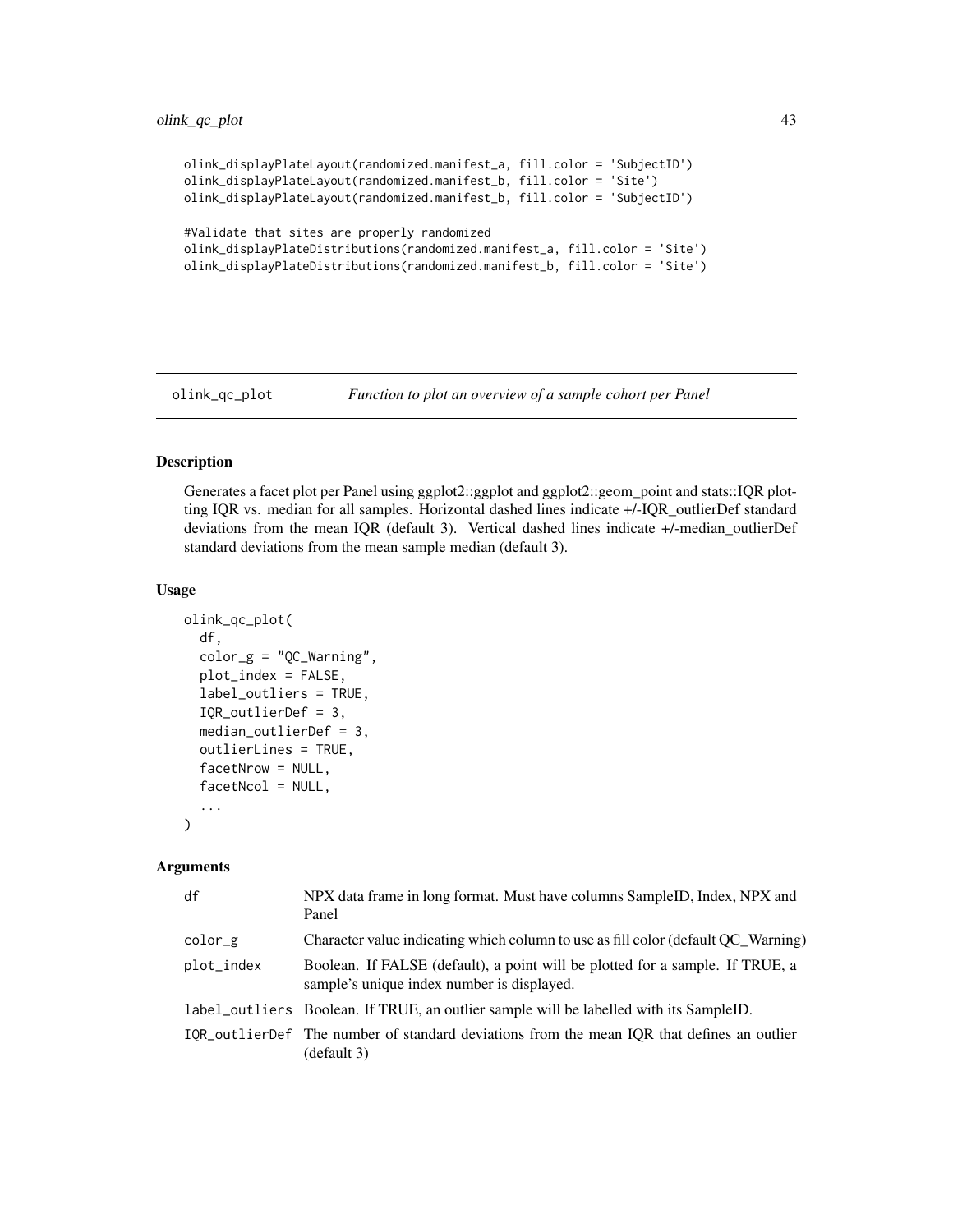```
olink_displayPlateLayout(randomized.manifest_a, fill.color = 'SubjectID')
olink_displayPlateLayout(randomized.manifest_b, fill.color = 'Site')
olink_displayPlateLayout(randomized.manifest_b, fill.color = 'SubjectID')
#Validate that sites are properly randomized
olink_displayPlateDistributions(randomized.manifest_a, fill.color = 'Site')
olink_displayPlateDistributions(randomized.manifest_b, fill.color = 'Site')
```
olink\_qc\_plot *Function to plot an overview of a sample cohort per Panel*

## Description

Generates a facet plot per Panel using ggplot2::ggplot and ggplot2::geom\_point and stats::IQR plotting IQR vs. median for all samples. Horizontal dashed lines indicate +/-IQR\_outlierDef standard deviations from the mean IQR (default 3). Vertical dashed lines indicate +/-median\_outlierDef standard deviations from the mean sample median (default 3).

## Usage

```
olink_qc_plot(
  df,
  color_g = "QC_Warning",plot_index = FALSE,
  label_outliers = TRUE,
  IQR_outlierDef = 3,
  median_outlierDef = 3,
  outlierLines = TRUE,
  facetNrow = NULL,
  facetNcol = NULL,
  ...
)
```
#### Arguments

| df         | NPX data frame in long format. Must have columns SampleID, Index, NPX and<br>Panel                                          |
|------------|-----------------------------------------------------------------------------------------------------------------------------|
| $color_g$  | Character value indicating which column to use as fill color (default OC Warning)                                           |
| plot_index | Boolean. If FALSE (default), a point will be plotted for a sample. If TRUE, a<br>sample's unique index number is displayed. |
|            | label_outliers Boolean. If TRUE, an outlier sample will be labelled with its SampleID.                                      |
|            | IQR_outlierDef The number of standard deviations from the mean IQR that defines an outlier<br>(default 3)                   |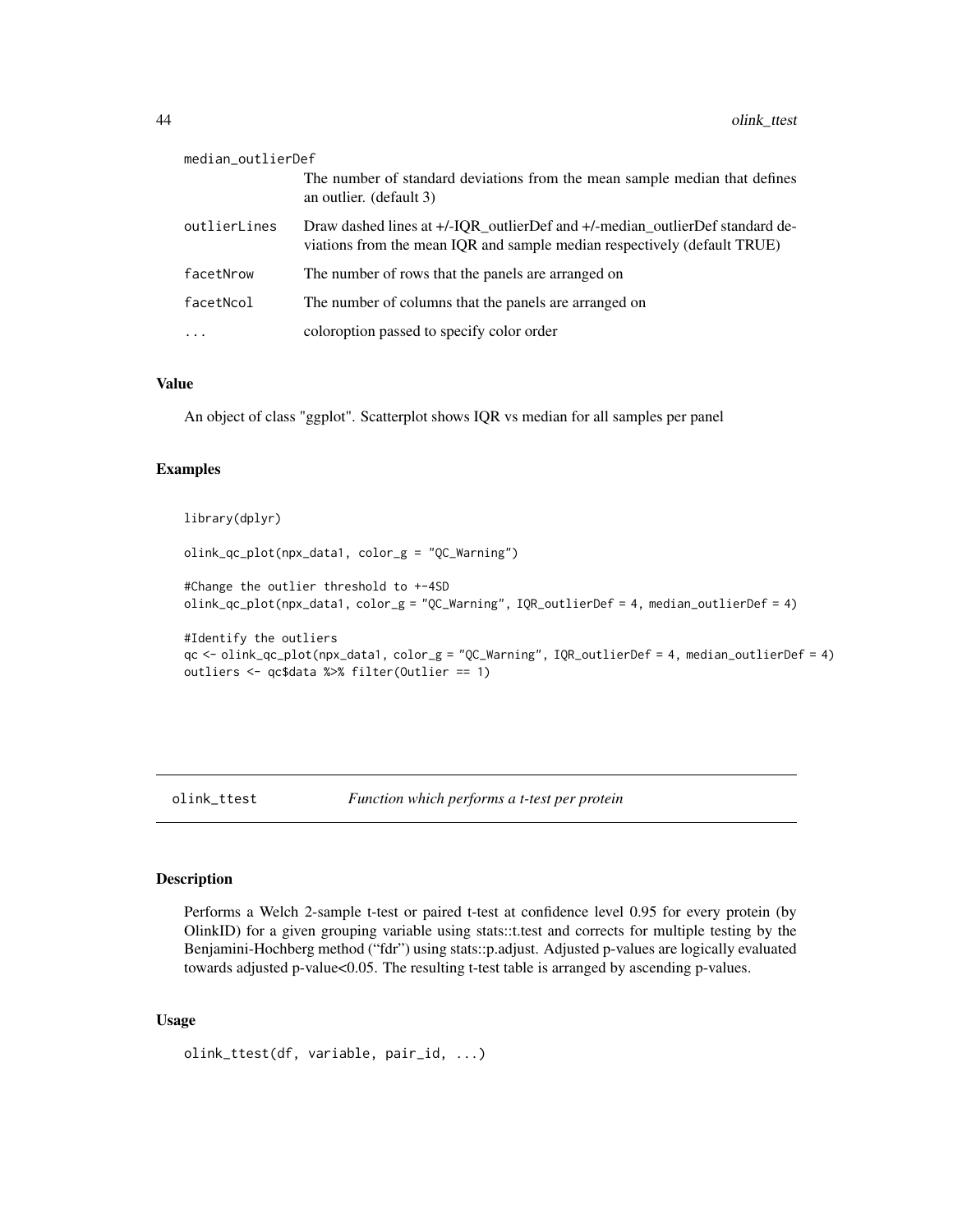<span id="page-43-0"></span>

| median_outlierDef |                                                                                                                                                          |
|-------------------|----------------------------------------------------------------------------------------------------------------------------------------------------------|
|                   | The number of standard deviations from the mean sample median that defines<br>an outlier. (default 3)                                                    |
| outlierLines      | Draw dashed lines at +/-IQR outlierDef and +/-median outlierDef standard de-<br>viations from the mean IQR and sample median respectively (default TRUE) |
| facetNrow         | The number of rows that the panels are arranged on                                                                                                       |
| facetNcol         | The number of columns that the panels are arranged on                                                                                                    |
| $\cdot$           | coloroption passed to specify color order                                                                                                                |

#### Value

An object of class "ggplot". Scatterplot shows IQR vs median for all samples per panel

## Examples

## library(dplyr)

olink\_qc\_plot(npx\_data1, color\_g = "QC\_Warning")

```
#Change the outlier threshold to +-4SD
olink_qc_plot(npx_data1, color_g = "QC_Warning", IQR_outlierDef = 4, median_outlierDef = 4)
```

```
#Identify the outliers
qc <- olink_qc_plot(npx_data1, color_g = "QC_Warning", IQR_outlierDef = 4, median_outlierDef = 4)
outliers <- qc$data %>% filter(Outlier == 1)
```
olink\_ttest *Function which performs a t-test per protein*

#### Description

Performs a Welch 2-sample t-test or paired t-test at confidence level 0.95 for every protein (by OlinkID) for a given grouping variable using stats::t.test and corrects for multiple testing by the Benjamini-Hochberg method ("fdr") using stats::p.adjust. Adjusted p-values are logically evaluated towards adjusted p-value<0.05. The resulting t-test table is arranged by ascending p-values.

#### Usage

```
olink_ttest(df, variable, pair_id, ...)
```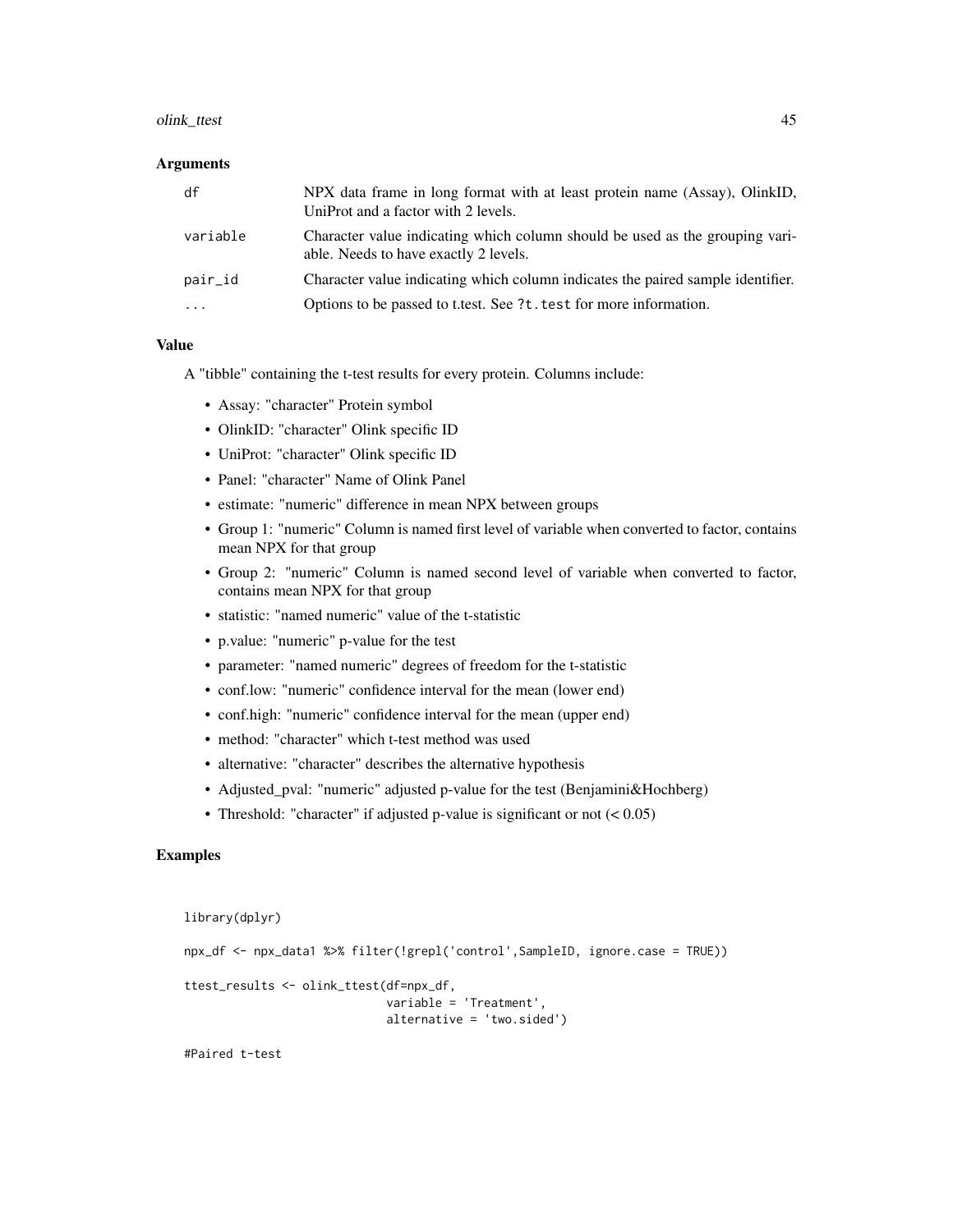#### olink\_ttest 45

#### Arguments

| df       | NPX data frame in long format with at least protein name (Assay), OlinkID,<br>UniProt and a factor with 2 levels.     |
|----------|-----------------------------------------------------------------------------------------------------------------------|
| variable | Character value indicating which column should be used as the grouping vari-<br>able. Needs to have exactly 2 levels. |
| pair_id  | Character value indicating which column indicates the paired sample identifier.                                       |
| .        | Options to be passed to t.test. See ?t. test for more information.                                                    |

#### Value

A "tibble" containing the t-test results for every protein. Columns include:

- Assay: "character" Protein symbol
- OlinkID: "character" Olink specific ID
- UniProt: "character" Olink specific ID
- Panel: "character" Name of Olink Panel
- estimate: "numeric" difference in mean NPX between groups
- Group 1: "numeric" Column is named first level of variable when converted to factor, contains mean NPX for that group
- Group 2: "numeric" Column is named second level of variable when converted to factor, contains mean NPX for that group
- statistic: "named numeric" value of the t-statistic
- p.value: "numeric" p-value for the test
- parameter: "named numeric" degrees of freedom for the t-statistic
- conf.low: "numeric" confidence interval for the mean (lower end)
- conf.high: "numeric" confidence interval for the mean (upper end)
- method: "character" which t-test method was used
- alternative: "character" describes the alternative hypothesis
- Adjusted\_pval: "numeric" adjusted p-value for the test (Benjamini&Hochberg)
- Threshold: "character" if adjusted p-value is significant or not  $(< 0.05)$

```
library(dplyr)
```

```
npx_df <- npx_data1 %>% filter(!grepl('control',SampleID, ignore.case = TRUE))
ttest_results <- olink_ttest(df=npx_df,
                             variable = 'Treatment',
                             alternative = 'two.sided')
```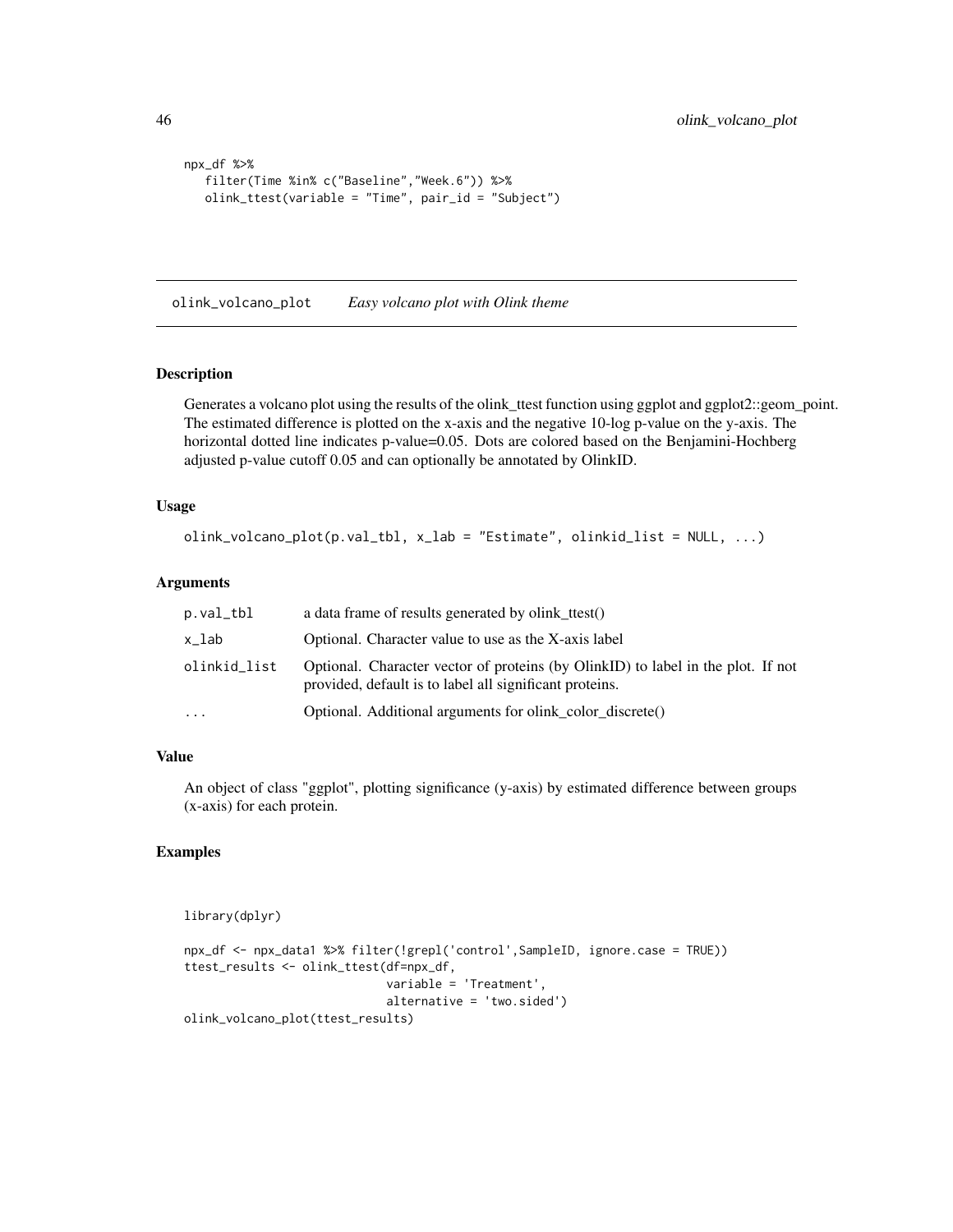```
npx_df %>%
  filter(Time %in% c("Baseline","Week.6")) %>%
  olink_ttest(variable = "Time", pair_id = "Subject")
```
olink\_volcano\_plot *Easy volcano plot with Olink theme*

#### Description

Generates a volcano plot using the results of the olink\_ttest function using ggplot and ggplot2::geom\_point. The estimated difference is plotted on the x-axis and the negative 10-log p-value on the y-axis. The horizontal dotted line indicates p-value=0.05. Dots are colored based on the Benjamini-Hochberg adjusted p-value cutoff 0.05 and can optionally be annotated by OlinkID.

## Usage

```
olink\_volcano\_plot(p.val\_tb1, x\_lab = "Estimate", olinkid\_list = NULL, ...)
```
#### Arguments

| p.val_tbl    | a data frame of results generated by olink ttest()                                                                                          |
|--------------|---------------------------------------------------------------------------------------------------------------------------------------------|
| x_lab        | Optional. Character value to use as the X-axis label                                                                                        |
| olinkid_list | Optional. Character vector of proteins (by OlinkID) to label in the plot. If not<br>provided, default is to label all significant proteins. |
| $\ddotsc$    | Optional. Additional arguments for olink color discrete()                                                                                   |
|              |                                                                                                                                             |

## Value

An object of class "ggplot", plotting significance (y-axis) by estimated difference between groups (x-axis) for each protein.

```
library(dplyr)
```

```
npx_df <- npx_data1 %>% filter(!grepl('control',SampleID, ignore.case = TRUE))
ttest_results <- olink_ttest(df=npx_df,
                             variable = 'Treatment',
                             alternative = 'two.sided')
olink_volcano_plot(ttest_results)
```
<span id="page-45-0"></span>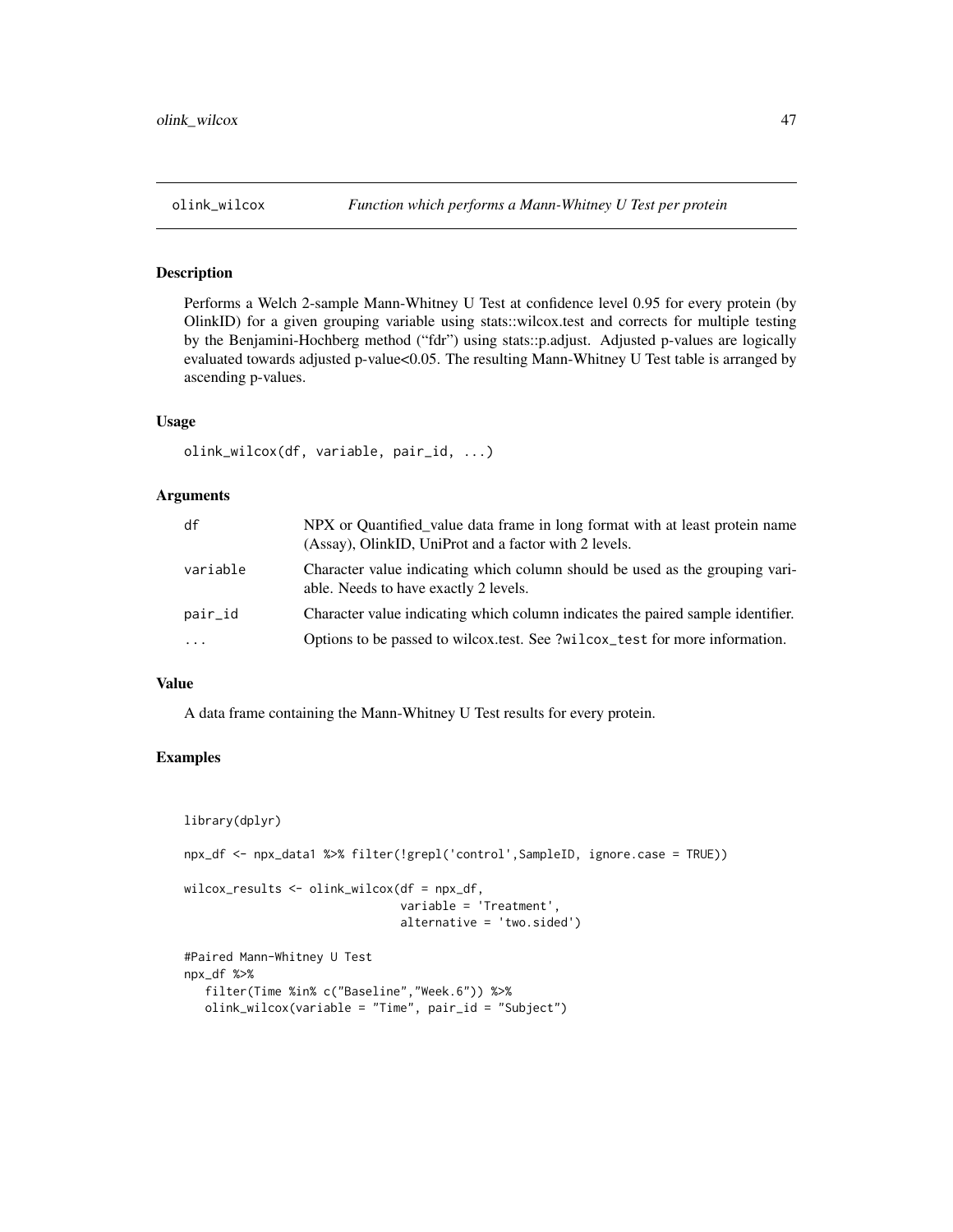## <span id="page-46-0"></span>Description

Performs a Welch 2-sample Mann-Whitney U Test at confidence level 0.95 for every protein (by OlinkID) for a given grouping variable using stats::wilcox.test and corrects for multiple testing by the Benjamini-Hochberg method ("fdr") using stats::p.adjust. Adjusted p-values are logically evaluated towards adjusted p-value<0.05. The resulting Mann-Whitney U Test table is arranged by ascending p-values.

#### Usage

```
olink_wilcox(df, variable, pair_id, ...)
```
#### Arguments

| df         | NPX or Quantified_value data frame in long format with at least protein name<br>(Assay), OlinkID, UniProt and a factor with 2 levels. |
|------------|---------------------------------------------------------------------------------------------------------------------------------------|
| variable   | Character value indicating which column should be used as the grouping vari-<br>able. Needs to have exactly 2 levels.                 |
| pair_id    | Character value indicating which column indicates the paired sample identifier.                                                       |
| $\ddots$ . | Options to be passed to wilcox test. See ?wilcox_test for more information.                                                           |

## Value

A data frame containing the Mann-Whitney U Test results for every protein.

```
library(dplyr)
npx_df <- npx_data1 %>% filter(!grepl('control',SampleID, ignore.case = TRUE))
wilcox_results <- olink_wilcox(df = npx_df,
                               variable = 'Treatment',
                               alternative = 'two.sided')
#Paired Mann-Whitney U Test
npx_df %>%
  filter(Time %in% c("Baseline","Week.6")) %>%
  olink_wilcox(variable = "Time", pair_id = "Subject")
```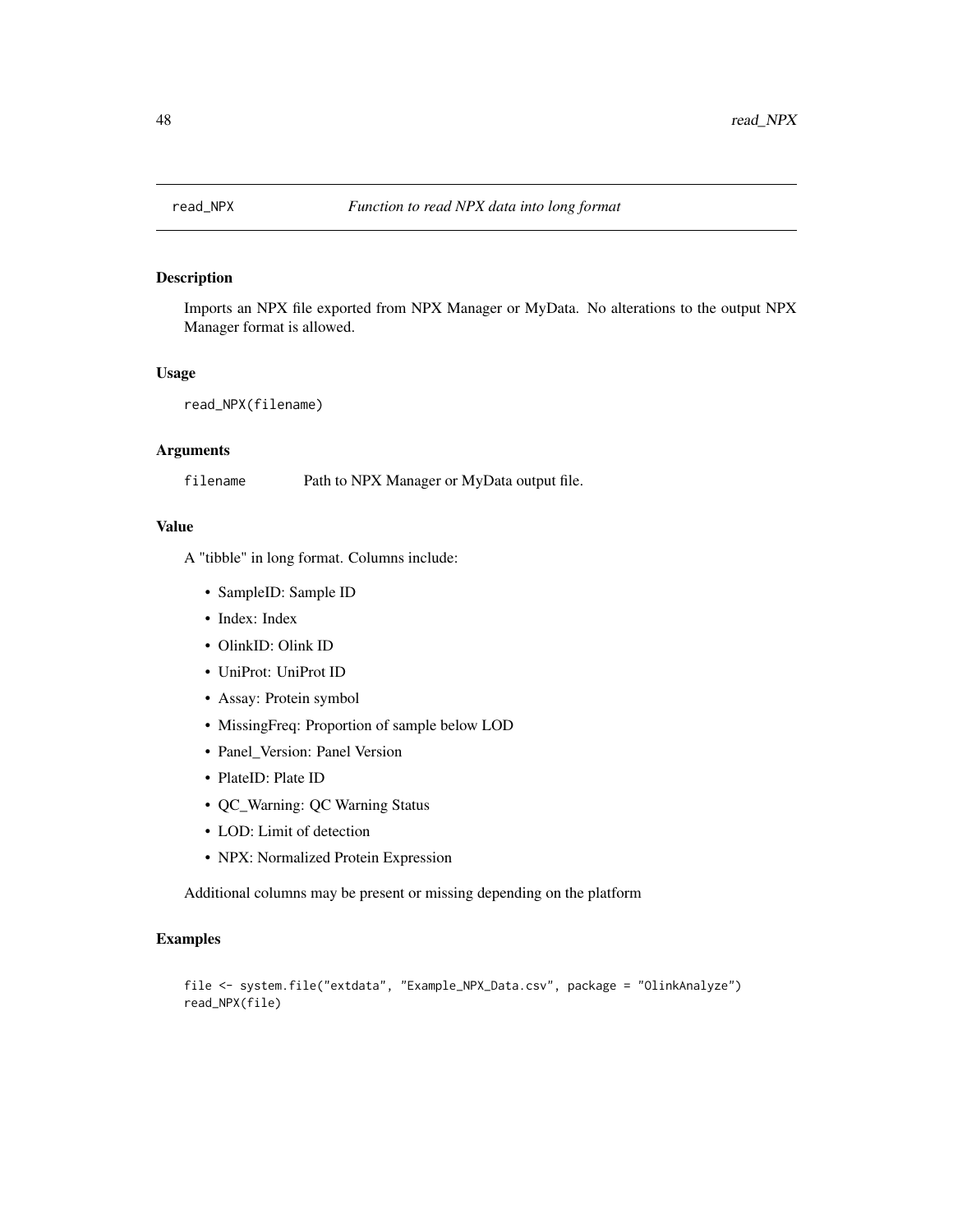<span id="page-47-0"></span>

## Description

Imports an NPX file exported from NPX Manager or MyData. No alterations to the output NPX Manager format is allowed.

#### Usage

```
read_NPX(filename)
```
## Arguments

filename Path to NPX Manager or MyData output file.

## Value

A "tibble" in long format. Columns include:

- SampleID: Sample ID
- Index: Index
- OlinkID: Olink ID
- UniProt: UniProt ID
- Assay: Protein symbol
- MissingFreq: Proportion of sample below LOD
- Panel\_Version: Panel Version
- PlateID: Plate ID
- QC\_Warning: QC Warning Status
- LOD: Limit of detection
- NPX: Normalized Protein Expression

Additional columns may be present or missing depending on the platform

```
file <- system.file("extdata", "Example_NPX_Data.csv", package = "OlinkAnalyze")
read_NPX(file)
```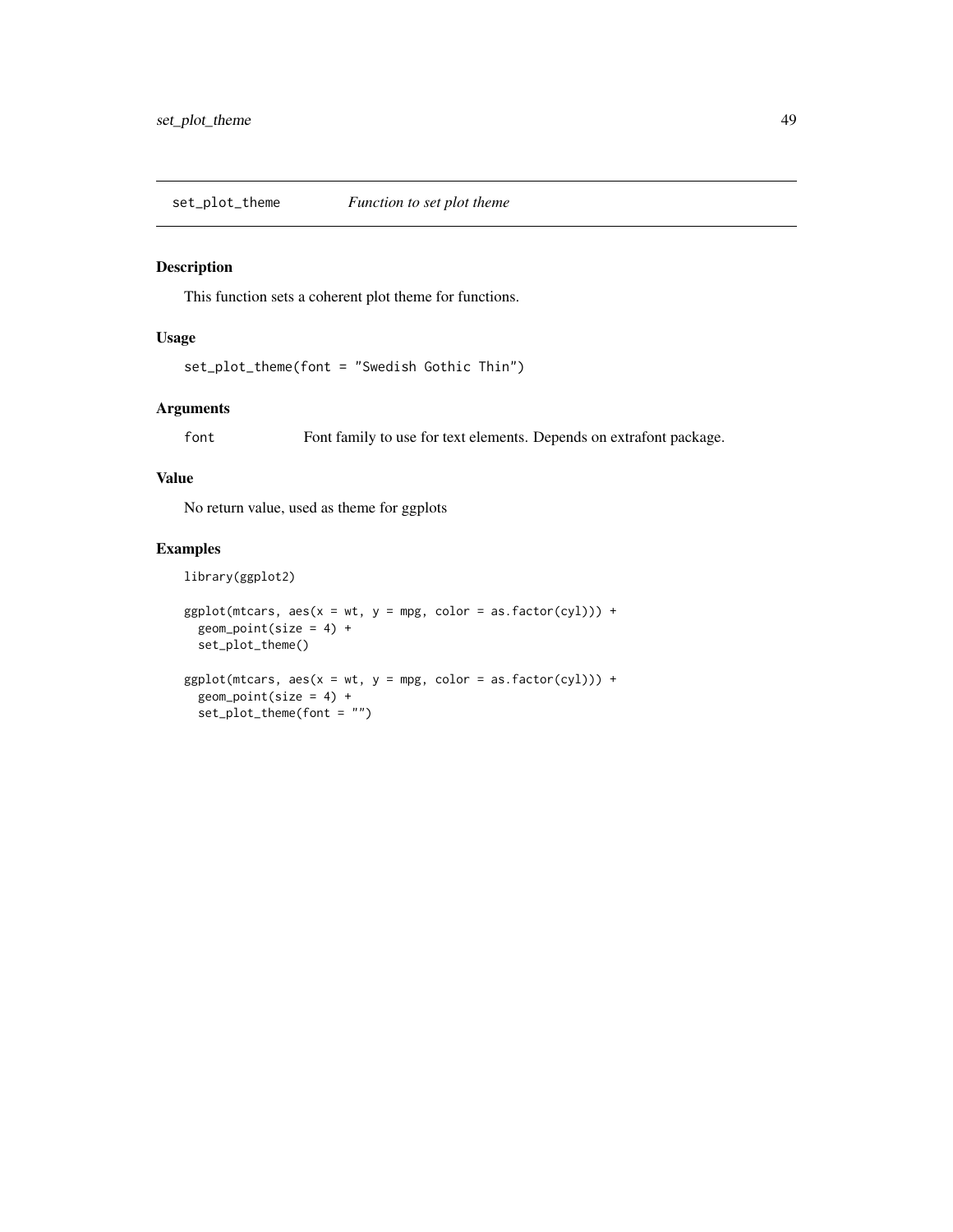<span id="page-48-0"></span>set\_plot\_theme *Function to set plot theme*

## Description

This function sets a coherent plot theme for functions.

## Usage

```
set_plot_theme(font = "Swedish Gothic Thin")
```
## Arguments

font Font family to use for text elements. Depends on extrafont package.

### Value

No return value, used as theme for ggplots

## Examples

library(ggplot2)

```
ggplot(mtcars, aes(x = wt, y = mpg, color = as.factor(cyl))) +geom\_point(size = 4) +set_plot_theme()
ggplot(mtcars, aes(x = wt, y = mpg, color = as.factor(cyl))) +geom\_point(size = 4) +set_plot_theme(font = "")
```